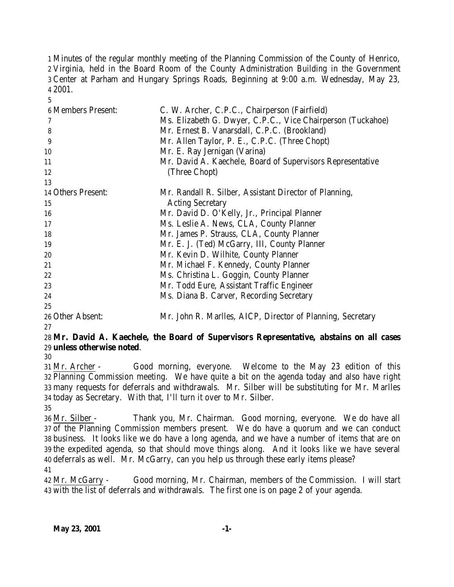Minutes of the regular monthly meeting of the Planning Commission of the County of Henrico, Virginia, held in the Board Room of the County Administration Building in the Government Center at Parham and Hungary Springs Roads, Beginning at 9:00 a.m. Wednesday, May 23, 2001.

| <b>6 Members Present:</b> | C. W. Archer, C.P.C., Chairperson (Fairfield)               |
|---------------------------|-------------------------------------------------------------|
|                           | Ms. Elizabeth G. Dwyer, C.P.C., Vice Chairperson (Tuckahoe) |
| 8                         | Mr. Ernest B. Vanarsdall, C.P.C. (Brookland)                |
| 9                         | Mr. Allen Taylor, P. E., C.P.C. (Three Chopt)               |
| 10                        | Mr. E. Ray Jernigan (Varina)                                |
| 11                        | Mr. David A. Kaechele, Board of Supervisors Representative  |
| 12                        | (Three Chopt)                                               |
| 13                        |                                                             |
| 14 Others Present:        | Mr. Randall R. Silber, Assistant Director of Planning,      |
| 15                        | <b>Acting Secretary</b>                                     |
| 16                        | Mr. David D. O'Kelly, Jr., Principal Planner                |
| 17                        | Ms. Leslie A. News, CLA, County Planner                     |
| 18                        | Mr. James P. Strauss, CLA, County Planner                   |
| 19                        | Mr. E. J. (Ted) McGarry, III, County Planner                |
| 20                        | Mr. Kevin D. Wilhite, County Planner                        |
| 21                        | Mr. Michael F. Kennedy, County Planner                      |
| 22                        | Ms. Christina L. Goggin, County Planner                     |
| 23                        | Mr. Todd Eure, Assistant Traffic Engineer                   |
| 24                        | Ms. Diana B. Carver, Recording Secretary                    |
| 25                        |                                                             |
| 26 Other Absent:          | Mr. John R. Marlles, AICP, Director of Planning, Secretary  |

### **Mr. David A. Kaechele, the Board of Supervisors Representative, abstains on all cases unless otherwise noted**.

 Mr. Archer - Good morning, everyone. Welcome to the May 23 edition of this Planning Commission meeting. We have quite a bit on the agenda today and also have right many requests for deferrals and withdrawals. Mr. Silber will be substituting for Mr. Marlles today as Secretary. With that, I'll turn it over to Mr. Silber.

 Mr. Silber - Thank you, Mr. Chairman. Good morning, everyone. We do have all of the Planning Commission members present. We do have a quorum and we can conduct business. It looks like we do have a long agenda, and we have a number of items that are on the expedited agenda, so that should move things along. And it looks like we have several deferrals as well. Mr. McGarry, can you help us through these early items please? 

 Mr. McGarry - Good morning, Mr. Chairman, members of the Commission. I will start with the list of deferrals and withdrawals. The first one is on page 2 of your agenda.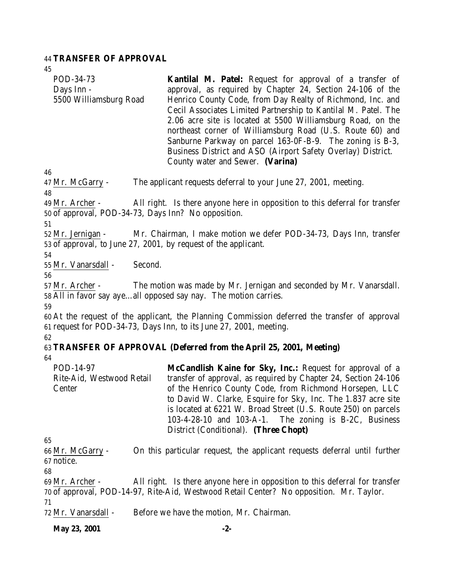### 44 **TRANSFER OF APPROVAL**

| ٠ | I<br>v |
|---|--------|
|   |        |

| 45                                                                                       |                                                                                                                                                                                                                                                                                                                                                                                                                                                                                                                                                            |
|------------------------------------------------------------------------------------------|------------------------------------------------------------------------------------------------------------------------------------------------------------------------------------------------------------------------------------------------------------------------------------------------------------------------------------------------------------------------------------------------------------------------------------------------------------------------------------------------------------------------------------------------------------|
| POD-34-73<br>Days Inn -<br>5500 Williamsburg Road                                        | <b>Kantilal M. Patel:</b> Request for approval of a transfer of<br>approval, as required by Chapter 24, Section 24-106 of the<br>Henrico County Code, from Day Realty of Richmond, Inc. and<br>Cecil Associates Limited Partnership to Kantilal M. Patel. The<br>2.06 acre site is located at 5500 Williamsburg Road, on the<br>northeast corner of Williamsburg Road (U.S. Route 60) and<br>Sanburne Parkway on parcel 163-0F-B-9. The zoning is B-3,<br>Business District and ASO (Airport Safety Overlay) District.<br>County water and Sewer. (Varina) |
| 46                                                                                       |                                                                                                                                                                                                                                                                                                                                                                                                                                                                                                                                                            |
| 47 Mr. McGarry -<br>48                                                                   | The applicant requests deferral to your June 27, 2001, meeting.                                                                                                                                                                                                                                                                                                                                                                                                                                                                                            |
| 49 Mr. Archer -<br>50 of approval, POD-34-73, Days Inn? No opposition.<br>51             | All right. Is there anyone here in opposition to this deferral for transfer                                                                                                                                                                                                                                                                                                                                                                                                                                                                                |
| 52 Mr. Jernigan -<br>53 of approval, to June 27, 2001, by request of the applicant.      | Mr. Chairman, I make motion we defer POD-34-73, Days Inn, transfer                                                                                                                                                                                                                                                                                                                                                                                                                                                                                         |
| 54<br>55 Mr. Vanarsdall -<br>Second.                                                     |                                                                                                                                                                                                                                                                                                                                                                                                                                                                                                                                                            |
| 56<br>57 Mr. Archer -<br>58 All in favor say ayeall opposed say nay. The motion carries. | The motion was made by Mr. Jernigan and seconded by Mr. Vanarsdall.                                                                                                                                                                                                                                                                                                                                                                                                                                                                                        |
| 59                                                                                       | 60 At the request of the applicant, the Planning Commission deferred the transfer of approval<br>61 request for POD-34-73, Days Inn, to its June 27, 2001, meeting.                                                                                                                                                                                                                                                                                                                                                                                        |
| 62                                                                                       | 63 TRANSFER OF APPROVAL (Deferred from the April 25, 2001, Meeting)                                                                                                                                                                                                                                                                                                                                                                                                                                                                                        |
| 64                                                                                       |                                                                                                                                                                                                                                                                                                                                                                                                                                                                                                                                                            |
| POD-14-97<br>Rite-Aid, Westwood Retail<br>Center                                         | McCandlish Kaine for Sky, Inc.: Request for approval of a<br>transfer of approval, as required by Chapter 24, Section 24-106<br>of the Henrico County Code, from Richmond Horsepen, LLC<br>to David W. Clarke, Esquire for Sky, Inc. The 1.837 acre site<br>is located at 6221 W. Broad Street (U.S. Route 250) on parcels<br>103-4-28-10 and 103-A-1. The zoning is B-2C, Business<br>District (Conditional). (Three Chopt)                                                                                                                               |
| 65                                                                                       |                                                                                                                                                                                                                                                                                                                                                                                                                                                                                                                                                            |
| 66 Mr. McGarry -<br>67 notice.                                                           | On this particular request, the applicant requests deferral until further                                                                                                                                                                                                                                                                                                                                                                                                                                                                                  |
| 68<br>69 Mr. Archer -                                                                    | All right. Is there anyone here in opposition to this deferral for transfer<br>70 of approval, POD-14-97, Rite-Aid, Westwood Retail Center? No opposition. Mr. Taylor.                                                                                                                                                                                                                                                                                                                                                                                     |
| 71<br>72 Mr. Vanarsdall -                                                                | Before we have the motion, Mr. Chairman.                                                                                                                                                                                                                                                                                                                                                                                                                                                                                                                   |

**May 23, 2001 -2-**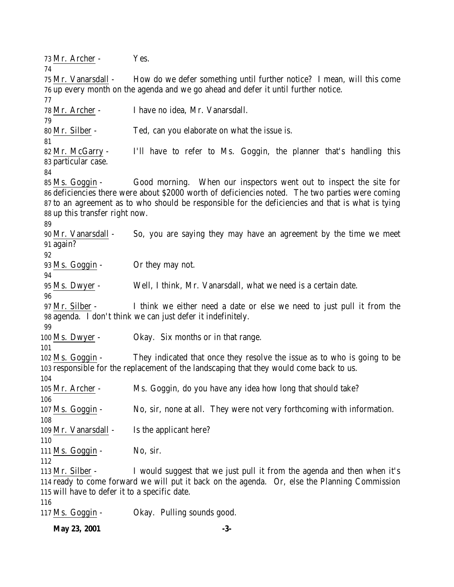Mr. Archer - Yes. Mr. Vanarsdall - How do we defer something until further notice? I mean, will this come up every month on the agenda and we go ahead and defer it until further notice. Mr. Archer - I have no idea, Mr. Vanarsdall. Mr. Silber - Ted, can you elaborate on what the issue is. Mr. McGarry - I'll have to refer to Ms. Goggin, the planner that's handling this particular case. Ms. Goggin - Good morning. When our inspectors went out to inspect the site for deficiencies there were about \$2000 worth of deficiencies noted. The two parties were coming to an agreement as to who should be responsible for the deficiencies and that is what is tying up this transfer right now. Mr. Vanarsdall - So, you are saying they may have an agreement by the time we meet again? Ms. Goggin - Or they may not. Ms. Dwyer - Well, I think, Mr. Vanarsdall, what we need is a certain date. Mr. Silber - I think we either need a date or else we need to just pull it from the agenda. I don't think we can just defer it indefinitely. Ms. Dwyer - Okay. Six months or in that range. Ms. Goggin - They indicated that once they resolve the issue as to who is going to be responsible for the replacement of the landscaping that they would come back to us. Mr. Archer - Ms. Goggin, do you have any idea how long that should take? Ms. Goggin - No, sir, none at all. They were not very forthcoming with information. 109 Mr. Vanarsdall - Is the applicant here? 111 Ms. Goggin - No, sir. Mr. Silber - I would suggest that we just pull it from the agenda and then when it's ready to come forward we will put it back on the agenda. Or, else the Planning Commission will have to defer it to a specific date. Ms. Goggin - Okay. Pulling sounds good.

**May 23, 2001 -3-**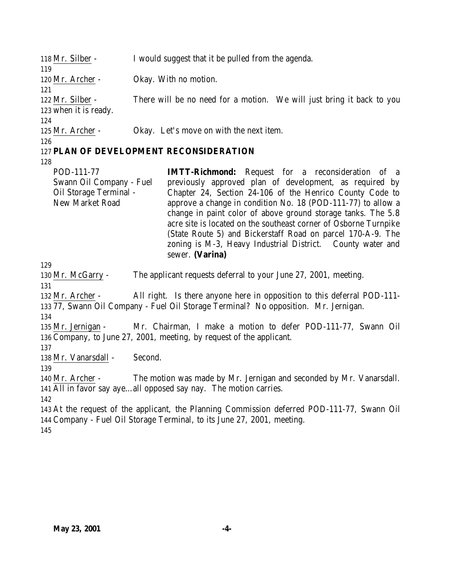| 118 Mr. Silber -         | I would suggest that it be pulled from the agenda.                    |
|--------------------------|-----------------------------------------------------------------------|
| 119                      |                                                                       |
| 120 Mr. Archer -         | Okay. With no motion.                                                 |
| 121                      |                                                                       |
| 122 Mr. Silber -         | There will be no need for a motion. We will just bring it back to you |
| 123 when it is ready.    |                                                                       |
| 124                      |                                                                       |
| 125 Mr. Archer -         | Okay. Let's move on with the next item.                               |
| 126                      |                                                                       |
|                          | 127 PLAN OF DEVELOPMENT RECONSIDERATION                               |
| 128                      |                                                                       |
| POD-111-77               | <b>IMTT-Richmond:</b> Request for a reconsideration of a              |
| Swann Oil Company - Fuel | previously approved plan of development, as required by               |
| Oil Storage Terminal -   | Chapter 24, Section 24-106 of the Henrico County Code to              |
| New Market Road          | approve a change in condition No. 18 (POD-111-77) to allow a          |

approve a change in condition No. 18 (POD-111-77) to allow a change in paint color of above ground storage tanks. The 5.8 acre site is located on the southeast corner of Osborne Turnpike (State Route 5) and Bickerstaff Road on parcel 170-A-9. The zoning is M-3, Heavy Industrial District. County water and sewer. **(Varina)**

129

130 Mr. McGarry - The applicant requests deferral to your June 27, 2001, meeting.

131

132 Mr. Archer - All right. Is there anyone here in opposition to this deferral POD-111- 133 77, Swann Oil Company - Fuel Oil Storage Terminal? No opposition. Mr. Jernigan.

134

135 Mr. Jernigan - Mr. Chairman, I make a motion to defer POD-111-77, Swann Oil 136 Company, to June 27, 2001, meeting, by request of the applicant.

137

138 Mr. Vanarsdall - Second.

139

140 Mr. Archer - The motion was made by Mr. Jernigan and seconded by Mr. Vanarsdall. 141 All in favor say aye…all opposed say nay. The motion carries.

142

143 At the request of the applicant, the Planning Commission deferred POD-111-77, Swann Oil 144 Company - Fuel Oil Storage Terminal, to its June 27, 2001, meeting.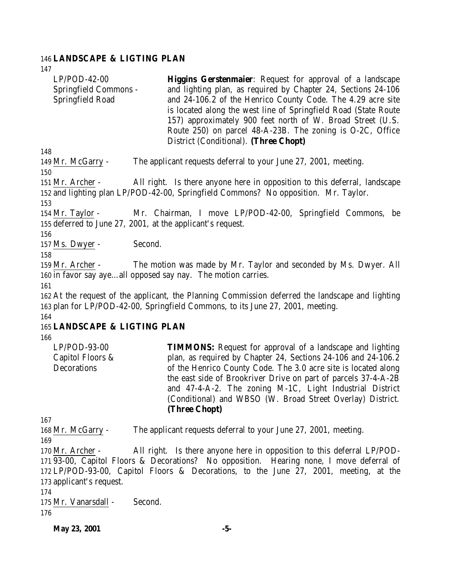#### 146 **LANDSCAPE & LIGTING PLAN**

147

LP/POD-42-00 Springfield Commons - Springfield Road **Higgins Gerstenmaier**: Request for approval of a landscape and lighting plan, as required by Chapter 24, Sections 24-106 and 24-106.2 of the Henrico County Code. The 4.29 acre site is located along the west line of Springfield Road (State Route 157) approximately 900 feet north of W. Broad Street (U.S. Route 250) on parcel 48-A-23B. The zoning is O-2C, Office District (Conditional). **(Three Chopt)**

148

149 Mr. McGarry - The applicant requests deferral to your June 27, 2001, meeting.

150

151 Mr. Archer - All right. Is there anyone here in opposition to this deferral, landscape 152 and lighting plan LP/POD-42-00, Springfield Commons? No opposition. Mr. Taylor.

153

154 Mr. Taylor - Mr. Chairman, I move LP/POD-42-00, Springfield Commons, be 155 deferred to June 27, 2001, at the applicant's request.

156

157 Ms. Dwyer - Second.

158

159 Mr. Archer - The motion was made by Mr. Taylor and seconded by Ms. Dwyer. All 160 in favor say aye…all opposed say nay. The motion carries.

161

162 At the request of the applicant, the Planning Commission deferred the landscape and lighting 163 plan for LP/POD-42-00, Springfield Commons, to its June 27, 2001, meeting. 164

### 165 **LANDSCAPE & LIGTING PLAN**

166

LP/POD-93-00 Capitol Floors & **Decorations TIMMONS:** Request for approval of a landscape and lighting plan, as required by Chapter 24, Sections 24-106 and 24-106.2 of the Henrico County Code. The 3.0 acre site is located along the east side of Brookriver Drive on part of parcels 37-4-A-2B and 47-4-A-2. The zoning M-1C, Light Industrial District (Conditional) and WBSO (W. Broad Street Overlay) District. **(Three Chopt)**

167

168 Mr. McGarry - The applicant requests deferral to your June 27, 2001, meeting.

169

 Mr. Archer - All right. Is there anyone here in opposition to this deferral LP/POD- 93-00, Capitol Floors & Decorations? No opposition. Hearing none, I move deferral of LP/POD-93-00, Capitol Floors & Decorations, to the June 27, 2001, meeting, at the applicant's request.

174

175 Mr. Vanarsdall - Second.

176

**May 23, 2001 -5-**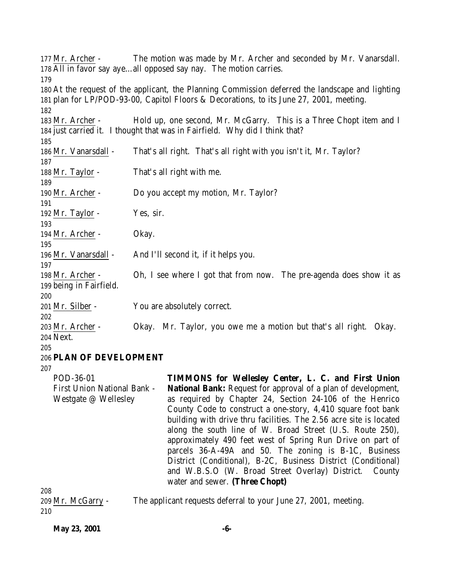Mr. Archer - The motion was made by Mr. Archer and seconded by Mr. Vanarsdall. All in favor say aye…all opposed say nay. The motion carries. At the request of the applicant, the Planning Commission deferred the landscape and lighting plan for LP/POD-93-00, Capitol Floors & Decorations, to its June 27, 2001, meeting. Mr. Archer - Hold up, one second, Mr. McGarry. This is a Three Chopt item and I just carried it. I thought that was in Fairfield. Why did I think that? Mr. Vanarsdall - That's all right. That's all right with you isn't it, Mr. Taylor? Mr. Taylor - That's all right with me. Mr. Archer - Do you accept my motion, Mr. Taylor? 192 Mr. Taylor - Yes, sir. 194 Mr. Archer - Okay. Mr. Vanarsdall - And I'll second it, if it helps you. Mr. Archer - Oh, I see where I got that from now. The pre-agenda does show it as being in Fairfield. Mr. Silber - You are absolutely correct. Mr. Archer - Okay. Mr. Taylor, you owe me a motion but that's all right. Okay. Next. **PLAN OF DEVELOPMENT** POD-36-01 First Union National Bank - Westgate @ Wellesley **TIMMONS for Wellesley Center, L. C. and First Union National Bank:** Request for approval of a plan of development, as required by Chapter 24, Section 24-106 of the Henrico County Code to construct a one-story, 4,410 square foot bank building with drive thru facilities. The 2.56 acre site is located along the south line of W. Broad Street (U.S. Route 250), approximately 490 feet west of Spring Run Drive on part of parcels 36-A-49A and 50. The zoning is B-1C, Business District (Conditional), B-2C, Business District (Conditional) and W.B.S.O (W. Broad Street Overlay) District. County water and sewer. **(Three Chopt)**

 Mr. McGarry - The applicant requests deferral to your June 27, 2001, meeting. 

**May 23, 2001 -6-**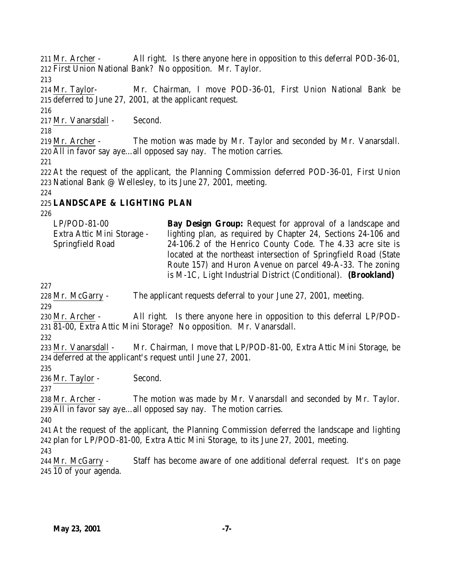Mr. Archer - All right. Is there anyone here in opposition to this deferral POD-36-01, First Union National Bank? No opposition. Mr. Taylor.

 Mr. Taylor- Mr. Chairman, I move POD-36-01, First Union National Bank be deferred to June 27, 2001, at the applicant request.

Mr. Vanarsdall - Second.

 Mr. Archer - The motion was made by Mr. Taylor and seconded by Mr. Vanarsdall. All in favor say aye…all opposed say nay. The motion carries.

 At the request of the applicant, the Planning Commission deferred POD-36-01, First Union National Bank @ Wellesley, to its June 27, 2001, meeting.

### **LANDSCAPE & LIGHTING PLAN**

LP/POD-81-00 Extra Attic Mini Storage - Springfield Road **Bay Design Group:** Request for approval of a landscape and lighting plan, as required by Chapter 24, Sections 24-106 and 24-106.2 of the Henrico County Code. The 4.33 acre site is located at the northeast intersection of Springfield Road (State Route 157) and Huron Avenue on parcel 49-A-33. The zoning is M-1C, Light Industrial District (Conditional). **(Brookland)**

Mr. McGarry - The applicant requests deferral to your June 27, 2001, meeting.

 Mr. Archer - All right. Is there anyone here in opposition to this deferral LP/POD-81-00, Extra Attic Mini Storage? No opposition. Mr. Vanarsdall.

 Mr. Vanarsdall - Mr. Chairman, I move that LP/POD-81-00, Extra Attic Mini Storage, be deferred at the applicant's request until June 27, 2001.

Mr. Taylor - Second.

 Mr. Archer - The motion was made by Mr. Vanarsdall and seconded by Mr. Taylor. All in favor say aye…all opposed say nay. The motion carries.

 At the request of the applicant, the Planning Commission deferred the landscape and lighting plan for LP/POD-81-00, Extra Attic Mini Storage, to its June 27, 2001, meeting.

 Mr. McGarry - Staff has become aware of one additional deferral request. It's on page 10 of your agenda.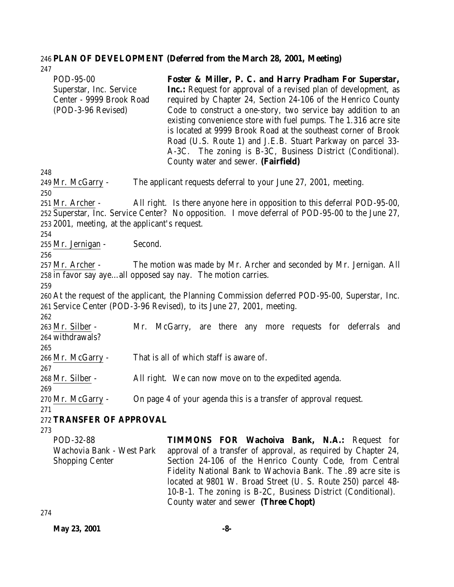# 246 **PLAN OF DEVELOPMENT (Deferred from the March 28, 2001, Meeting)**

| 247                                                   |                                                                                                  |
|-------------------------------------------------------|--------------------------------------------------------------------------------------------------|
| POD-95-00                                             | Foster & Miller, P. C. and Harry Pradham For Superstar,                                          |
| Superstar, Inc. Service                               | Inc.: Request for approval of a revised plan of development, as                                  |
| Center - 9999 Brook Road                              | required by Chapter 24, Section 24-106 of the Henrico County                                     |
| (POD-3-96 Revised)                                    | Code to construct a one-story, two service bay addition to an                                    |
|                                                       | existing convenience store with fuel pumps. The 1.316 acre site                                  |
|                                                       | is located at 9999 Brook Road at the southeast corner of Brook                                   |
|                                                       | Road (U.S. Route 1) and J.E.B. Stuart Parkway on parcel 33-                                      |
|                                                       | A-3C. The zoning is B-3C, Business District (Conditional).                                       |
|                                                       | County water and sewer. (Fairfield)                                                              |
| 248                                                   |                                                                                                  |
| 249 Mr. McGarry -                                     | The applicant requests deferral to your June 27, 2001, meeting.                                  |
| 250                                                   |                                                                                                  |
| 251 Mr. Archer -                                      | All right. Is there anyone here in opposition to this deferral POD-95-00,                        |
|                                                       | 252 Superstar, Inc. Service Center? No opposition. I move deferral of POD-95-00 to the June 27,  |
| 253 2001, meeting, at the applicant's request.<br>254 |                                                                                                  |
| 255 Mr. Jernigan -                                    | Second.                                                                                          |
| 256                                                   |                                                                                                  |
| 257 Mr. Archer -                                      | The motion was made by Mr. Archer and seconded by Mr. Jernigan. All                              |
|                                                       | 258 in favor say ayeall opposed say nay. The motion carries.                                     |
| 259                                                   |                                                                                                  |
|                                                       | 260 At the request of the applicant, the Planning Commission deferred POD-95-00, Superstar, Inc. |
|                                                       | 261 Service Center (POD-3-96 Revised), to its June 27, 2001, meeting.                            |
| 262                                                   |                                                                                                  |
| 263 Mr. Silber -                                      | Mr. McGarry, are there any more requests for deferrals<br>and                                    |
| 264 withdrawals?                                      |                                                                                                  |
| 265                                                   |                                                                                                  |
| 266 Mr. McGarry -                                     | That is all of which staff is aware of.                                                          |
| 267                                                   |                                                                                                  |
| 268 Mr. Silber -                                      | All right. We can now move on to the expedited agenda.                                           |
| 269                                                   |                                                                                                  |
| 270 Mr. McGarry -                                     | On page 4 of your agenda this is a transfer of approval request.                                 |
| 271                                                   |                                                                                                  |
| 272 TRANSFER OF APPROVAL                              |                                                                                                  |
| 273                                                   |                                                                                                  |
| POD-32-88<br>Wachovia Bank - West Park                | <b>TIMMONS FOR Wachoiva Bank, N.A.: Request for</b>                                              |
|                                                       | approval of a transfer of approval, as required by Chapter 24,                                   |
| <b>Shopping Center</b>                                | Section 24-106 of the Henrico County Code, from Central                                          |
|                                                       | Fidelity National Bank to Wachovia Bank. The .89 acre site is                                    |
|                                                       | located at 9801 W. Broad Street (U. S. Route 250) parcel 48-                                     |
|                                                       | 10-B-1. The zoning is B-2C, Business District (Conditional).                                     |
|                                                       | County water and sewer (Three Chopt)                                                             |

274

**May 23, 2001 -8-**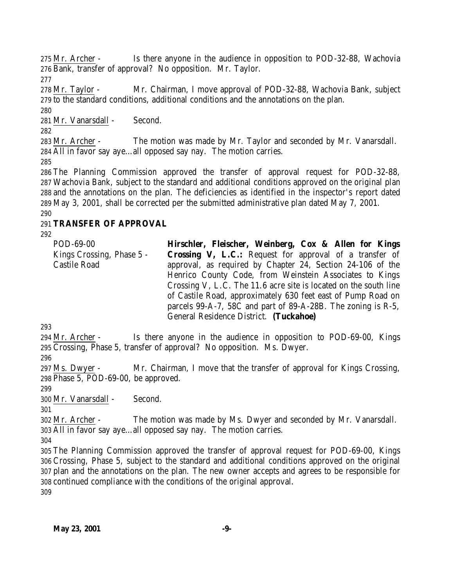Mr. Archer - Is there anyone in the audience in opposition to POD-32-88, Wachovia Bank, transfer of approval? No opposition. Mr. Taylor.

 Mr. Taylor - Mr. Chairman, I move approval of POD-32-88, Wachovia Bank, subject to the standard conditions, additional conditions and the annotations on the plan.

Mr. Vanarsdall - Second.

 Mr. Archer - The motion was made by Mr. Taylor and seconded by Mr. Vanarsdall. All in favor say aye…all opposed say nay. The motion carries.

 The Planning Commission approved the transfer of approval request for POD-32-88, Wachovia Bank, subject to the standard and additional conditions approved on the original plan and the annotations on the plan. The deficiencies as identified in the inspector's report dated May 3, 2001, shall be corrected per the submitted administrative plan dated May 7, 2001. 

## **TRANSFER OF APPROVAL**

| POD-69-00                 | Hirschler, Fleischer, Weinberg, Cox & Allen for Kings            |
|---------------------------|------------------------------------------------------------------|
| Kings Crossing, Phase 5 - | <b>Crossing V, L.C.:</b> Request for approval of a transfer of   |
| Castile Road              | approval, as required by Chapter 24, Section 24-106 of the       |
|                           | Henrico County Code, from Weinstein Associates to Kings          |
|                           | Crossing V, L.C. The 11.6 acre site is located on the south line |
|                           | of Castile Road, approximately 630 feet east of Pump Road on     |
|                           | parcels 99-A-7, 58C and part of 89-A-28B. The zoning is $R-5$ ,  |
|                           | General Residence District. (Tuckahoe)                           |
|                           |                                                                  |

 Mr. Archer - Is there anyone in the audience in opposition to POD-69-00, Kings Crossing, Phase 5, transfer of approval? No opposition. Ms. Dwyer.

 Ms. Dwyer - Mr. Chairman, I move that the transfer of approval for Kings Crossing, Phase 5, POD-69-00, be approved.

Mr. Vanarsdall - Second.

 Mr. Archer - The motion was made by Ms. Dwyer and seconded by Mr. Vanarsdall. All in favor say aye…all opposed say nay. The motion carries.

 The Planning Commission approved the transfer of approval request for POD-69-00, Kings Crossing, Phase 5, subject to the standard and additional conditions approved on the original plan and the annotations on the plan. The new owner accepts and agrees to be responsible for continued compliance with the conditions of the original approval.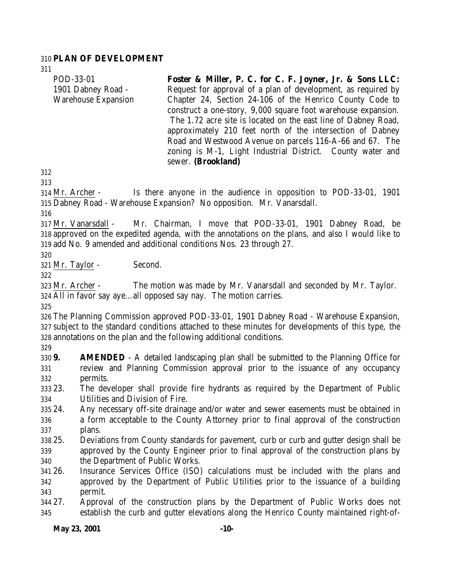#### **PLAN OF DEVELOPMENT**

| POD-33-01                  | Foster & Miller, P. C. for C. F. Joyner, Jr. & Sons LLC:       |
|----------------------------|----------------------------------------------------------------|
| 1901 Dabney Road -         | Request for approval of a plan of development, as required by  |
| <b>Warehouse Expansion</b> | Chapter 24, Section 24-106 of the Henrico County Code to       |
|                            | construct a one-story, 9,000 square foot warehouse expansion.  |
|                            | The 1.72 acre site is located on the east line of Dabney Road, |
|                            | approximately 210 feet north of the intersection of Dabney     |
|                            | Road and Westwood Avenue on parcels 116-A-66 and 67. The       |
|                            | zoning is M-1, Light Industrial District. County water and     |
|                            | sewer. (Brookland)                                             |
|                            |                                                                |

 

 Mr. Archer - Is there anyone in the audience in opposition to POD-33-01, 1901 Dabney Road - Warehouse Expansion? No opposition. Mr. Vanarsdall.

 Mr. Vanarsdall - Mr. Chairman, I move that POD-33-01, 1901 Dabney Road, be approved on the expedited agenda, with the annotations on the plans, and also I would like to add No. 9 amended and additional conditions Nos. 23 through 27.

Mr. Taylor - Second.

 Mr. Archer - The motion was made by Mr. Vanarsdall and seconded by Mr. Taylor. All in favor say aye…all opposed say nay. The motion carries.

 The Planning Commission approved POD-33-01, 1901 Dabney Road - Warehouse Expansion, subject to the standard conditions attached to these minutes for developments of this type, the annotations on the plan and the following additional conditions.

 **9. AMENDED** - A detailed landscaping plan shall be submitted to the Planning Office for review and Planning Commission approval prior to the issuance of any occupancy permits.

 23. The developer shall provide fire hydrants as required by the Department of Public Utilities and Division of Fire.

- 24. Any necessary off-site drainage and/or water and sewer easements must be obtained in a form acceptable to the County Attorney prior to final approval of the construction plans.
- 25. Deviations from County standards for pavement, curb or curb and gutter design shall be approved by the County Engineer prior to final approval of the construction plans by the Department of Public Works.
- 26. Insurance Services Office (ISO) calculations must be included with the plans and approved by the Department of Public Utilities prior to the issuance of a building permit.
- 27. Approval of the construction plans by the Department of Public Works does not establish the curb and gutter elevations along the Henrico County maintained right-of-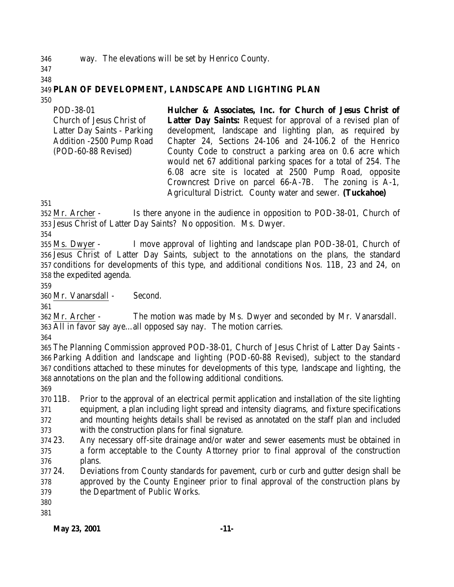### way. The elevations will be set by Henrico County.

#### 

# **PLAN OF DEVELOPMENT, LANDSCAPE AND LIGHTING PLAN**

| POD-38-01                   | Hulcher & Associates, Inc. for Church of Jesus Christ of            |
|-----------------------------|---------------------------------------------------------------------|
| Church of Jesus Christ of   | <b>Latter Day Saints:</b> Request for approval of a revised plan of |
| Latter Day Saints - Parking | development, landscape and lighting plan, as required by            |
| Addition -2500 Pump Road    | Chapter 24, Sections 24-106 and 24-106.2 of the Henrico             |
| (POD-60-88 Revised)         | County Code to construct a parking area on 0.6 acre which           |
|                             | would net 67 additional parking spaces for a total of 254. The      |
|                             | 6.08 acre site is located at 2500 Pump Road, opposite               |
|                             | Crowncrest Drive on parcel 66-A-7B. The zoning is A-1,              |
|                             | Agricultural District. County water and sewer. (Tuckahoe)           |

 Mr. Archer - Is there anyone in the audience in opposition to POD-38-01, Church of Jesus Christ of Latter Day Saints? No opposition. Ms. Dwyer.

 Ms. Dwyer - I move approval of lighting and landscape plan POD-38-01, Church of Jesus Christ of Latter Day Saints, subject to the annotations on the plans, the standard conditions for developments of this type, and additional conditions Nos. 11B, 23 and 24, on the expedited agenda.

Mr. Vanarsdall - Second.

 Mr. Archer - The motion was made by Ms. Dwyer and seconded by Mr. Vanarsdall. All in favor say aye…all opposed say nay. The motion carries.

 The Planning Commission approved POD-38-01, Church of Jesus Christ of Latter Day Saints - Parking Addition and landscape and lighting (POD-60-88 Revised), subject to the standard conditions attached to these minutes for developments of this type, landscape and lighting, the annotations on the plan and the following additional conditions.

 11B. Prior to the approval of an electrical permit application and installation of the site lighting equipment, a plan including light spread and intensity diagrams, and fixture specifications and mounting heights details shall be revised as annotated on the staff plan and included with the construction plans for final signature.

 23. Any necessary off-site drainage and/or water and sewer easements must be obtained in a form acceptable to the County Attorney prior to final approval of the construction plans.

 24. Deviations from County standards for pavement, curb or curb and gutter design shall be approved by the County Engineer prior to final approval of the construction plans by the Department of Public Works.

**May 23, 2001 -11-**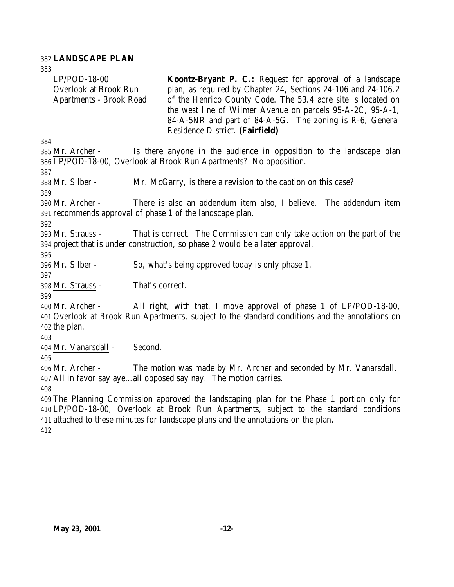#### **LANDSCAPE PLAN**

 LP/POD-18-00 Overlook at Brook Run Apartments - Brook Road **Koontz-Bryant P. C.:** Request for approval of a landscape plan, as required by Chapter 24, Sections 24-106 and 24-106.2 of the Henrico County Code. The 53.4 acre site is located on the west line of Wilmer Avenue on parcels 95-A-2C, 95-A-1, 84-A-5NR and part of 84-A-5G. The zoning is R-6, General Residence District. **(Fairfield)** Mr. Archer - Is there anyone in the audience in opposition to the landscape plan LP/POD-18-00, Overlook at Brook Run Apartments? No opposition. Mr. Silber - Mr. McGarry, is there a revision to the caption on this case? Mr. Archer - There is also an addendum item also, I believe. The addendum item recommends approval of phase 1 of the landscape plan. Mr. Strauss - That is correct. The Commission can only take action on the part of the project that is under construction, so phase 2 would be a later approval. Mr. Silber - So, what's being approved today is only phase 1. Mr. Strauss - That's correct. Mr. Archer - All right, with that, I move approval of phase 1 of LP/POD-18-00, Overlook at Brook Run Apartments, subject to the standard conditions and the annotations on the plan. Mr. Vanarsdall - Second. Mr. Archer - The motion was made by Mr. Archer and seconded by Mr. Vanarsdall. All in favor say aye…all opposed say nay. The motion carries. The Planning Commission approved the landscaping plan for the Phase 1 portion only for LP/POD-18-00, Overlook at Brook Run Apartments, subject to the standard conditions attached to these minutes for landscape plans and the annotations on the plan.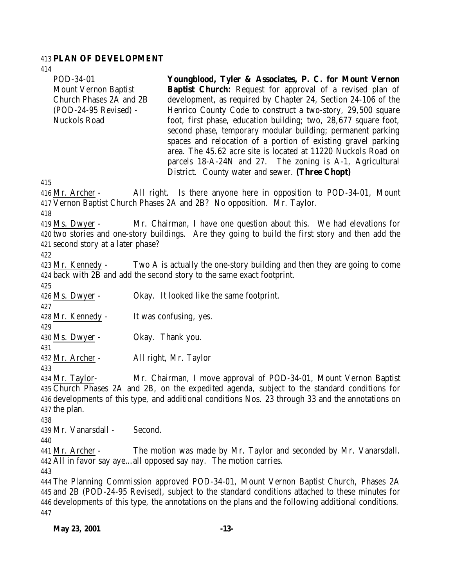### **PLAN OF DEVELOPMENT**

| 414                                                                                                          |                                                                                                                                                                                                                                                                                                                                                                                                                                                                                                                                                                                                                                               |
|--------------------------------------------------------------------------------------------------------------|-----------------------------------------------------------------------------------------------------------------------------------------------------------------------------------------------------------------------------------------------------------------------------------------------------------------------------------------------------------------------------------------------------------------------------------------------------------------------------------------------------------------------------------------------------------------------------------------------------------------------------------------------|
| POD-34-01<br><b>Mount Vernon Baptist</b><br>Church Phases 2A and 2B<br>(POD-24-95 Revised) -<br>Nuckols Road | Youngblood, Tyler & Associates, P. C. for Mount Vernon<br><b>Baptist Church:</b> Request for approval of a revised plan of<br>development, as required by Chapter 24, Section 24-106 of the<br>Henrico County Code to construct a two-story, 29,500 square<br>foot, first phase, education building; two, 28,677 square foot,<br>second phase, temporary modular building; permanent parking<br>spaces and relocation of a portion of existing gravel parking<br>area. The 45.62 acre site is located at 11220 Nuckols Road on<br>parcels 18-A-24N and 27. The zoning is A-1, Agricultural<br>District. County water and sewer. (Three Chopt) |
| 415                                                                                                          |                                                                                                                                                                                                                                                                                                                                                                                                                                                                                                                                                                                                                                               |
| 416 Mr. Archer -                                                                                             | All right. Is there anyone here in opposition to POD-34-01, Mount<br>417 Vernon Baptist Church Phases 2A and 2B? No opposition. Mr. Taylor.                                                                                                                                                                                                                                                                                                                                                                                                                                                                                                   |
| 418                                                                                                          |                                                                                                                                                                                                                                                                                                                                                                                                                                                                                                                                                                                                                                               |
| $419$ Ms. Dwyer -                                                                                            | Mr. Chairman, I have one question about this. We had elevations for<br>420 two stories and one-story buildings. Are they going to build the first story and then add the                                                                                                                                                                                                                                                                                                                                                                                                                                                                      |
| 421 second story at a later phase?<br>422                                                                    |                                                                                                                                                                                                                                                                                                                                                                                                                                                                                                                                                                                                                                               |
| 423 Mr. Kennedy -                                                                                            | Two A is actually the one-story building and then they are going to come<br>424 back with 2B and add the second story to the same exact footprint.                                                                                                                                                                                                                                                                                                                                                                                                                                                                                            |
| 425                                                                                                          |                                                                                                                                                                                                                                                                                                                                                                                                                                                                                                                                                                                                                                               |
| $426$ Ms. Dwyer -<br>427                                                                                     | Okay. It looked like the same footprint.                                                                                                                                                                                                                                                                                                                                                                                                                                                                                                                                                                                                      |
| 428 Mr. Kennedy -<br>429                                                                                     | It was confusing, yes.                                                                                                                                                                                                                                                                                                                                                                                                                                                                                                                                                                                                                        |
| $430$ Ms. Dwyer -<br>431                                                                                     | Okay. Thank you.                                                                                                                                                                                                                                                                                                                                                                                                                                                                                                                                                                                                                              |
| 432 Mr. Archer -<br>433                                                                                      | All right, Mr. Taylor                                                                                                                                                                                                                                                                                                                                                                                                                                                                                                                                                                                                                         |
| 434 Mr. Taylor-<br>437 the plan.<br>438                                                                      | Mr. Chairman, I move approval of POD-34-01, Mount Vernon Baptist<br>435 Church Phases 2A and 2B, on the expedited agenda, subject to the standard conditions for<br>436 developments of this type, and additional conditions Nos. 23 through 33 and the annotations on                                                                                                                                                                                                                                                                                                                                                                        |
| 439 Mr. Vanarsdall -                                                                                         | Second.                                                                                                                                                                                                                                                                                                                                                                                                                                                                                                                                                                                                                                       |
| 440<br>441 Mr. Archer -                                                                                      | The motion was made by Mr. Taylor and seconded by Mr. Vanarsdall.<br>442 All in favor say ayeall opposed say nay. The motion carries.                                                                                                                                                                                                                                                                                                                                                                                                                                                                                                         |
| 443<br>447                                                                                                   | 444 The Planning Commission approved POD-34-01, Mount Vernon Baptist Church, Phases 2A<br>445 and 2B (POD-24-95 Revised), subject to the standard conditions attached to these minutes for<br>446 developments of this type, the annotations on the plans and the following additional conditions.                                                                                                                                                                                                                                                                                                                                            |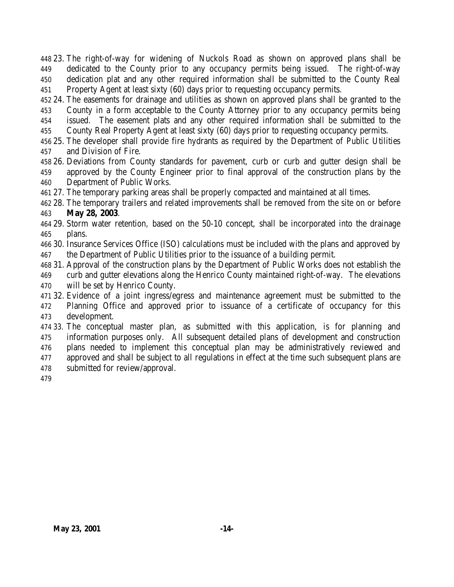23. The right-of-way for widening of Nuckols Road as shown on approved plans shall be dedicated to the County prior to any occupancy permits being issued. The right-of-way dedication plat and any other required information shall be submitted to the County Real Property Agent at least sixty (60) days prior to requesting occupancy permits.

 24. The easements for drainage and utilities as shown on approved plans shall be granted to the County in a form acceptable to the County Attorney prior to any occupancy permits being issued. The easement plats and any other required information shall be submitted to the County Real Property Agent at least sixty (60) days prior to requesting occupancy permits.

25. The developer shall provide fire hydrants as required by the Department of Public Utilities

and Division of Fire.

- 26. Deviations from County standards for pavement, curb or curb and gutter design shall be approved by the County Engineer prior to final approval of the construction plans by the Department of Public Works.
- 27. The temporary parking areas shall be properly compacted and maintained at all times.

 28. The temporary trailers and related improvements shall be removed from the site on or before **May 28, 2003**.

 29. Storm water retention, based on the 50-10 concept, shall be incorporated into the drainage plans.

 30. Insurance Services Office (ISO) calculations must be included with the plans and approved by the Department of Public Utilities prior to the issuance of a building permit.

31. Approval of the construction plans by the Department of Public Works does not establish the

 curb and gutter elevations along the Henrico County maintained right-of-way. The elevations will be set by Henrico County.

 32. Evidence of a joint ingress/egress and maintenance agreement must be submitted to the Planning Office and approved prior to issuance of a certificate of occupancy for this development.

 33. The conceptual master plan, as submitted with this application, is for planning and information purposes only. All subsequent detailed plans of development and construction plans needed to implement this conceptual plan may be administratively reviewed and approved and shall be subject to all regulations in effect at the time such subsequent plans are submitted for review/approval.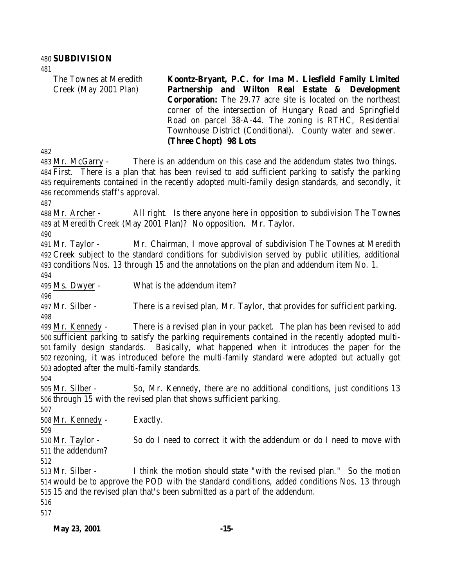#### **SUBDIVISION**

The Townes at Meredith Creek (May 2001 Plan) **Koontz-Bryant, P.C. for Ima M. Liesfield Family Limited Partnership and Wilton Real Estate & Development Corporation:** The 29.77 acre site is located on the northeast corner of the intersection of Hungary Road and Springfield Road on parcel 38-A-44. The zoning is RTHC, Residential Townhouse District (Conditional). County water and sewer. **(Three Chopt) 98 Lots**

 Mr. McGarry - There is an addendum on this case and the addendum states two things. First. There is a plan that has been revised to add sufficient parking to satisfy the parking requirements contained in the recently adopted multi-family design standards, and secondly, it recommends staff's approval.

 Mr. Archer - All right. Is there anyone here in opposition to subdivision The Townes at Meredith Creek (May 2001 Plan)? No opposition. Mr. Taylor.

 Mr. Taylor - Mr. Chairman, I move approval of subdivision The Townes at Meredith Creek subject to the standard conditions for subdivision served by public utilities, additional conditions Nos. 13 through 15 and the annotations on the plan and addendum item No. 1.

Ms. Dwyer - What is the addendum item?

Mr. Silber - There is a revised plan, Mr. Taylor, that provides for sufficient parking.

 Mr. Kennedy - There is a revised plan in your packet. The plan has been revised to add sufficient parking to satisfy the parking requirements contained in the recently adopted multi- family design standards. Basically, what happened when it introduces the paper for the rezoning, it was introduced before the multi-family standard were adopted but actually got adopted after the multi-family standards.

 Mr. Silber - So, Mr. Kennedy, there are no additional conditions, just conditions 13 through 15 with the revised plan that shows sufficient parking.

Mr. Kennedy - Exactly.

 Mr. Taylor - So do I need to correct it with the addendum or do I need to move with the addendum?

 Mr. Silber - I think the motion should state "with the revised plan." So the motion would be to approve the POD with the standard conditions, added conditions Nos. 13 through 15 and the revised plan that's been submitted as a part of the addendum.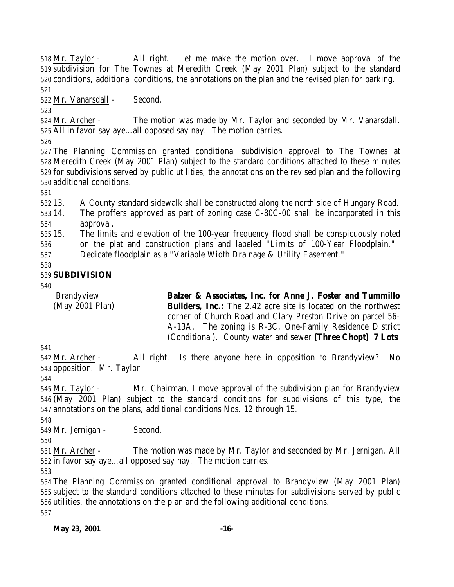Mr. Taylor - All right. Let me make the motion over. I move approval of the subdivision for The Townes at Meredith Creek (May 2001 Plan) subject to the standard conditions, additional conditions, the annotations on the plan and the revised plan for parking. 

Mr. Vanarsdall - Second.

 Mr. Archer - The motion was made by Mr. Taylor and seconded by Mr. Vanarsdall. All in favor say aye…all opposed say nay. The motion carries.

 The Planning Commission granted conditional subdivision approval to The Townes at Meredith Creek (May 2001 Plan) subject to the standard conditions attached to these minutes for subdivisions served by public utilities, the annotations on the revised plan and the following additional conditions.

13. A County standard sidewalk shall be constructed along the north side of Hungary Road.

 14. The proffers approved as part of zoning case C-80C-00 shall be incorporated in this approval.

15. The limits and elevation of the 100-year frequency flood shall be conspicuously noted

on the plat and construction plans and labeled "Limits of 100-Year Floodplain."

Dedicate floodplain as a "Variable Width Drainage & Utility Easement."

### **SUBDIVISION**

Brandyview (May 2001 Plan) **Balzer & Associates, Inc. for Anne J. Foster and Tummillo Builders, Inc.:** The 2.42 acre site is located on the northwest corner of Church Road and Clary Preston Drive on parcel 56- A-13A. The zoning is R-3C, One-Family Residence District (Conditional). County water and sewer **(Three Chopt) 7 Lots**

 Mr. Archer - All right. Is there anyone here in opposition to Brandyview? No opposition. Mr. Taylor

 Mr. Taylor - Mr. Chairman, I move approval of the subdivision plan for Brandyview (May 2001 Plan) subject to the standard conditions for subdivisions of this type, the annotations on the plans, additional conditions Nos. 12 through 15.

Mr. Jernigan - Second.

 Mr. Archer - The motion was made by Mr. Taylor and seconded by Mr. Jernigan. All in favor say aye…all opposed say nay. The motion carries.

 The Planning Commission granted conditional approval to Brandyview (May 2001 Plan) subject to the standard conditions attached to these minutes for subdivisions served by public utilities, the annotations on the plan and the following additional conditions.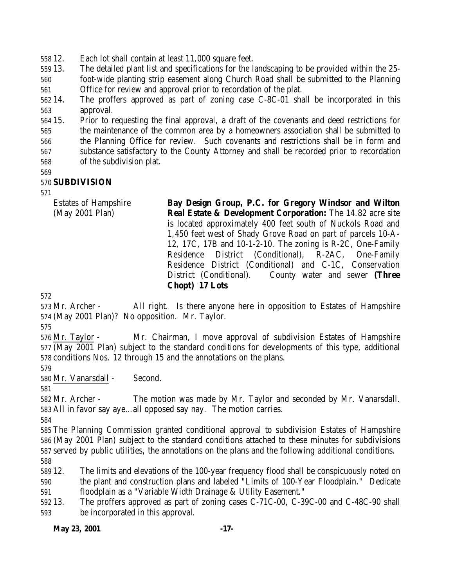12. Each lot shall contain at least 11,000 square feet.

13. The detailed plant list and specifications for the landscaping to be provided within the 25-

 foot-wide planting strip easement along Church Road shall be submitted to the Planning Office for review and approval prior to recordation of the plat.

 14. The proffers approved as part of zoning case C-8C-01 shall be incorporated in this approval.

 15. Prior to requesting the final approval, a draft of the covenants and deed restrictions for the maintenance of the common area by a homeowners association shall be submitted to the Planning Office for review. Such covenants and restrictions shall be in form and substance satisfactory to the County Attorney and shall be recorded prior to recordation of the subdivision plat.

### **SUBDIVISION**

Estates of Hampshire (May 2001 Plan) **Bay Design Group, P.C. for Gregory Windsor and Wilton Real Estate & Development Corporation:** The 14.82 acre site is located approximately 400 feet south of Nuckols Road and 1,450 feet west of Shady Grove Road on part of parcels 10-A-12, 17C, 17B and 10-1-2-10. The zoning is R-2C, One-Family Residence District (Conditional), R-2AC, One-Family Residence District (Conditional) and C-1C, Conservation District (Conditional). County water and sewer **(Three Chopt) 17 Lots**

 Mr. Archer - All right. Is there anyone here in opposition to Estates of Hampshire (May 2001 Plan)? No opposition. Mr. Taylor.

 Mr. Taylor - Mr. Chairman, I move approval of subdivision Estates of Hampshire (May 2001 Plan) subject to the standard conditions for developments of this type, additional conditions Nos. 12 through 15 and the annotations on the plans.

Mr. Vanarsdall - Second.

 Mr. Archer - The motion was made by Mr. Taylor and seconded by Mr. Vanarsdall. All in favor say aye…all opposed say nay. The motion carries.

 The Planning Commission granted conditional approval to subdivision Estates of Hampshire (May 2001 Plan) subject to the standard conditions attached to these minutes for subdivisions served by public utilities, the annotations on the plans and the following additional conditions. 

 12. The limits and elevations of the 100-year frequency flood shall be conspicuously noted on the plant and construction plans and labeled "Limits of 100-Year Floodplain." Dedicate floodplain as a "Variable Width Drainage & Utility Easement."

 13. The proffers approved as part of zoning cases C-71C-00, C-39C-00 and C-48C-90 shall be incorporated in this approval.

**May 23, 2001 -17-**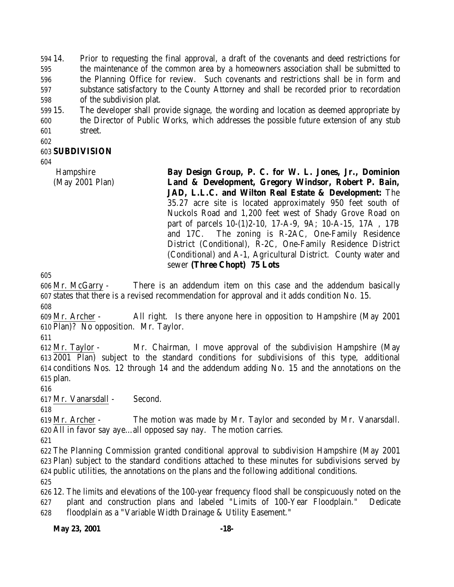14. Prior to requesting the final approval, a draft of the covenants and deed restrictions for the maintenance of the common area by a homeowners association shall be submitted to the Planning Office for review. Such covenants and restrictions shall be in form and substance satisfactory to the County Attorney and shall be recorded prior to recordation of the subdivision plat.

 15. The developer shall provide signage, the wording and location as deemed appropriate by the Director of Public Works, which addresses the possible future extension of any stub street.

### **SUBDIVISION**

 Hampshire (May 2001 Plan) **Bay Design Group, P. C. for W. L. Jones, Jr., Dominion Land & Development, Gregory Windsor, Robert P. Bain, JAD, L.L.C. and Wilton Real Estate & Development:** The 35.27 acre site is located approximately 950 feet south of Nuckols Road and 1,200 feet west of Shady Grove Road on part of parcels 10-(1)2-10, 17-A-9, 9A; 10-A-15, 17A , 17B and 17C. The zoning is R-2AC, One-Family Residence District (Conditional), R-2C, One-Family Residence District (Conditional) and A-1, Agricultural District. County water and sewer **(Three Chopt) 75 Lots**

 Mr. McGarry - There is an addendum item on this case and the addendum basically states that there is a revised recommendation for approval and it adds condition No. 15. 

 Mr. Archer - All right. Is there anyone here in opposition to Hampshire (May 2001 Plan)? No opposition. Mr. Taylor.

 Mr. Taylor - Mr. Chairman, I move approval of the subdivision Hampshire (May 2001 Plan) subject to the standard conditions for subdivisions of this type, additional conditions Nos. 12 through 14 and the addendum adding No. 15 and the annotations on the plan.

Mr. Vanarsdall - Second.

 Mr. Archer - The motion was made by Mr. Taylor and seconded by Mr. Vanarsdall. All in favor say aye…all opposed say nay. The motion carries.

 The Planning Commission granted conditional approval to subdivision Hampshire (May 2001 Plan) subject to the standard conditions attached to these minutes for subdivisions served by public utilities, the annotations on the plans and the following additional conditions. 

 12. The limits and elevations of the 100-year frequency flood shall be conspicuously noted on the plant and construction plans and labeled "Limits of 100-Year Floodplain." Dedicate floodplain as a "Variable Width Drainage & Utility Easement."

#### **May 23, 2001 -18-**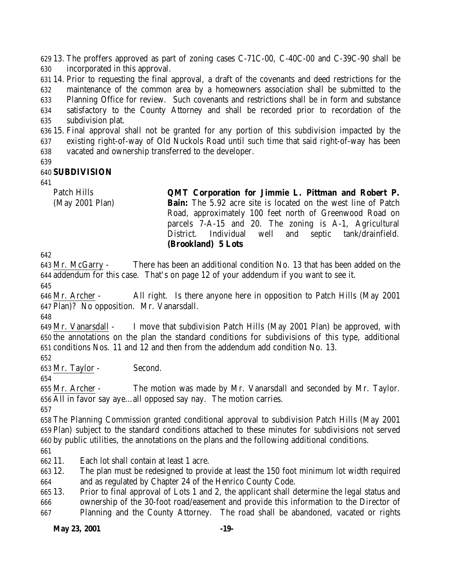13. The proffers approved as part of zoning cases C-71C-00, C-40C-00 and C-39C-90 shall be incorporated in this approval.

 14. Prior to requesting the final approval, a draft of the covenants and deed restrictions for the maintenance of the common area by a homeowners association shall be submitted to the Planning Office for review. Such covenants and restrictions shall be in form and substance satisfactory to the County Attorney and shall be recorded prior to recordation of the subdivision plat.

 15. Final approval shall not be granted for any portion of this subdivision impacted by the existing right-of-way of Old Nuckols Road until such time that said right-of-way has been vacated and ownership transferred to the developer.

#### **SUBDIVISION**

Patch Hills

(May 2001 Plan)

**QMT Corporation for Jimmie L. Pittman and Robert P. Bain:** The 5.92 acre site is located on the west line of Patch Road, approximately 100 feet north of Greenwood Road on parcels 7-A-15 and 20. The zoning is A-1, Agricultural District. Individual well and septic tank/drainfield. **(Brookland) 5 Lots**

 Mr. McGarry - There has been an additional condition No. 13 that has been added on the addendum for this case. That's on page 12 of your addendum if you want to see it. 

 Mr. Archer - All right. Is there anyone here in opposition to Patch Hills (May 2001 Plan)? No opposition. Mr. Vanarsdall.

 Mr. Vanarsdall - I move that subdivision Patch Hills (May 2001 Plan) be approved, with the annotations on the plan the standard conditions for subdivisions of this type, additional conditions Nos. 11 and 12 and then from the addendum add condition No. 13.

Mr. Taylor - Second.

 Mr. Archer - The motion was made by Mr. Vanarsdall and seconded by Mr. Taylor. All in favor say aye…all opposed say nay. The motion carries.

 The Planning Commission granted conditional approval to subdivision Patch Hills (May 2001 Plan) subject to the standard conditions attached to these minutes for subdivisions not served by public utilities, the annotations on the plans and the following additional conditions.

11. Each lot shall contain at least 1 acre.

 12. The plan must be redesigned to provide at least the 150 foot minimum lot width required and as regulated by Chapter 24 of the Henrico County Code.

 13. Prior to final approval of Lots 1 and 2, the applicant shall determine the legal status and ownership of the 30-foot road/easement and provide this information to the Director of Planning and the County Attorney. The road shall be abandoned, vacated or rights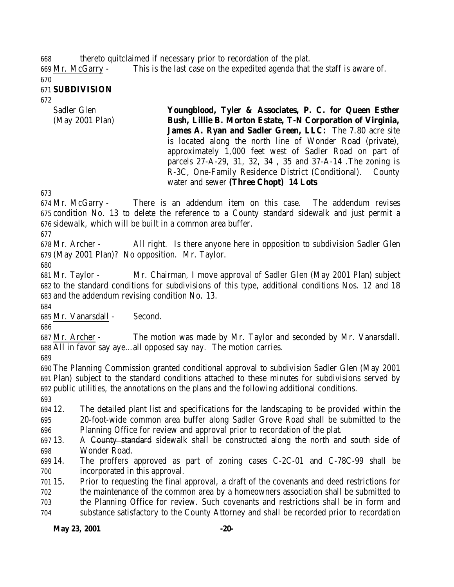thereto quitclaimed if necessary prior to recordation of the plat.

 Mr. McGarry - This is the last case on the expedited agenda that the staff is aware of. 

**SUBDIVISION**

- 
- Sadler Glen (May 2001 Plan)

**Youngblood, Tyler & Associates, P. C. for Queen Esther Bush, Lillie B. Morton Estate, T-N Corporation of Virginia, James A. Ryan and Sadler Green, LLC:** The 7.80 acre site is located along the north line of Wonder Road (private), approximately 1,000 feet west of Sadler Road on part of parcels 27-A-29, 31, 32, 34 , 35 and 37-A-14 .The zoning is R-3C, One-Family Residence District (Conditional). County water and sewer **(Three Chopt) 14 Lots**

 Mr. McGarry - There is an addendum item on this case. The addendum revises condition No. 13 to delete the reference to a County standard sidewalk and just permit a sidewalk, which will be built in a common area buffer.

 Mr. Archer - All right. Is there anyone here in opposition to subdivision Sadler Glen (May 2001 Plan)? No opposition. Mr. Taylor.

 Mr. Taylor - Mr. Chairman, I move approval of Sadler Glen (May 2001 Plan) subject to the standard conditions for subdivisions of this type, additional conditions Nos. 12 and 18 and the addendum revising condition No. 13.

Mr. Vanarsdall - Second.

 Mr. Archer - The motion was made by Mr. Taylor and seconded by Mr. Vanarsdall. All in favor say aye…all opposed say nay. The motion carries.

 The Planning Commission granted conditional approval to subdivision Sadler Glen (May 2001 Plan) subject to the standard conditions attached to these minutes for subdivisions served by public utilities, the annotations on the plans and the following additional conditions.

 12. The detailed plant list and specifications for the landscaping to be provided within the 20-foot-wide common area buffer along Sadler Grove Road shall be submitted to the Planning Office for review and approval prior to recordation of the plat.

697 13. A County standard sidewalk shall be constructed along the north and south side of Wonder Road.

 14. The proffers approved as part of zoning cases C-2C-01 and C-78C-99 shall be incorporated in this approval.

 15. Prior to requesting the final approval, a draft of the covenants and deed restrictions for the maintenance of the common area by a homeowners association shall be submitted to the Planning Office for review. Such covenants and restrictions shall be in form and substance satisfactory to the County Attorney and shall be recorded prior to recordation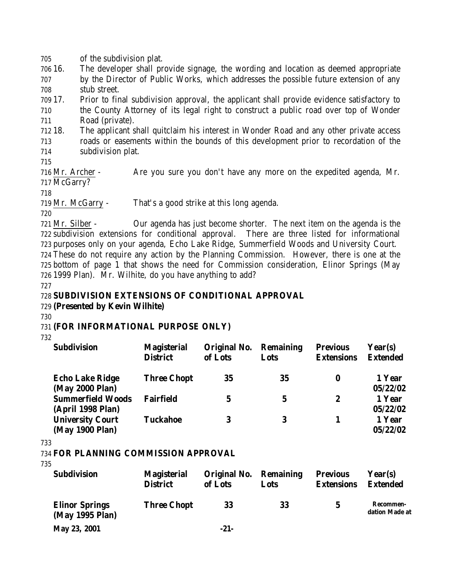705 of the subdivision plat.

706 16. The developer shall provide signage, the wording and location as deemed appropriate 707 by the Director of Public Works, which addresses the possible future extension of any 708 stub street.

709 17. Prior to final subdivision approval, the applicant shall provide evidence satisfactory to 710 the County Attorney of its legal right to construct a public road over top of Wonder 711 Road (private).

712 18. The applicant shall quitclaim his interest in Wonder Road and any other private access 713 roads or easements within the bounds of this development prior to recordation of the 714 subdivision plat.

715

716 Mr. Archer - Are you sure you don't have any more on the expedited agenda, Mr. 717 McGarry?

718

719 Mr. McGarry - That's a good strike at this long agenda.

720

 Mr. Silber - Our agenda has just become shorter. The next item on the agenda is the subdivision extensions for conditional approval. There are three listed for informational purposes only on your agenda, Echo Lake Ridge, Summerfield Woods and University Court. These do not require any action by the Planning Commission. However, there is one at the bottom of page 1 that shows the need for Commission consideration, Elinor Springs (May 1999 Plan). Mr. Wilhite, do you have anything to add?

727

728 **SUBDIVISION EXTENSIONS OF CONDITIONAL APPROVAL**

729 **(Presented by Kevin Wilhite)**

730

### 731 **(FOR INFORMATIONAL PURPOSE ONLY)**

732

| <b>Subdivision</b>                            | <b>Magisterial</b><br><b>District</b> | Original No.<br>of Lots | <b>Remaining</b><br>Lots | <b>Previous</b><br><b>Extensions</b> | Year(s)<br><b>Extended</b> |
|-----------------------------------------------|---------------------------------------|-------------------------|--------------------------|--------------------------------------|----------------------------|
| <b>Echo Lake Ridge</b><br>(May 2000 Plan)     | <b>Three Chopt</b>                    | 35                      | 35                       | 0                                    | 1 Year<br>05/22/02         |
| <b>Summerfield Woods</b><br>(April 1998 Plan) | <b>Fairfield</b>                      | $\mathbf 5$             | $\mathbf 5$              | 2                                    | 1 Year<br>05/22/02         |
| <b>University Court</b><br>(May 1900 Plan)    | <b>Tuckahoe</b>                       | 3                       | 3                        |                                      | 1 Year<br>05/22/02         |

733

734 **FOR PLANNING COMMISSION APPROVAL**

| <b>Subdivision</b>                       | <b>Magisterial</b><br><b>District</b> | Original No.<br>of Lots | <b>Remaining</b><br>Lots | <b>Previous</b><br><b>Extensions</b> | Year(s)<br><b>Extended</b>         |
|------------------------------------------|---------------------------------------|-------------------------|--------------------------|--------------------------------------|------------------------------------|
| <b>Elinor Springs</b><br>(May 1995 Plan) | <b>Three Chopt</b>                    | 33                      | 33                       | 5                                    | <b>Recommen-</b><br>dation Made at |
| May 23, 2001                             |                                       | $-21-$                  |                          |                                      |                                    |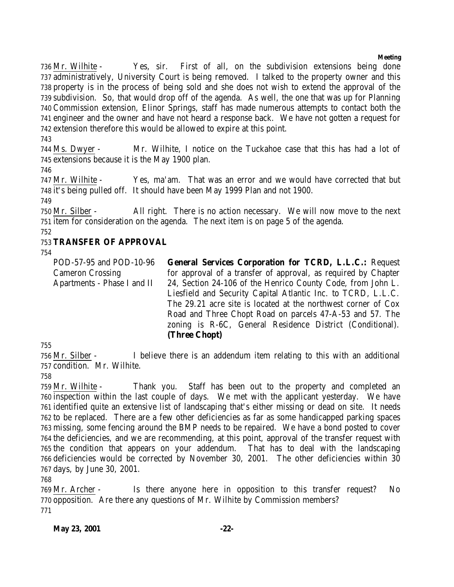#### **Meeting**

 Mr. Wilhite - Yes, sir. First of all, on the subdivision extensions being done administratively, University Court is being removed. I talked to the property owner and this property is in the process of being sold and she does not wish to extend the approval of the subdivision. So, that would drop off of the agenda. As well, the one that was up for Planning Commission extension, Elinor Springs, staff has made numerous attempts to contact both the engineer and the owner and have not heard a response back. We have not gotten a request for extension therefore this would be allowed to expire at this point.

 Ms. Dwyer - Mr. Wilhite, I notice on the Tuckahoe case that this has had a lot of extensions because it is the May 1900 plan.

 Mr. Wilhite - Yes, ma'am. That was an error and we would have corrected that but it's being pulled off. It should have been May 1999 Plan and not 1900.

 Mr. Silber - All right. There is no action necessary. We will now move to the next item for consideration on the agenda. The next item is on page 5 of the agenda. 

### **TRANSFER OF APPROVAL**

POD-57-95 and POD-10-96 Cameron Crossing Apartments - Phase I and II **General Services Corporation for TCRD, L.L.C.:** Request for approval of a transfer of approval, as required by Chapter 24, Section 24-106 of the Henrico County Code, from John L. Liesfield and Security Capital Atlantic Inc. to TCRD, L.L.C. The 29.21 acre site is located at the northwest corner of Cox Road and Three Chopt Road on parcels 47-A-53 and 57. The zoning is R-6C, General Residence District (Conditional). **(Three Chopt)**

 Mr. Silber - I believe there is an addendum item relating to this with an additional condition. Mr. Wilhite.

 Mr. Wilhite - Thank you. Staff has been out to the property and completed an inspection within the last couple of days. We met with the applicant yesterday. We have identified quite an extensive list of landscaping that's either missing or dead on site. It needs to be replaced. There are a few other deficiencies as far as some handicapped parking spaces missing, some fencing around the BMP needs to be repaired. We have a bond posted to cover the deficiencies, and we are recommending, at this point, approval of the transfer request with the condition that appears on your addendum. That has to deal with the landscaping deficiencies would be corrected by November 30, 2001. The other deficiencies within 30 days, by June 30, 2001.

 Mr. Archer - Is there anyone here in opposition to this transfer request? No opposition. Are there any questions of Mr. Wilhite by Commission members?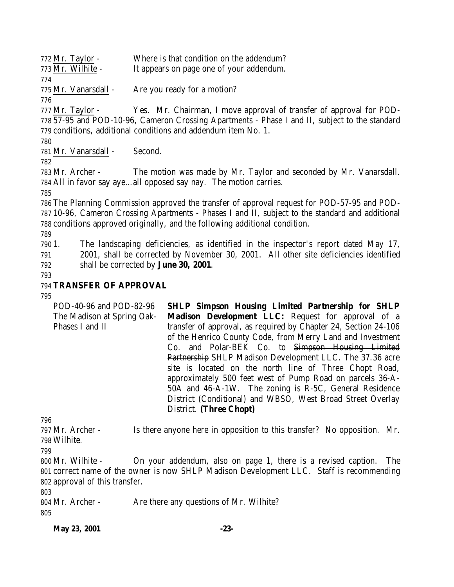| 772 Mr. Taylor -  | Where is that condition on the addendum? |
|-------------------|------------------------------------------|
| 773 Mr. Wilhite - | It appears on page one of your addendum. |
| 774               |                                          |

Mr. Vanarsdall - Are you ready for a motion?

 Mr. Taylor - Yes. Mr. Chairman, I move approval of transfer of approval for POD- 57-95 and POD-10-96, Cameron Crossing Apartments - Phase I and II, subject to the standard conditions, additional conditions and addendum item No. 1.

Mr. Vanarsdall - Second.

 Mr. Archer - The motion was made by Mr. Taylor and seconded by Mr. Vanarsdall. All in favor say aye…all opposed say nay. The motion carries.

 The Planning Commission approved the transfer of approval request for POD-57-95 and POD- 10-96, Cameron Crossing Apartments - Phases I and II, subject to the standard and additional conditions approved originally, and the following additional condition.

 1. The landscaping deficiencies, as identified in the inspector's report dated May 17, 2001, shall be corrected by November 30, 2001. All other site deficiencies identified shall be corrected by **June 30, 2001**.

### **TRANSFER OF APPROVAL**

POD-40-96 and POD-82-96 The Madison at Spring Oak-Phases I and II **SHLP Simpson Housing Limited Partnership for SHLP Madison Development LLC:** Request for approval of a transfer of approval, as required by Chapter 24, Section 24-106 of the Henrico County Code, from Merry Land and Investment Co. and Polar-BEK Co. to Simpson Housing Limited Partnership SHLP Madison Development LLC. The 37.36 acre site is located on the north line of Three Chopt Road, approximately 500 feet west of Pump Road on parcels 36-A-50A and 46-A-1W. The zoning is R-5C, General Residence District (Conditional) and WBSO, West Broad Street Overlay District. **(Three Chopt)**

 Mr. Archer - Is there anyone here in opposition to this transfer? No opposition. Mr. Wilhite.

 Mr. Wilhite - On your addendum, also on page 1, there is a revised caption. The correct name of the owner is now SHLP Madison Development LLC. Staff is recommending approval of this transfer.

 Mr. Archer - Are there any questions of Mr. Wilhite? 

**May 23, 2001 -23-**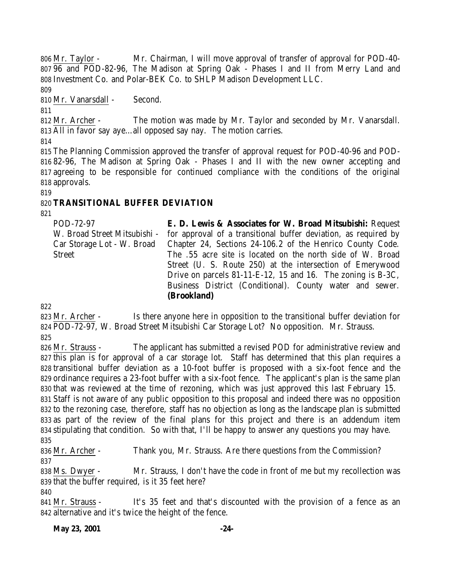Mr. Taylor - Mr. Chairman, I will move approval of transfer of approval for POD-40- 96 and POD-82-96, The Madison at Spring Oak - Phases I and II from Merry Land and Investment Co. and Polar-BEK Co. to SHLP Madison Development LLC.

Mr. Vanarsdall - Second.

 Mr. Archer - The motion was made by Mr. Taylor and seconded by Mr. Vanarsdall. All in favor say aye…all opposed say nay. The motion carries.

 The Planning Commission approved the transfer of approval request for POD-40-96 and POD- 82-96, The Madison at Spring Oak - Phases I and II with the new owner accepting and agreeing to be responsible for continued compliance with the conditions of the original approvals.

## **TRANSITIONAL BUFFER DEVIATION**

POD-72-97 W. Broad Street Mitsubishi - Car Storage Lot - W. Broad **Street E. D. Lewis & Associates for W. Broad Mitsubishi:** Request for approval of a transitional buffer deviation, as required by Chapter 24, Sections 24-106.2 of the Henrico County Code. The .55 acre site is located on the north side of W. Broad Street (U. S. Route 250) at the intersection of Emerywood Drive on parcels 81-11-E-12, 15 and 16. The zoning is B-3C, Business District (Conditional). County water and sewer. **(Brookland)**

 Mr. Archer - Is there anyone here in opposition to the transitional buffer deviation for POD-72-97, W. Broad Street Mitsubishi Car Storage Lot? No opposition. Mr. Strauss. 

 Mr. Strauss - The applicant has submitted a revised POD for administrative review and this plan is for approval of a car storage lot. Staff has determined that this plan requires a transitional buffer deviation as a 10-foot buffer is proposed with a six-foot fence and the ordinance requires a 23-foot buffer with a six-foot fence. The applicant's plan is the same plan that was reviewed at the time of rezoning, which was just approved this last February 15. Staff is not aware of any public opposition to this proposal and indeed there was no opposition to the rezoning case, therefore, staff has no objection as long as the landscape plan is submitted as part of the review of the final plans for this project and there is an addendum item stipulating that condition. So with that, I'll be happy to answer any questions you may have. 

 Mr. Archer - Thank you, Mr. Strauss. Are there questions from the Commission? 

838 Ms. Dwyer - Mr. Strauss, I don't have the code in front of me but my recollection was that the buffer required, is it 35 feet here?

 Mr. Strauss - It's 35 feet and that's discounted with the provision of a fence as an alternative and it's twice the height of the fence.

**May 23, 2001 -24-**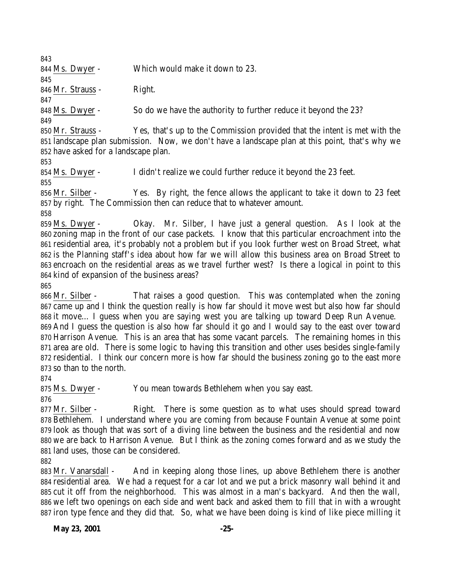Ms. Dwyer - Which would make it down to 23. 846 Mr. Strauss - Right. Ms. Dwyer - So do we have the authority to further reduce it beyond the 23? Mr. Strauss - Yes, that's up to the Commission provided that the intent is met with the landscape plan submission. Now, we don't have a landscape plan at this point, that's why we have asked for a landscape plan. Ms. Dwyer - I didn't realize we could further reduce it beyond the 23 feet. Mr. Silber - Yes. By right, the fence allows the applicant to take it down to 23 feet by right. The Commission then can reduce that to whatever amount. Ms. Dwyer - Okay. Mr. Silber, I have just a general question. As I look at the zoning map in the front of our case packets. I know that this particular encroachment into the residential area, it's probably not a problem but if you look further west on Broad Street, what is the Planning staff's idea about how far we will allow this business area on Broad Street to encroach on the residential areas as we travel further west? Is there a logical in point to this kind of expansion of the business areas? Mr. Silber - That raises a good question. This was contemplated when the zoning came up and I think the question really is how far should it move west but also how far should it move… I guess when you are saying west you are talking up toward Deep Run Avenue. And I guess the question is also how far should it go and I would say to the east over toward Harrison Avenue. This is an area that has some vacant parcels. The remaining homes in this area are old. There is some logic to having this transition and other uses besides single-family residential. I think our concern more is how far should the business zoning go to the east more so than to the north. Ms. Dwyer - You mean towards Bethlehem when you say east. Mr. Silber - Right. There is some question as to what uses should spread toward Bethlehem. I understand where you are coming from because Fountain Avenue at some point look as though that was sort of a diving line between the business and the residential and now

 Mr. Vanarsdall - And in keeping along those lines, up above Bethlehem there is another residential area. We had a request for a car lot and we put a brick masonry wall behind it and cut it off from the neighborhood. This was almost in a man's backyard. And then the wall, we left two openings on each side and went back and asked them to fill that in with a wrought iron type fence and they did that. So, what we have been doing is kind of like piece milling it

we are back to Harrison Avenue. But I think as the zoning comes forward and as we study the

land uses, those can be considered.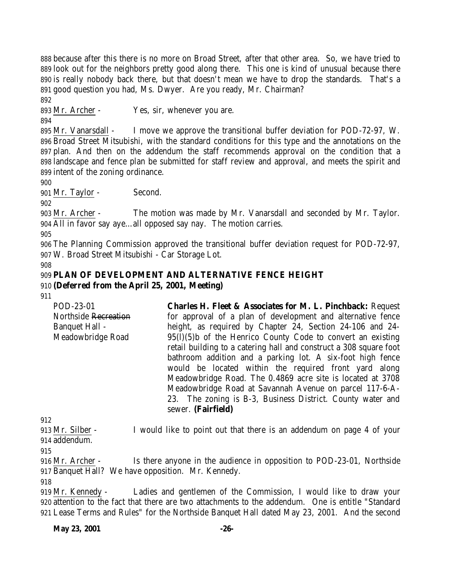because after this there is no more on Broad Street, after that other area. So, we have tried to look out for the neighbors pretty good along there. This one is kind of unusual because there is really nobody back there, but that doesn't mean we have to drop the standards. That's a good question you had, Ms. Dwyer. Are you ready, Mr. Chairman?

Mr. Archer - Yes, sir, whenever you are.

 Mr. Vanarsdall - I move we approve the transitional buffer deviation for POD-72-97, W. Broad Street Mitsubishi, with the standard conditions for this type and the annotations on the plan. And then on the addendum the staff recommends approval on the condition that a landscape and fence plan be submitted for staff review and approval, and meets the spirit and intent of the zoning ordinance.

Mr. Taylor - Second.

 Mr. Archer - The motion was made by Mr. Vanarsdall and seconded by Mr. Taylor. All in favor say aye…all opposed say nay. The motion carries.

 The Planning Commission approved the transitional buffer deviation request for POD-72-97, W. Broad Street Mitsubishi - Car Storage Lot.

#### **PLAN OF DEVELOPMENT AND ALTERNATIVE FENCE HEIGHT (Deferred from the April 25, 2001, Meeting)**

POD-23-01 Northside Recreation Banquet Hall - Meadowbridge Road **Charles H. Fleet & Associates for M. L. Pinchback:** Request for approval of a plan of development and alternative fence height, as required by Chapter 24, Section 24-106 and 24-95(l)(5)b of the Henrico County Code to convert an existing retail building to a catering hall and construct a 308 square foot bathroom addition and a parking lot. A six-foot high fence would be located within the required front yard along Meadowbridge Road. The 0.4869 acre site is located at 3708 Meadowbridge Road at Savannah Avenue on parcel 117-6-A-23. The zoning is B-3, Business District. County water and sewer. **(Fairfield)**

 Mr. Silber - I would like to point out that there is an addendum on page 4 of your addendum.

 Mr. Archer - Is there anyone in the audience in opposition to POD-23-01, Northside Banquet Hall? We have opposition. Mr. Kennedy.

 Mr. Kennedy - Ladies and gentlemen of the Commission, I would like to draw your attention to the fact that there are two attachments to the addendum. One is entitle "Standard Lease Terms and Rules" for the Northside Banquet Hall dated May 23, 2001. And the second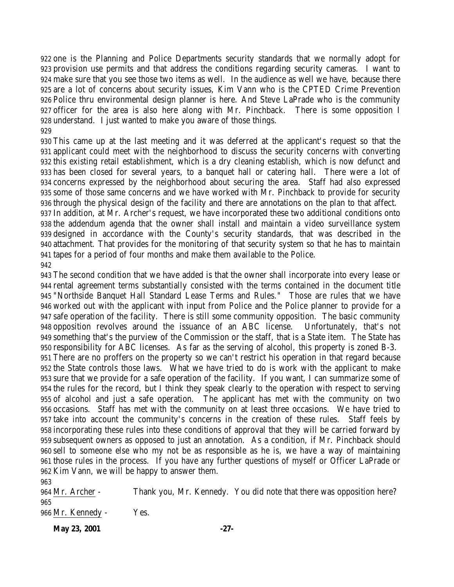one is the Planning and Police Departments security standards that we normally adopt for provision use permits and that address the conditions regarding security cameras. I want to make sure that you see those two items as well. In the audience as well we have, because there are a lot of concerns about security issues, Kim Vann who is the CPTED Crime Prevention Police thru environmental design planner is here. And Steve LaPrade who is the community officer for the area is also here along with Mr. Pinchback. There is some opposition I understand. I just wanted to make you aware of those things.

 This came up at the last meeting and it was deferred at the applicant's request so that the applicant could meet with the neighborhood to discuss the security concerns with converting this existing retail establishment, which is a dry cleaning establish, which is now defunct and has been closed for several years, to a banquet hall or catering hall. There were a lot of concerns expressed by the neighborhood about securing the area. Staff had also expressed some of those same concerns and we have worked with Mr. Pinchback to provide for security through the physical design of the facility and there are annotations on the plan to that affect. In addition, at Mr. Archer's request, we have incorporated these two additional conditions onto the addendum agenda that the owner shall install and maintain a video surveillance system designed in accordance with the County's security standards, that was described in the attachment. That provides for the monitoring of that security system so that he has to maintain tapes for a period of four months and make them available to the Police.

 The second condition that we have added is that the owner shall incorporate into every lease or rental agreement terms substantially consisted with the terms contained in the document title "Northside Banquet Hall Standard Lease Terms and Rules." Those are rules that we have worked out with the applicant with input from Police and the Police planner to provide for a safe operation of the facility. There is still some community opposition. The basic community opposition revolves around the issuance of an ABC license. Unfortunately, that's not something that's the purview of the Commission or the staff, that is a State item. The State has responsibility for ABC licenses. As far as the serving of alcohol, this property is zoned B-3. There are no proffers on the property so we can't restrict his operation in that regard because the State controls those laws. What we have tried to do is work with the applicant to make sure that we provide for a safe operation of the facility. If you want, I can summarize some of the rules for the record, but I think they speak clearly to the operation with respect to serving of alcohol and just a safe operation. The applicant has met with the community on two occasions. Staff has met with the community on at least three occasions. We have tried to take into account the community's concerns in the creation of these rules. Staff feels by incorporating these rules into these conditions of approval that they will be carried forward by subsequent owners as opposed to just an annotation. As a condition, if Mr. Pinchback should sell to someone else who my not be as responsible as he is, we have a way of maintaining those rules in the process. If you have any further questions of myself or Officer LaPrade or Kim Vann, we will be happy to answer them.

 Mr. Archer - Thank you, Mr. Kennedy. You did note that there was opposition here? Mr. Kennedy - Yes.

**May 23, 2001 -27-**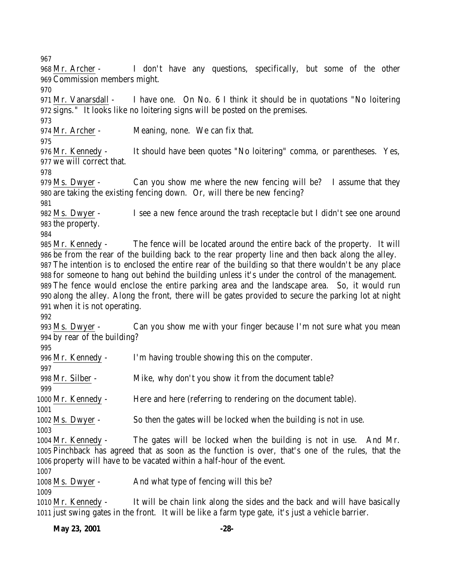Mr. Archer - I don't have any questions, specifically, but some of the other Commission members might. Mr. Vanarsdall - I have one. On No. 6 I think it should be in quotations "No loitering signs." It looks like no loitering signs will be posted on the premises. Mr. Archer - Meaning, none. We can fix that. Mr. Kennedy - It should have been quotes "No loitering" comma, or parentheses. Yes, we will correct that. Ms. Dwyer - Can you show me where the new fencing will be? I assume that they are taking the existing fencing down. Or, will there be new fencing? Ms. Dwyer - I see a new fence around the trash receptacle but I didn't see one around the property. Mr. Kennedy - The fence will be located around the entire back of the property. It will be from the rear of the building back to the rear property line and then back along the alley. The intention is to enclosed the entire rear of the building so that there wouldn't be any place for someone to hang out behind the building unless it's under the control of the management. The fence would enclose the entire parking area and the landscape area. So, it would run along the alley. Along the front, there will be gates provided to secure the parking lot at night when it is not operating. Ms. Dwyer - Can you show me with your finger because I'm not sure what you mean by rear of the building? Mr. Kennedy - I'm having trouble showing this on the computer. 998 Mr. Silber - Mike, why don't you show it from the document table? Mr. Kennedy - Here and here (referring to rendering on the document table). Ms. Dwyer - So then the gates will be locked when the building is not in use. Mr. Kennedy - The gates will be locked when the building is not in use. And Mr. Pinchback has agreed that as soon as the function is over, that's one of the rules, that the property will have to be vacated within a half-hour of the event. Ms. Dwyer - And what type of fencing will this be? Mr. Kennedy - It will be chain link along the sides and the back and will have basically just swing gates in the front. It will be like a farm type gate, it's just a vehicle barrier.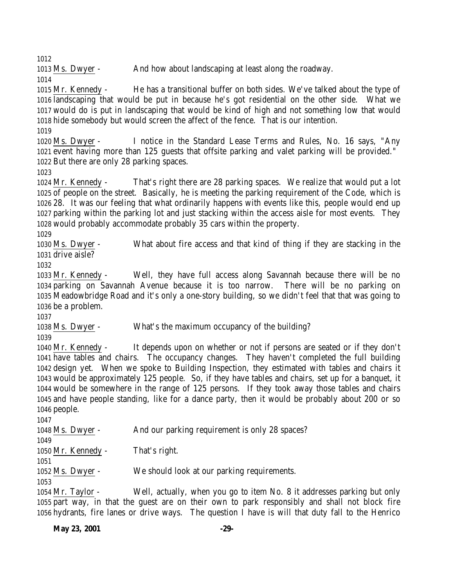Ms. Dwyer - And how about landscaping at least along the roadway.

 Mr. Kennedy - He has a transitional buffer on both sides. We've talked about the type of landscaping that would be put in because he's got residential on the other side. What we would do is put in landscaping that would be kind of high and not something low that would hide somebody but would screen the affect of the fence. That is our intention.

 Ms. Dwyer - I notice in the Standard Lease Terms and Rules, No. 16 says, "Any event having more than 125 guests that offsite parking and valet parking will be provided." But there are only 28 parking spaces.

 Mr. Kennedy - That's right there are 28 parking spaces. We realize that would put a lot of people on the street. Basically, he is meeting the parking requirement of the Code, which is 28. It was our feeling that what ordinarily happens with events like this, people would end up parking within the parking lot and just stacking within the access aisle for most events. They would probably accommodate probably 35 cars within the property.

 Ms. Dwyer - What about fire access and that kind of thing if they are stacking in the drive aisle?

 Mr. Kennedy - Well, they have full access along Savannah because there will be no parking on Savannah Avenue because it is too narrow. There will be no parking on Meadowbridge Road and it's only a one-story building, so we didn't feel that that was going to be a problem.

Ms. Dwyer - What's the maximum occupancy of the building?

 Mr. Kennedy - It depends upon on whether or not if persons are seated or if they don't have tables and chairs. The occupancy changes. They haven't completed the full building design yet. When we spoke to Building Inspection, they estimated with tables and chairs it would be approximately 125 people. So, if they have tables and chairs, set up for a banquet, it would be somewhere in the range of 125 persons. If they took away those tables and chairs and have people standing, like for a dance party, then it would be probably about 200 or so people.

| 1048 Ms. Dwyer -               | And our parking requirement is only 28 spaces?                     |
|--------------------------------|--------------------------------------------------------------------|
| 1049                           |                                                                    |
| 1050 Mr. Kennedy -             | That's right.                                                      |
| 1051                           |                                                                    |
| 1052 Ms. Dwyer -               | We should look at our parking requirements.                        |
| 1053                           |                                                                    |
| $1051$ M <sub>1</sub> $T_{21}$ | $M_{\odot}$ ll actualler extraor signification $M_{\odot}$ Q it as |

 Mr. Taylor - Well, actually, when you go to item No. 8 it addresses parking but only part way, in that the guest are on their own to park responsibly and shall not block fire hydrants, fire lanes or drive ways. The question I have is will that duty fall to the Henrico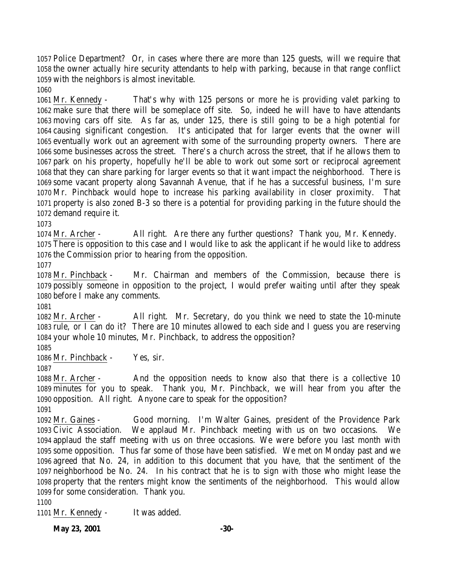Police Department? Or, in cases where there are more than 125 guests, will we require that the owner actually hire security attendants to help with parking, because in that range conflict with the neighbors is almost inevitable. 

 Mr. Kennedy - That's why with 125 persons or more he is providing valet parking to make sure that there will be someplace off site. So, indeed he will have to have attendants moving cars off site. As far as, under 125, there is still going to be a high potential for causing significant congestion. It's anticipated that for larger events that the owner will eventually work out an agreement with some of the surrounding property owners. There are some businesses across the street. There's a church across the street, that if he allows them to park on his property, hopefully he'll be able to work out some sort or reciprocal agreement that they can share parking for larger events so that it want impact the neighborhood. There is some vacant property along Savannah Avenue, that if he has a successful business, I'm sure Mr. Pinchback would hope to increase his parking availability in closer proximity. That property is also zoned B-3 so there is a potential for providing parking in the future should the demand require it.

 Mr. Archer - All right. Are there any further questions? Thank you, Mr. Kennedy. There is opposition to this case and I would like to ask the applicant if he would like to address the Commission prior to hearing from the opposition.

 Mr. Pinchback - Mr. Chairman and members of the Commission, because there is possibly someone in opposition to the project, I would prefer waiting until after they speak before I make any comments.

 Mr. Archer - All right. Mr. Secretary, do you think we need to state the 10-minute rule, or I can do it? There are 10 minutes allowed to each side and I guess you are reserving your whole 10 minutes, Mr. Pinchback, to address the opposition?

Mr. Pinchback - Yes, sir.

1088 Mr. Archer - And the opposition needs to know also that there is a collective 10 minutes for you to speak. Thank you, Mr. Pinchback, we will hear from you after the opposition. All right. Anyone care to speak for the opposition? 

 Mr. Gaines - Good morning. I'm Walter Gaines, president of the Providence Park Civic Association. We applaud Mr. Pinchback meeting with us on two occasions. We applaud the staff meeting with us on three occasions. We were before you last month with some opposition. Thus far some of those have been satisfied. We met on Monday past and we agreed that No. 24, in addition to this document that you have, that the sentiment of the neighborhood be No. 24. In his contract that he is to sign with those who might lease the property that the renters might know the sentiments of the neighborhood. This would allow for some consideration. Thank you.

Mr. Kennedy - It was added.

**May 23, 2001 -30-**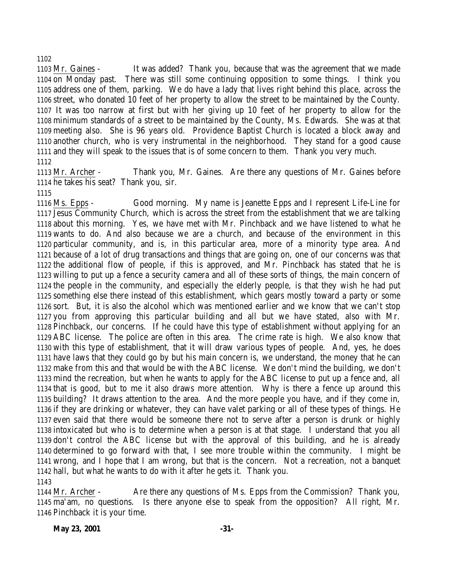#### 

 Mr. Gaines - It was added? Thank you, because that was the agreement that we made on Monday past. There was still some continuing opposition to some things. I think you address one of them, parking. We do have a lady that lives right behind this place, across the street, who donated 10 feet of her property to allow the street to be maintained by the County. It was too narrow at first but with her giving up 10 feet of her property to allow for the minimum standards of a street to be maintained by the County, Ms. Edwards. She was at that meeting also. She is 96 years old. Providence Baptist Church is located a block away and another church, who is very instrumental in the neighborhood. They stand for a good cause and they will speak to the issues that is of some concern to them. Thank you very much. 

 Mr. Archer - Thank you, Mr. Gaines. Are there any questions of Mr. Gaines before he takes his seat? Thank you, sir.

 Ms. Epps - Good morning. My name is Jeanette Epps and I represent Life-Line for Jesus Community Church, which is across the street from the establishment that we are talking about this morning. Yes, we have met with Mr. Pinchback and we have listened to what he wants to do. And also because we are a church, and because of the environment in this particular community, and is, in this particular area, more of a minority type area. And because of a lot of drug transactions and things that are going on, one of our concerns was that the additional flow of people, if this is approved, and Mr. Pinchback has stated that he is willing to put up a fence a security camera and all of these sorts of things, the main concern of the people in the community, and especially the elderly people, is that they wish he had put something else there instead of this establishment, which gears mostly toward a party or some sort. But, it is also the alcohol which was mentioned earlier and we know that we can't stop you from approving this particular building and all but we have stated, also with Mr. Pinchback, our concerns. If he could have this type of establishment without applying for an ABC license. The police are often in this area. The crime rate is high. We also know that with this type of establishment, that it will draw various types of people. And, yes, he does have laws that they could go by but his main concern is, we understand, the money that he can make from this and that would be with the ABC license. We don't mind the building, we don't mind the recreation, but when he wants to apply for the ABC license to put up a fence and, all that is good, but to me it also draws more attention. Why is there a fence up around this building? It draws attention to the area. And the more people you have, and if they come in, if they are drinking or whatever, they can have valet parking or all of these types of things. He even said that there would be someone there not to serve after a person is drunk or highly intoxicated but who is to determine when a person is at that stage. I understand that you all don't control the ABC license but with the approval of this building, and he is already determined to go forward with that, I see more trouble within the community. I might be wrong, and I hope that I am wrong, but that is the concern. Not a recreation, not a banquet hall, but what he wants to do with it after he gets it. Thank you. 

 Mr. Archer - Are there any questions of Ms. Epps from the Commission? Thank you, ma'am, no questions. Is there anyone else to speak from the opposition? All right, Mr. Pinchback it is your time.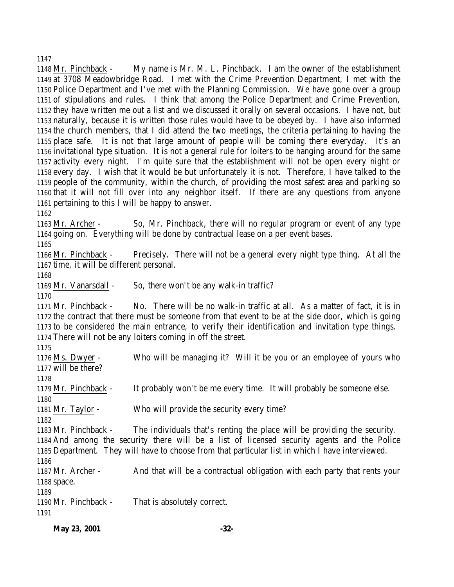Mr. Pinchback - My name is Mr. M. L. Pinchback. I am the owner of the establishment at 3708 Meadowbridge Road. I met with the Crime Prevention Department, I met with the Police Department and I've met with the Planning Commission. We have gone over a group of stipulations and rules. I think that among the Police Department and Crime Prevention, they have written me out a list and we discussed it orally on several occasions. I have not, but naturally, because it is written those rules would have to be obeyed by. I have also informed the church members, that I did attend the two meetings, the criteria pertaining to having the place safe. It is not that large amount of people will be coming there everyday. It's an invitational type situation. It is not a general rule for loiters to be hanging around for the same activity every night. I'm quite sure that the establishment will not be open every night or every day. I wish that it would be but unfortunately it is not. Therefore, I have talked to the people of the community, within the church, of providing the most safest area and parking so that it will not fill over into any neighbor itself. If there are any questions from anyone pertaining to this I will be happy to answer.

 Mr. Archer - So, Mr. Pinchback, there will no regular program or event of any type going on. Everything will be done by contractual lease on a per event bases.

 Mr. Pinchback - Precisely. There will not be a general every night type thing. At all the time, it will be different personal.

Mr. Vanarsdall - So, there won't be any walk-in traffic?

 Mr. Pinchback - No. There will be no walk-in traffic at all. As a matter of fact, it is in the contract that there must be someone from that event to be at the side door, which is going to be considered the main entrance, to verify their identification and invitation type things. There will not be any loiters coming in off the street.

 Ms. Dwyer - Who will be managing it? Will it be you or an employee of yours who will be there? Mr. Pinchback - It probably won't be me every time. It will probably be someone else. Mr. Taylor - Who will provide the security every time? Mr. Pinchback - The individuals that's renting the place will be providing the security. And among the security there will be a list of licensed security agents and the Police Department. They will have to choose from that particular list in which I have interviewed. Mr. Archer - And that will be a contractual obligation with each party that rents your space. Mr. Pinchback - That is absolutely correct.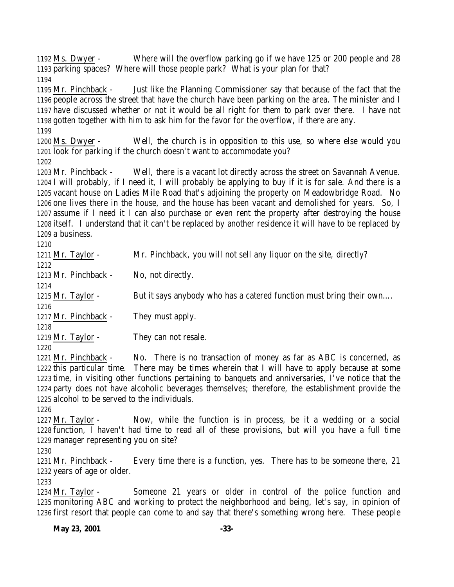Ms. Dwyer - Where will the overflow parking go if we have 125 or 200 people and 28 parking spaces? Where will those people park? What is your plan for that? Mr. Pinchback - Just like the Planning Commissioner say that because of the fact that the people across the street that have the church have been parking on the area. The minister and I have discussed whether or not it would be all right for them to park over there. I have not gotten together with him to ask him for the favor for the overflow, if there are any. Ms. Dwyer - Well, the church is in opposition to this use, so where else would you look for parking if the church doesn't want to accommodate you? Mr. Pinchback - Well, there is a vacant lot directly across the street on Savannah Avenue. I will probably, if I need it, I will probably be applying to buy if it is for sale. And there is a vacant house on Ladies Mile Road that's adjoining the property on Meadowbridge Road. No one lives there in the house, and the house has been vacant and demolished for years. So, I assume if I need it I can also purchase or even rent the property after destroying the house itself. I understand that it can't be replaced by another residence it will have to be replaced by a business. Mr. Taylor - Mr. Pinchback, you will not sell any liquor on the site, directly? 1213 Mr. Pinchback - No, not directly. 1215 Mr. Taylor - But it says anybody who has a catered function must bring their own.... Mr. Pinchback - They must apply. 1219 Mr. Taylor - They can not resale. Mr. Pinchback - No. There is no transaction of money as far as ABC is concerned, as

 this particular time. There may be times wherein that I will have to apply because at some time, in visiting other functions pertaining to banquets and anniversaries, I've notice that the party does not have alcoholic beverages themselves; therefore, the establishment provide the alcohol to be served to the individuals.

 Mr. Taylor - Now, while the function is in process, be it a wedding or a social function, I haven't had time to read all of these provisions, but will you have a full time manager representing you on site?

 Mr. Pinchback - Every time there is a function, yes. There has to be someone there, 21 years of age or older.

 Mr. Taylor - Someone 21 years or older in control of the police function and monitoring ABC and working to protect the neighborhood and being, let's say, in opinion of first resort that people can come to and say that there's something wrong here. These people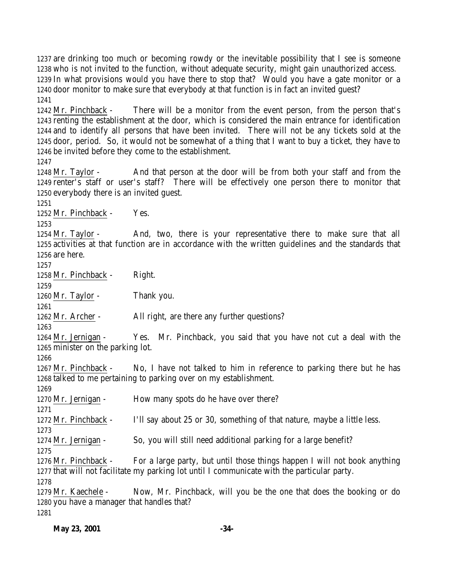**May 23, 2001 -34-** In what provisions would you have there to stop that? Would you have a gate monitor or a door monitor to make sure that everybody at that function is in fact an invited guest? Mr. Pinchback - There will be a monitor from the event person, from the person that's renting the establishment at the door, which is considered the main entrance for identification and to identify all persons that have been invited. There will not be any tickets sold at the door, period. So, it would not be somewhat of a thing that I want to buy a ticket, they have to be invited before they come to the establishment. Mr. Taylor - And that person at the door will be from both your staff and from the renter's staff or user's staff? There will be effectively one person there to monitor that everybody there is an invited guest. Mr. Pinchback - Yes. 1254 Mr. Taylor - And, two, there is your representative there to make sure that all activities at that function are in accordance with the written guidelines and the standards that are here. Mr. Pinchback - Right. Mr. Taylor - Thank you. 1262 Mr. Archer - All right, are there any further questions? Mr. Jernigan - Yes. Mr. Pinchback, you said that you have not cut a deal with the minister on the parking lot. Mr. Pinchback - No, I have not talked to him in reference to parking there but he has talked to me pertaining to parking over on my establishment. 1270 Mr. Jernigan - How many spots do he have over there? Mr. Pinchback - I'll say about 25 or 30, something of that nature, maybe a little less. Mr. Jernigan - So, you will still need additional parking for a large benefit? Mr. Pinchback - For a large party, but until those things happen I will not book anything that will not facilitate my parking lot until I communicate with the particular party. Mr. Kaechele - Now, Mr. Pinchback, will you be the one that does the booking or do you have a manager that handles that? 

 are drinking too much or becoming rowdy or the inevitable possibility that I see is someone who is not invited to the function, without adequate security, might gain unauthorized access.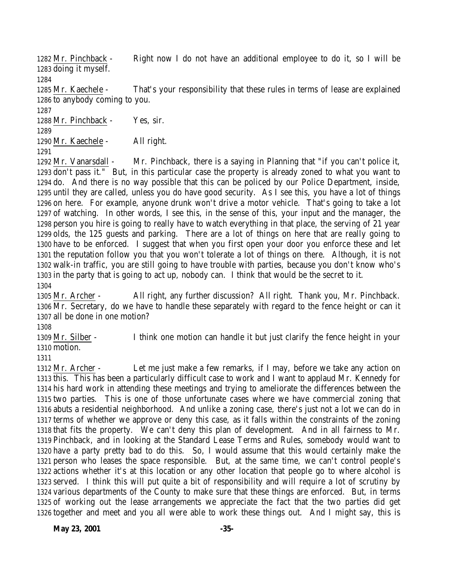Mr. Pinchback - Right now I do not have an additional employee to do it, so I will be doing it myself. Mr. Kaechele - That's your responsibility that these rules in terms of lease are explained to anybody coming to you. Mr. Pinchback - Yes, sir.

 Mr. Kaechele - All right. 

 Mr. Vanarsdall - Mr. Pinchback, there is a saying in Planning that "if you can't police it, don't pass it." But, in this particular case the property is already zoned to what you want to do. And there is no way possible that this can be policed by our Police Department, inside, until they are called, unless you do have good security. As I see this, you have a lot of things on here. For example, anyone drunk won't drive a motor vehicle. That's going to take a lot of watching. In other words, I see this, in the sense of this, your input and the manager, the person you hire is going to really have to watch everything in that place, the serving of 21 year olds, the 125 guests and parking. There are a lot of things on here that are really going to have to be enforced. I suggest that when you first open your door you enforce these and let the reputation follow you that you won't tolerate a lot of things on there. Although, it is not walk-in traffic, you are still going to have trouble with parties, because you don't know who's in the party that is going to act up, nobody can. I think that would be the secret to it. 

 Mr. Archer - All right, any further discussion? All right. Thank you, Mr. Pinchback. 1306 Mr. Secretary, do we have to handle these separately with regard to the fence height or can it all be done in one motion?

 Mr. Silber - I think one motion can handle it but just clarify the fence height in your motion.

 Mr. Archer - Let me just make a few remarks, if I may, before we take any action on this. This has been a particularly difficult case to work and I want to applaud Mr. Kennedy for his hard work in attending these meetings and trying to ameliorate the differences between the two parties. This is one of those unfortunate cases where we have commercial zoning that abuts a residential neighborhood. And unlike a zoning case, there's just not a lot we can do in terms of whether we approve or deny this case, as it falls within the constraints of the zoning that fits the property. We can't deny this plan of development. And in all fairness to Mr. Pinchback, and in looking at the Standard Lease Terms and Rules, somebody would want to have a party pretty bad to do this. So, I would assume that this would certainly make the person who leases the space responsible. But, at the same time, we can't control people's actions whether it's at this location or any other location that people go to where alcohol is served. I think this will put quite a bit of responsibility and will require a lot of scrutiny by various departments of the County to make sure that these things are enforced. But, in terms of working out the lease arrangements we appreciate the fact that the two parties did get together and meet and you all were able to work these things out. And I might say, this is

**May 23, 2001 -35-**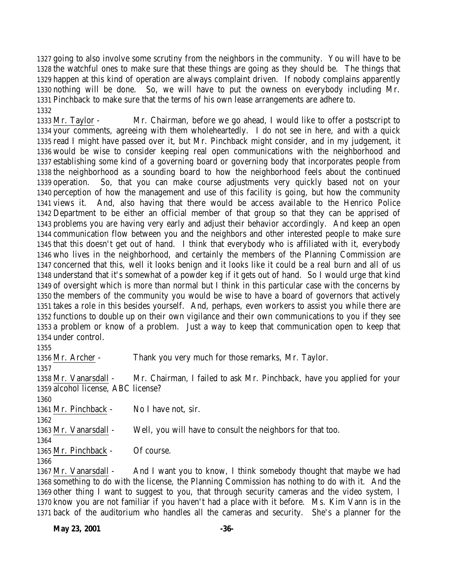going to also involve some scrutiny from the neighbors in the community. You will have to be the watchful ones to make sure that these things are going as they should be. The things that happen at this kind of operation are always complaint driven. If nobody complains apparently nothing will be done. So, we will have to put the owness on everybody including Mr. Pinchback to make sure that the terms of his own lease arrangements are adhere to. 

 Mr. Taylor - Mr. Chairman, before we go ahead, I would like to offer a postscript to your comments, agreeing with them wholeheartedly. I do not see in here, and with a quick read I might have passed over it, but Mr. Pinchback might consider, and in my judgement, it would be wise to consider keeping real open communications with the neighborhood and establishing some kind of a governing board or governing body that incorporates people from the neighborhood as a sounding board to how the neighborhood feels about the continued operation. So, that you can make course adjustments very quickly based not on your perception of how the management and use of this facility is going, but how the community views it. And, also having that there would be access available to the Henrico Police Department to be either an official member of that group so that they can be apprised of problems you are having very early and adjust their behavior accordingly. And keep an open communication flow between you and the neighbors and other interested people to make sure that this doesn't get out of hand. I think that everybody who is affiliated with it, everybody who lives in the neighborhood, and certainly the members of the Planning Commission are concerned that this, well it looks benign and it looks like it could be a real burn and all of us understand that it's somewhat of a powder keg if it gets out of hand. So I would urge that kind of oversight which is more than normal but I think in this particular case with the concerns by the members of the community you would be wise to have a board of governors that actively takes a role in this besides yourself. And, perhaps, even workers to assist you while there are functions to double up on their own vigilance and their own communications to you if they see a problem or know of a problem. Just a way to keep that communication open to keep that under control.

 Mr. Archer - Thank you very much for those remarks, Mr. Taylor. Mr. Vanarsdall - Mr. Chairman, I failed to ask Mr. Pinchback, have you applied for your alcohol license, ABC license? Mr. Pinchback - No I have not, sir. Mr. Vanarsdall - Well, you will have to consult the neighbors for that too. Mr. Pinchback - Of course. 

 Mr. Vanarsdall - And I want you to know, I think somebody thought that maybe we had something to do with the license, the Planning Commission has nothing to do with it. And the other thing I want to suggest to you, that through security cameras and the video system, I know you are not familiar if you haven't had a place with it before. Ms. Kim Vann is in the back of the auditorium who handles all the cameras and security. She's a planner for the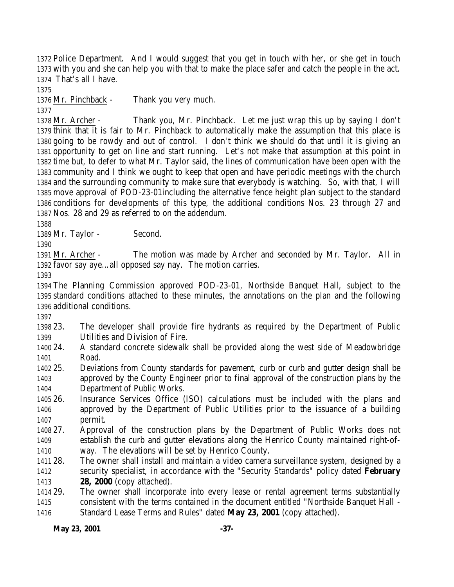Police Department. And I would suggest that you get in touch with her, or she get in touch with you and she can help you with that to make the place safer and catch the people in the act. That's all I have.

Mr. Pinchback - Thank you very much.

 Mr. Archer - Thank you, Mr. Pinchback. Let me just wrap this up by saying I don't think that it is fair to Mr. Pinchback to automatically make the assumption that this place is going to be rowdy and out of control. I don't think we should do that until it is giving an opportunity to get on line and start running. Let's not make that assumption at this point in time but, to defer to what Mr. Taylor said, the lines of communication have been open with the community and I think we ought to keep that open and have periodic meetings with the church and the surrounding community to make sure that everybody is watching. So, with that, I will move approval of POD-23-01including the alternative fence height plan subject to the standard conditions for developments of this type, the additional conditions Nos. 23 through 27 and Nos. 28 and 29 as referred to on the addendum.

1389 Mr. Taylor - Second.

 Mr. Archer - The motion was made by Archer and seconded by Mr. Taylor. All in favor say aye…all opposed say nay. The motion carries.

 The Planning Commission approved POD-23-01, Northside Banquet Hall, subject to the standard conditions attached to these minutes, the annotations on the plan and the following additional conditions.

 23. The developer shall provide fire hydrants as required by the Department of Public Utilities and Division of Fire.

 24. A standard concrete sidewalk shall be provided along the west side of Meadowbridge Road.

 25. Deviations from County standards for pavement, curb or curb and gutter design shall be approved by the County Engineer prior to final approval of the construction plans by the Department of Public Works.

 26. Insurance Services Office (ISO) calculations must be included with the plans and approved by the Department of Public Utilities prior to the issuance of a building permit.

 27. Approval of the construction plans by the Department of Public Works does not establish the curb and gutter elevations along the Henrico County maintained right-of-way. The elevations will be set by Henrico County.

 28. The owner shall install and maintain a video camera surveillance system, designed by a security specialist, in accordance with the "Security Standards" policy dated **February 28, 2000** (copy attached).

 29. The owner shall incorporate into every lease or rental agreement terms substantially consistent with the terms contained in the document entitled "Northside Banquet Hall - Standard Lease Terms and Rules" dated **May 23, 2001** (copy attached).

**May 23, 2001 -37-**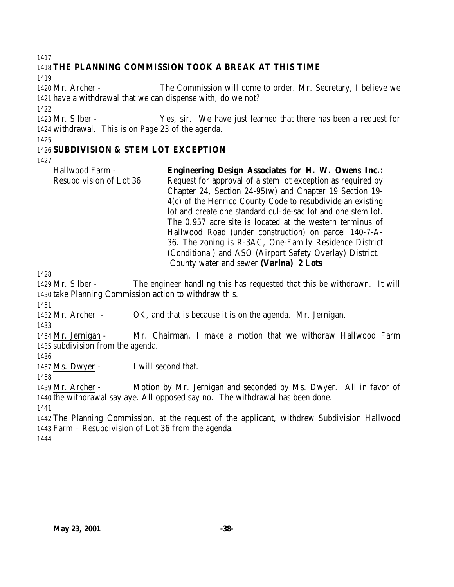#### 

## **THE PLANNING COMMISSION TOOK A BREAK AT THIS TIME**

 Mr. Archer - The Commission will come to order. Mr. Secretary, I believe we have a withdrawal that we can dispense with, do we not?

 Mr. Silber - Yes, sir. We have just learned that there has been a request for withdrawal. This is on Page 23 of the agenda.

## **SUBDIVISION & STEM LOT EXCEPTION**

Hallwood Farm - Resubdivision of Lot 36 **Engineering Design Associates for H. W. Owens Inc.:** Request for approval of a stem lot exception as required by Chapter 24, Section 24-95(w) and Chapter 19 Section 19- 4(c) of the Henrico County Code to resubdivide an existing lot and create one standard cul-de-sac lot and one stem lot. The 0.957 acre site is located at the western terminus of Hallwood Road (under construction) on parcel 140-7-A-36. The zoning is R-3AC, One-Family Residence District (Conditional) and ASO (Airport Safety Overlay) District. County water and sewer **(Varina) 2 Lots**

 Mr. Silber - The engineer handling this has requested that this be withdrawn. It will take Planning Commission action to withdraw this.

Mr. Archer - OK, and that is because it is on the agenda. Mr. Jernigan.

 Mr. Jernigan - Mr. Chairman, I make a motion that we withdraw Hallwood Farm subdivision from the agenda.

1437 Ms. Dwyer - I will second that.

 Mr. Archer - Motion by Mr. Jernigan and seconded by Ms. Dwyer. All in favor of the withdrawal say aye. All opposed say no. The withdrawal has been done.

 The Planning Commission, at the request of the applicant, withdrew Subdivision Hallwood Farm – Resubdivision of Lot 36 from the agenda.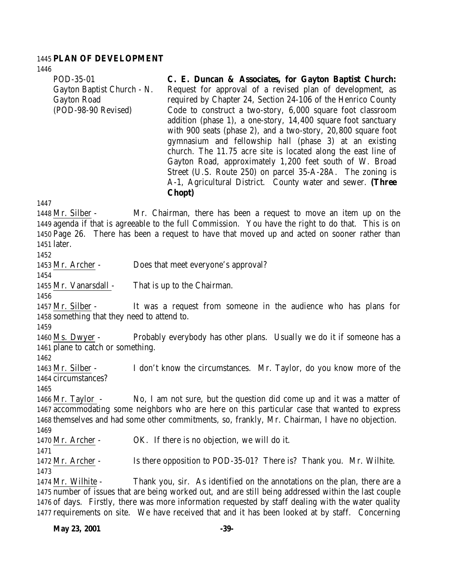#### **PLAN OF DEVELOPMENT**

POD-35-01 Gayton Baptist Church - N. Gayton Road (POD-98-90 Revised) **C. E. Duncan & Associates, for Gayton Baptist Church:** Request for approval of a revised plan of development, as required by Chapter 24, Section 24-106 of the Henrico County Code to construct a two-story, 6,000 square foot classroom addition (phase 1), a one-story, 14,400 square foot sanctuary with 900 seats (phase 2), and a two-story, 20,800 square foot gymnasium and fellowship hall (phase 3) at an existing church. The 11.75 acre site is located along the east line of Gayton Road, approximately 1,200 feet south of W. Broad Street (U.S. Route 250) on parcel 35-A-28A. The zoning is A-1, Agricultural District. County water and sewer. **(Three Chopt)** Mr. Silber - Mr. Chairman, there has been a request to move an item up on the agenda if that is agreeable to the full Commission. You have the right to do that. This is on Page 26. There has been a request to have that moved up and acted on sooner rather than later. Mr. Archer - Does that meet everyone's approval? Mr. Vanarsdall - That is up to the Chairman. Mr. Silber - It was a request from someone in the audience who has plans for something that they need to attend to. Ms. Dwyer - Probably everybody has other plans. Usually we do it if someone has a plane to catch or something. Mr. Silber - I don't know the circumstances. Mr. Taylor, do you know more of the circumstances? 

 Mr. Taylor - No, I am not sure, but the question did come up and it was a matter of accommodating some neighbors who are here on this particular case that wanted to express themselves and had some other commitments, so, frankly, Mr. Chairman, I have no objection. 

Mr. Archer - OK. If there is no objection, we will do it.

 Mr. Archer - Is there opposition to POD-35-01? There is? Thank you. Mr. Wilhite. 

 Mr. Wilhite - Thank you, sir. As identified on the annotations on the plan, there are a number of issues that are being worked out, and are still being addressed within the last couple of days. Firstly, there was more information requested by staff dealing with the water quality requirements on site. We have received that and it has been looked at by staff. Concerning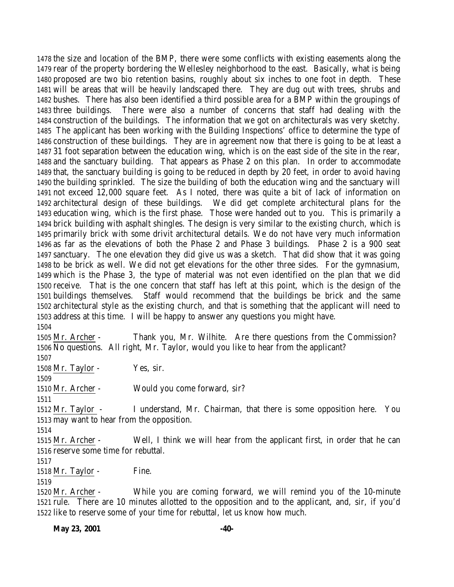the size and location of the BMP, there were some conflicts with existing easements along the rear of the property bordering the Wellesley neighborhood to the east. Basically, what is being proposed are two bio retention basins, roughly about six inches to one foot in depth. These will be areas that will be heavily landscaped there. They are dug out with trees, shrubs and bushes. There has also been identified a third possible area for a BMP within the groupings of three buildings. There were also a number of concerns that staff had dealing with the construction of the buildings. The information that we got on architecturals was very sketchy. The applicant has been working with the Building Inspections' office to determine the type of construction of these buildings. They are in agreement now that there is going to be at least a 31 foot separation between the education wing, which is on the east side of the site in the rear, and the sanctuary building. That appears as Phase 2 on this plan. In order to accommodate that, the sanctuary building is going to be reduced in depth by 20 feet, in order to avoid having the building sprinkled. The size the building of both the education wing and the sanctuary will not exceed 12,000 square feet. As I noted, there was quite a bit of lack of information on architectural design of these buildings. We did get complete architectural plans for the education wing, which is the first phase. Those were handed out to you. This is primarily a brick building with asphalt shingles. The design is very similar to the existing church, which is primarily brick with some drivit architectural details. We do not have very much information as far as the elevations of both the Phase 2 and Phase 3 buildings. Phase 2 is a 900 seat sanctuary. The one elevation they did give us was a sketch. That did show that it was going to be brick as well. We did not get elevations for the other three sides. For the gymnasium, which is the Phase 3, the type of material was not even identified on the plan that we did receive. That is the one concern that staff has left at this point, which is the design of the buildings themselves. Staff would recommend that the buildings be brick and the same architectural style as the existing church, and that is something that the applicant will need to address at this time. I will be happy to answer any questions you might have.

 Mr. Archer - Thank you, Mr. Wilhite. Are there questions from the Commission? No questions. All right, Mr. Taylor, would you like to hear from the applicant?

1508 Mr. Taylor - Yes, sir.

Mr. Archer - Would you come forward, sir?

 Mr. Taylor - I understand, Mr. Chairman, that there is some opposition here. You may want to hear from the opposition.

 Mr. Archer - Well, I think we will hear from the applicant first, in order that he can reserve some time for rebuttal.

1518 Mr. Taylor - Fine.

 Mr. Archer - While you are coming forward, we will remind you of the 10-minute rule. There are 10 minutes allotted to the opposition and to the applicant, and, sir, if you'd like to reserve some of your time for rebuttal, let us know how much.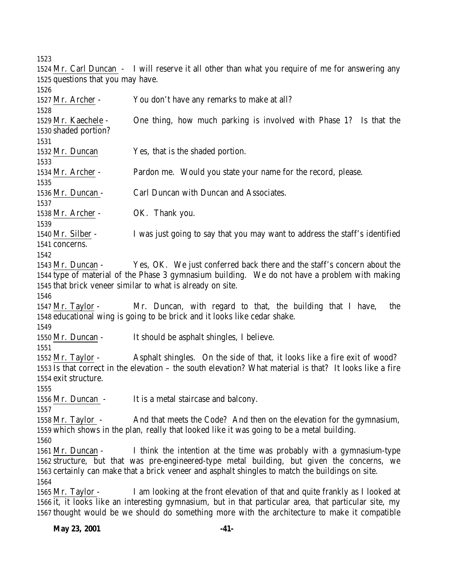|                                   | 1524 Mr. Carl Duncan - I will reserve it all other than what you require of me for answering any         |
|-----------------------------------|----------------------------------------------------------------------------------------------------------|
| 1525 questions that you may have. |                                                                                                          |
| 1526                              |                                                                                                          |
| 1527 Mr. Archer -                 | You don't have any remarks to make at all?                                                               |
| 1528                              |                                                                                                          |
| 1529 Mr. Kaechele -               | One thing, how much parking is involved with Phase 1? Is that the                                        |
| 1530 shaded portion?              |                                                                                                          |
| 1531                              |                                                                                                          |
| 1532 Mr. Duncan                   | Yes, that is the shaded portion.                                                                         |
| 1533                              |                                                                                                          |
| 1534 Mr. Archer -                 | Pardon me. Would you state your name for the record, please.                                             |
| 1535                              |                                                                                                          |
| 1536 Mr. Duncan -                 | Carl Duncan with Duncan and Associates.                                                                  |
| 1537                              |                                                                                                          |
| 1538 Mr. Archer -                 | OK. Thank you.                                                                                           |
| 1539                              |                                                                                                          |
| 1540 Mr. Silber -                 | I was just going to say that you may want to address the staff's identified                              |
| 1541 concerns.                    |                                                                                                          |
| 1542                              |                                                                                                          |
| 1543 Mr. Duncan -                 | Yes, OK. We just conferred back there and the staff's concern about the                                  |
|                                   | 1544 type of material of the Phase 3 gymnasium building. We do not have a problem with making            |
|                                   | 1545 that brick veneer similar to what is already on site.                                               |
| 1546                              |                                                                                                          |
| $1547$ Mr. Taylor -               | Mr. Duncan, with regard to that, the building that I have,<br>the                                        |
|                                   | 1548 educational wing is going to be brick and it looks like cedar shake.                                |
| 1549                              |                                                                                                          |
| 1550 Mr. Duncan -                 | It should be asphalt shingles, I believe.                                                                |
| 1551                              |                                                                                                          |
| $1552$ Mr. Taylor -               | Asphalt shingles. On the side of that, it looks like a fire exit of wood?                                |
|                                   | 1553 Is that correct in the elevation – the south elevation? What material is that? It looks like a fire |
| 1554 exit structure.              |                                                                                                          |
| 1555                              |                                                                                                          |
| 1556 Mr. Duncan -                 | It is a metal staircase and balcony.                                                                     |
| 1557                              |                                                                                                          |
| 1558 Mr. Taylor -                 | And that meets the Code? And then on the elevation for the gymnasium,                                    |
|                                   | 1559 which shows in the plan, really that looked like it was going to be a metal building.               |
| 1560                              |                                                                                                          |
| 1561 Mr. Duncan -                 | I think the intention at the time was probably with a gymnasium-type                                     |
|                                   | 1562 structure, but that was pre-engineered-type metal building, but given the concerns, we              |
|                                   | 1563 certainly can make that a brick veneer and asphalt shingles to match the buildings on site.         |
| 1564                              |                                                                                                          |
| $1565$ Mr. Taylor -               | I am looking at the front elevation of that and quite frankly as I looked at                             |
|                                   | 1566 it, it looks like an interesting gymnasium, but in that particular area, that particular site, my   |
|                                   | 1567 thought would be we should do something more with the architecture to make it compatible            |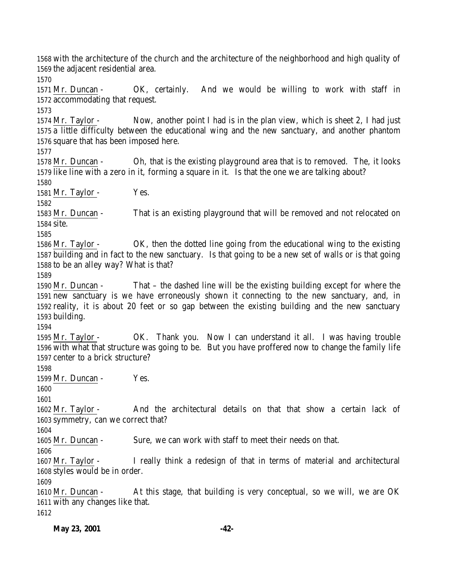with the architecture of the church and the architecture of the neighborhood and high quality of the adjacent residential area. Mr. Duncan - OK, certainly. And we would be willing to work with staff in accommodating that request. Mr. Taylor - Now, another point I had is in the plan view, which is sheet 2, I had just a little difficulty between the educational wing and the new sanctuary, and another phantom square that has been imposed here. Mr. Duncan - Oh, that is the existing playground area that is to removed. The, it looks like line with a zero in it, forming a square in it. Is that the one we are talking about? 1581 Mr. Taylor - Yes. Mr. Duncan - That is an existing playground that will be removed and not relocated on site. Mr. Taylor - OK, then the dotted line going from the educational wing to the existing building and in fact to the new sanctuary. Is that going to be a new set of walls or is that going to be an alley way? What is that? Mr. Duncan - That – the dashed line will be the existing building except for where the new sanctuary is we have erroneously shown it connecting to the new sanctuary, and, in reality, it is about 20 feet or so gap between the existing building and the new sanctuary building. Mr. Taylor - OK. Thank you. Now I can understand it all. I was having trouble with what that structure was going to be. But you have proffered now to change the family life center to a brick structure? 1599 Mr. Duncan - Yes. Mr. Taylor - And the architectural details on that that show a certain lack of symmetry, can we correct that? Mr. Duncan - Sure, we can work with staff to meet their needs on that. Mr. Taylor - I really think a redesign of that in terms of material and architectural styles would be in order. Mr. Duncan - At this stage, that building is very conceptual, so we will, we are OK with any changes like that.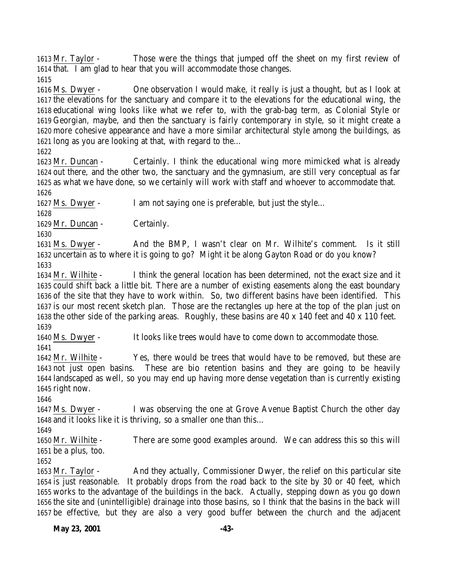Mr. Taylor - Those were the things that jumped off the sheet on my first review of that. I am glad to hear that you will accommodate those changes.

 Ms. Dwyer - One observation I would make, it really is just a thought, but as I look at the elevations for the sanctuary and compare it to the elevations for the educational wing, the educational wing looks like what we refer to, with the grab-bag term, as Colonial Style or Georgian, maybe, and then the sanctuary is fairly contemporary in style, so it might create a more cohesive appearance and have a more similar architectural style among the buildings, as long as you are looking at that, with regard to the…

 Mr. Duncan - Certainly. I think the educational wing more mimicked what is already out there, and the other two, the sanctuary and the gymnasium, are still very conceptual as far as what we have done, so we certainly will work with staff and whoever to accommodate that. 

Ms. Dwyer - I am not saying one is preferable, but just the style…

1629 Mr. Duncan - Certainly.

 Ms. Dwyer - And the BMP, I wasn't clear on Mr. Wilhite's comment. Is it still uncertain as to where it is going to go? Might it be along Gayton Road or do you know? 

 Mr. Wilhite - I think the general location has been determined, not the exact size and it could shift back a little bit. There are a number of existing easements along the east boundary of the site that they have to work within. So, two different basins have been identified. This is our most recent sketch plan. Those are the rectangles up here at the top of the plan just on the other side of the parking areas. Roughly, these basins are 40 x 140 feet and 40 x 110 feet. 

Ms. Dwyer - It looks like trees would have to come down to accommodate those.

 Mr. Wilhite - Yes, there would be trees that would have to be removed, but these are not just open basins. These are bio retention basins and they are going to be heavily landscaped as well, so you may end up having more dense vegetation than is currently existing right now.

 Ms. Dwyer - I was observing the one at Grove Avenue Baptist Church the other day and it looks like it is thriving, so a smaller one than this…

 Mr. Wilhite - There are some good examples around. We can address this so this will be a plus, too.

 Mr. Taylor - And they actually, Commissioner Dwyer, the relief on this particular site is just reasonable. It probably drops from the road back to the site by 30 or 40 feet, which works to the advantage of the buildings in the back. Actually, stepping down as you go down the site and (unintelligible) drainage into those basins, so I think that the basins in the back will be effective, but they are also a very good buffer between the church and the adjacent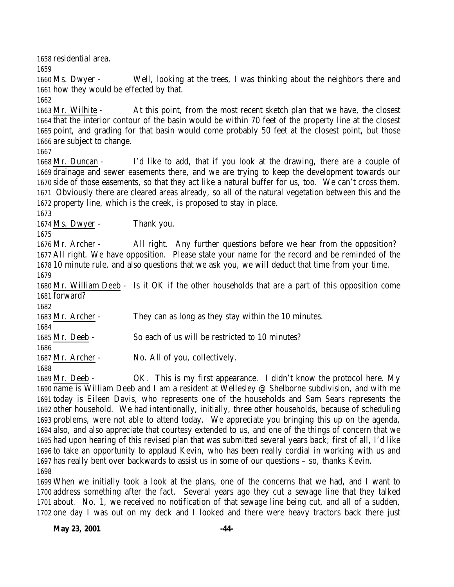residential area.

 Ms. Dwyer - Well, looking at the trees, I was thinking about the neighbors there and how they would be effected by that.

 Mr. Wilhite - At this point, from the most recent sketch plan that we have, the closest that the interior contour of the basin would be within 70 feet of the property line at the closest point, and grading for that basin would come probably 50 feet at the closest point, but those are subject to change.

 Mr. Duncan - I'd like to add, that if you look at the drawing, there are a couple of drainage and sewer easements there, and we are trying to keep the development towards our side of those easements, so that they act like a natural buffer for us, too. We can't cross them. Obviously there are cleared areas already, so all of the natural vegetation between this and the property line, which is the creek, is proposed to stay in place.

Ms. Dwyer - Thank you.

 Mr. Archer - All right. Any further questions before we hear from the opposition? All right. We have opposition. Please state your name for the record and be reminded of the 10 minute rule, and also questions that we ask you, we will deduct that time from your time. 

 Mr. William Deeb - Is it OK if the other households that are a part of this opposition come forward?

 Mr. Archer - They can as long as they stay within the 10 minutes. 

Mr. Deeb - So each of us will be restricted to 10 minutes?

Mr. Archer - No. All of you, collectively.

 Mr. Deeb - OK. This is my first appearance. I didn't know the protocol here. My name is William Deeb and I am a resident at Wellesley @ Shelborne subdivision, and with me today is Eileen Davis, who represents one of the households and Sam Sears represents the other household. We had intentionally, initially, three other households, because of scheduling problems, were not able to attend today. We appreciate you bringing this up on the agenda, also, and also appreciate that courtesy extended to us, and one of the things of concern that we had upon hearing of this revised plan that was submitted several years back; first of all, I'd like to take an opportunity to applaud Kevin, who has been really cordial in working with us and has really bent over backwards to assist us in some of our questions – so, thanks Kevin. 

 When we initially took a look at the plans, one of the concerns that we had, and I want to address something after the fact. Several years ago they cut a sewage line that they talked about. No. 1, we received no notification of that sewage line being cut, and all of a sudden, one day I was out on my deck and I looked and there were heavy tractors back there just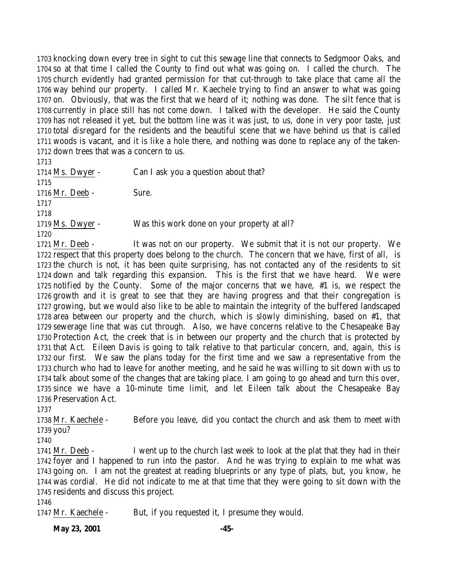knocking down every tree in sight to cut this sewage line that connects to Sedgmoor Oaks, and so at that time I called the County to find out what was going on. I called the church. The church evidently had granted permission for that cut-through to take place that came all the way behind our property. I called Mr. Kaechele trying to find an answer to what was going on. Obviously, that was the first that we heard of it; nothing was done. The silt fence that is currently in place still has not come down. I talked with the developer. He said the County has not released it yet, but the bottom line was it was just, to us, done in very poor taste, just total disregard for the residents and the beautiful scene that we have behind us that is called woods is vacant, and it is like a hole there, and nothing was done to replace any of the taken-down trees that was a concern to us.

 1714 Ms. Dwyer - Can I ask you a question about that? Mr. Deeb - Sure. Ms. Dwyer - Was this work done on your property at all? 

 Mr. Deeb - It was not on our property. We submit that it is not our property. We 1722 respect that this property does belong to the church. The concern that we have, first of all, is the church is not, it has been quite surprising, has not contacted any of the residents to sit down and talk regarding this expansion. This is the first that we have heard. We were notified by the County. Some of the major concerns that we have, #1 is, we respect the growth and it is great to see that they are having progress and that their congregation is growing, but we would also like to be able to maintain the integrity of the buffered landscaped area between our property and the church, which is slowly diminishing, based on #1, that sewerage line that was cut through. Also, we have concerns relative to the Chesapeake Bay Protection Act, the creek that is in between our property and the church that is protected by that Act. Eileen Davis is going to talk relative to that particular concern, and, again, this is our first. We saw the plans today for the first time and we saw a representative from the church who had to leave for another meeting, and he said he was willing to sit down with us to talk about some of the changes that are taking place. I am going to go ahead and turn this over, since we have a 10-minute time limit, and let Eileen talk about the Chesapeake Bay Preservation Act.

 Mr. Kaechele - Before you leave, did you contact the church and ask them to meet with you?

 Mr. Deeb - I went up to the church last week to look at the plat that they had in their foyer and I happened to run into the pastor. And he was trying to explain to me what was going on. I am not the greatest at reading blueprints or any type of plats, but, you know, he was cordial. He did not indicate to me at that time that they were going to sit down with the residents and discuss this project.

1747 Mr. Kaechele - But, if you requested it, I presume they would.

**May 23, 2001 -45-**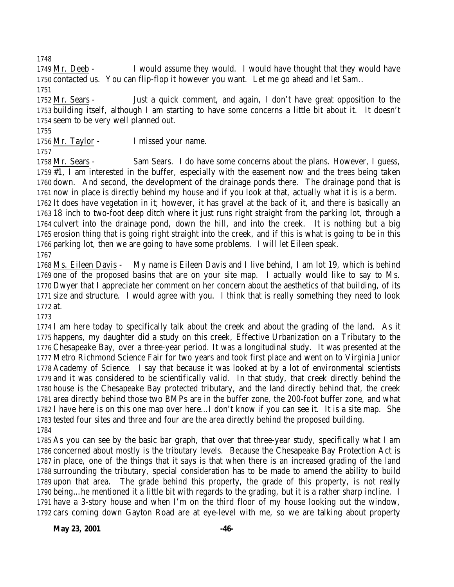1749 Mr. Deeb - I would assume they would. I would have thought that they would have contacted us. You can flip-flop it however you want. Let me go ahead and let Sam.. 

 Mr. Sears - Just a quick comment, and again, I don't have great opposition to the building itself, although I am starting to have some concerns a little bit about it. It doesn't seem to be very well planned out.

Mr. Taylor - I missed your name.

 Mr. Sears - Sam Sears. I do have some concerns about the plans. However, I guess, #1, I am interested in the buffer, especially with the easement now and the trees being taken down. And second, the development of the drainage ponds there. The drainage pond that is now in place is directly behind my house and if you look at that, actually what it is is a berm. It does have vegetation in it; however, it has gravel at the back of it, and there is basically an 18 inch to two-foot deep ditch where it just runs right straight from the parking lot, through a culvert into the drainage pond, down the hill, and into the creek. It is nothing but a big erosion thing that is going right straight into the creek, and if this is what is going to be in this parking lot, then we are going to have some problems. I will let Eileen speak. 

 Ms. Eileen Davis - My name is Eileen Davis and I live behind, I am lot 19, which is behind one of the proposed basins that are on your site map. I actually would like to say to Ms. Dwyer that I appreciate her comment on her concern about the aesthetics of that building, of its size and structure. I would agree with you. I think that is really something they need to look at.

 I am here today to specifically talk about the creek and about the grading of the land. As it happens, my daughter did a study on this creek, Effective Urbanization on a Tributary to the Chesapeake Bay, over a three-year period. It was a longitudinal study. It was presented at the Metro Richmond Science Fair for two years and took first place and went on to Virginia Junior Academy of Science. I say that because it was looked at by a lot of environmental scientists and it was considered to be scientifically valid. In that study, that creek directly behind the house is the Chesapeake Bay protected tributary, and the land directly behind that, the creek area directly behind those two BMPs are in the buffer zone, the 200-foot buffer zone, and what I have here is on this one map over here…I don't know if you can see it. It is a site map. She tested four sites and three and four are the area directly behind the proposed building. 

 As you can see by the basic bar graph, that over that three-year study, specifically what I am concerned about mostly is the tributary levels. Because the Chesapeake Bay Protection Act is in place, one of the things that it says is that when there is an increased grading of the land surrounding the tributary, special consideration has to be made to amend the ability to build upon that area. The grade behind this property, the grade of this property, is not really being…he mentioned it a little bit with regards to the grading, but it is a rather sharp incline. I have a 3-story house and when I'm on the third floor of my house looking out the window, cars coming down Gayton Road are at eye-level with me, so we are talking about property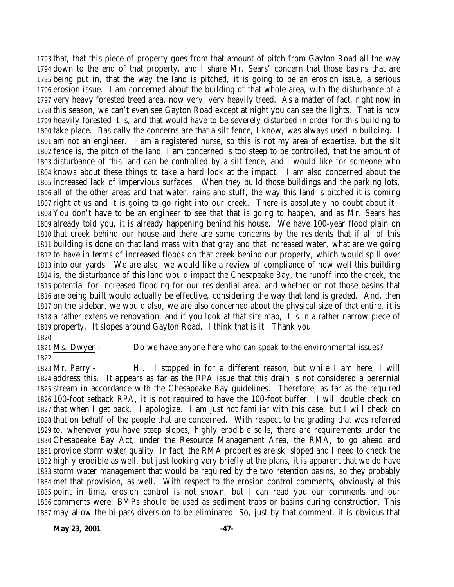that, that this piece of property goes from that amount of pitch from Gayton Road all the way down to the end of that property, and I share Mr. Sears' concern that those basins that are being put in, that the way the land is pitched, it is going to be an erosion issue, a serious erosion issue. I am concerned about the building of that whole area, with the disturbance of a very heavy forested treed area, now very, very heavily treed. As a matter of fact, right now in this season, we can't even see Gayton Road except at night you can see the lights. That is how heavily forested it is, and that would have to be severely disturbed in order for this building to take place. Basically the concerns are that a silt fence, I know, was always used in building. I am not an engineer. I am a registered nurse, so this is not my area of expertise, but the silt fence is, the pitch of the land, I am concerned is too steep to be controlled, that the amount of disturbance of this land can be controlled by a silt fence, and I would like for someone who knows about these things to take a hard look at the impact. I am also concerned about the increased lack of impervious surfaces. When they build those buildings and the parking lots, all of the other areas and that water, rains and stuff, the way this land is pitched it is coming right at us and it is going to go right into our creek. There is absolutely no doubt about it. You don't have to be an engineer to see that that is going to happen, and as Mr. Sears has already told you, it is already happening behind his house. We have 100-year flood plain on that creek behind our house and there are some concerns by the residents that if all of this building is done on that land mass with that gray and that increased water, what are we going to have in terms of increased floods on that creek behind our property, which would spill over into our yards. We are also, we would like a review of compliance of how well this building is, the disturbance of this land would impact the Chesapeake Bay, the runoff into the creek, the potential for increased flooding for our residential area, and whether or not those basins that are being built would actually be effective, considering the way that land is graded. And, then on the sidebar, we would also, we are also concerned about the physical size of that entire, it is a rather extensive renovation, and if you look at that site map, it is in a rather narrow piece of property. It slopes around Gayton Road. I think that is it. Thank you. 

 Ms. Dwyer - Do we have anyone here who can speak to the environmental issues? 

 Mr. Perry - Hi. I stopped in for a different reason, but while I am here, I will address this. It appears as far as the RPA issue that this drain is not considered a perennial stream in accordance with the Chesapeake Bay guidelines. Therefore, as far as the required 100-foot setback RPA, it is not required to have the 100-foot buffer. I will double check on that when I get back. I apologize. I am just not familiar with this case, but I will check on that on behalf of the people that are concerned. With respect to the grading that was referred to, whenever you have steep slopes, highly erodible soils, there are requirements under the Chesapeake Bay Act, under the Resource Management Area, the RMA, to go ahead and provide storm water quality. In fact, the RMA properties are ski sloped and I need to check the highly erodible as well, but just looking very briefly at the plans, it is apparent that we do have storm water management that would be required by the two retention basins, so they probably met that provision, as well. With respect to the erosion control comments, obviously at this point in time, erosion control is not shown, but I can read you our comments and our comments were: BMPs should be used as sediment traps or basins during construction. This may allow the bi-pass diversion to be eliminated. So, just by that comment, it is obvious that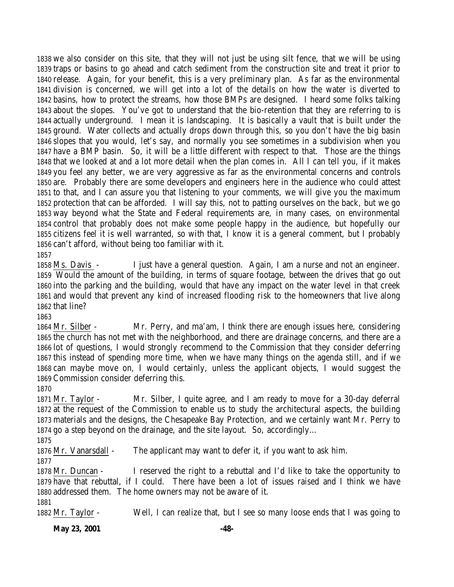we also consider on this site, that they will not just be using silt fence, that we will be using traps or basins to go ahead and catch sediment from the construction site and treat it prior to release. Again, for your benefit, this is a very preliminary plan. As far as the environmental division is concerned, we will get into a lot of the details on how the water is diverted to basins, how to protect the streams, how those BMPs are designed. I heard some folks talking about the slopes. You've got to understand that the bio-retention that they are referring to is actually underground. I mean it is landscaping. It is basically a vault that is built under the ground. Water collects and actually drops down through this, so you don't have the big basin slopes that you would, let's say, and normally you see sometimes in a subdivision when you have a BMP basin. So, it will be a little different with respect to that. Those are the things that we looked at and a lot more detail when the plan comes in. All I can tell you, if it makes you feel any better, we are very aggressive as far as the environmental concerns and controls are. Probably there are some developers and engineers here in the audience who could attest to that, and I can assure you that listening to your comments, we will give you the maximum protection that can be afforded. I will say this, not to patting ourselves on the back, but we go way beyond what the State and Federal requirements are, in many cases, on environmental control that probably does not make some people happy in the audience, but hopefully our citizens feel it is well warranted, so with that, I know it is a general comment, but I probably can't afford, without being too familiar with it. 

 Ms. Davis - I just have a general question. Again, I am a nurse and not an engineer. Would the amount of the building, in terms of square footage, between the drives that go out into the parking and the building, would that have any impact on the water level in that creek and would that prevent any kind of increased flooding risk to the homeowners that live along that line?

 Mr. Silber - Mr. Perry, and ma'am, I think there are enough issues here, considering the church has not met with the neighborhood, and there are drainage concerns, and there are a lot of questions, I would strongly recommend to the Commission that they consider deferring this instead of spending more time, when we have many things on the agenda still, and if we can maybe move on, I would certainly, unless the applicant objects, I would suggest the Commission consider deferring this.

 Mr. Taylor - Mr. Silber, I quite agree, and I am ready to move for a 30-day deferral at the request of the Commission to enable us to study the architectural aspects, the building materials and the designs, the Chesapeake Bay Protection, and we certainly want Mr. Perry to go a step beyond on the drainage, and the site layout. So, accordingly…

Mr. Vanarsdall - The applicant may want to defer it, if you want to ask him.

 Mr. Duncan - I reserved the right to a rebuttal and I'd like to take the opportunity to have that rebuttal, if I could. There have been a lot of issues raised and I think we have addressed them. The home owners may not be aware of it.

Mr. Taylor - Well, I can realize that, but I see so many loose ends that I was going to

**May 23, 2001 -48-**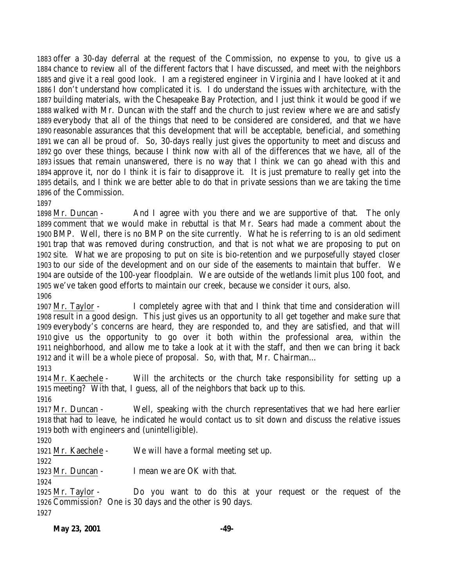offer a 30-day deferral at the request of the Commission, no expense to you, to give us a chance to review all of the different factors that I have discussed, and meet with the neighbors and give it a real good look. I am a registered engineer in Virginia and I have looked at it and I don't understand how complicated it is. I do understand the issues with architecture, with the building materials, with the Chesapeake Bay Protection, and I just think it would be good if we walked with Mr. Duncan with the staff and the church to just review where we are and satisfy everybody that all of the things that need to be considered are considered, and that we have reasonable assurances that this development that will be acceptable, beneficial, and something we can all be proud of. So, 30-days really just gives the opportunity to meet and discuss and go over these things, because I think now with all of the differences that we have, all of the issues that remain unanswered, there is no way that I think we can go ahead with this and approve it, nor do I think it is fair to disapprove it. It is just premature to really get into the details, and I think we are better able to do that in private sessions than we are taking the time of the Commission.

 Mr. Duncan - And I agree with you there and we are supportive of that. The only comment that we would make in rebuttal is that Mr. Sears had made a comment about the BMP. Well, there is no BMP on the site currently. What he is referring to is an old sediment trap that was removed during construction, and that is not what we are proposing to put on site. What we are proposing to put on site is bio-retention and we purposefully stayed closer to our side of the development and on our side of the easements to maintain that buffer. We are outside of the 100-year floodplain. We are outside of the wetlands limit plus 100 foot, and we've taken good efforts to maintain our creek, because we consider it ours, also. 

 Mr. Taylor - I completely agree with that and I think that time and consideration will result in a good design. This just gives us an opportunity to all get together and make sure that everybody's concerns are heard, they are responded to, and they are satisfied, and that will give us the opportunity to go over it both within the professional area, within the neighborhood, and allow me to take a look at it with the staff, and then we can bring it back and it will be a whole piece of proposal. So, with that, Mr. Chairman…

 Mr. Kaechele - Will the architects or the church take responsibility for setting up a meeting? With that, I guess, all of the neighbors that back up to this.

 Mr. Duncan - Well, speaking with the church representatives that we had here earlier that had to leave, he indicated he would contact us to sit down and discuss the relative issues both with engineers and (unintelligible).

Mr. Kaechele - We will have a formal meeting set up.

Mr. Duncan - I mean we are OK with that.

 Mr. Taylor - Do you want to do this at your request or the request of the Commission? One is 30 days and the other is 90 days.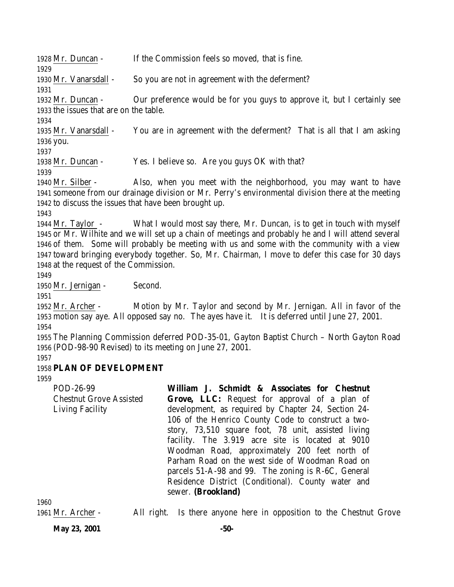| 1928 Mr. Duncan -                      | If the Commission feels so moved, that is fine.                                                      |
|----------------------------------------|------------------------------------------------------------------------------------------------------|
| 1929                                   |                                                                                                      |
| 1930 Mr. Vanarsdall -                  | So you are not in agreement with the deferment?                                                      |
| 1931                                   |                                                                                                      |
| 1932 Mr. Duncan -                      | Our preference would be for you guys to approve it, but I certainly see                              |
| 1933 the issues that are on the table. |                                                                                                      |
| 1934                                   |                                                                                                      |
| 1935 Mr. Vanarsdall -                  | You are in agreement with the deferment? That is all that I am asking                                |
| 1936 you.                              |                                                                                                      |
| 1937                                   |                                                                                                      |
| 1938 Mr. Duncan -                      | Yes. I believe so. Are you guys OK with that?                                                        |
| 1939                                   |                                                                                                      |
| 1940 Mr. Silber -                      | Also, when you meet with the neighborhood, you may want to have                                      |
|                                        | 1941 someone from our drainage division or Mr. Perry's environmental division there at the meeting   |
|                                        | 1942 to discuss the issues that have been brought up.                                                |
| 1943                                   |                                                                                                      |
| 1944 Mr. Taylor $-$                    | What I would most say there, Mr. Duncan, is to get in touch with myself                              |
|                                        | 1945 or Mr. Wilhite and we will set up a chain of meetings and probably he and I will attend several |
|                                        | 1946 of them. Some will probably be meeting with us and some with the community with a view          |
|                                        | 1947 toward bringing everybody together. So, Mr. Chairman, I move to defer this case for 30 days     |
| 1948 at the request of the Commission. |                                                                                                      |
| 1949                                   |                                                                                                      |
| 1950 Mr. Jernigan -                    | Second.                                                                                              |
| 1951                                   |                                                                                                      |
|                                        |                                                                                                      |
| 1952 Mr. Archer -                      | Motion by Mr. Taylor and second by Mr. Jernigan. All in favor of the                                 |
|                                        | 1953 motion say aye. All opposed say no. The ayes have it. It is deferred until June 27, 2001.       |
| 1954                                   |                                                                                                      |
|                                        | 1955 The Planning Commission deferred POD-35-01, Gayton Baptist Church - North Gayton Road           |
|                                        | 1956 (POD-98-90 Revised) to its meeting on June 27, 2001.                                            |
| 1957                                   |                                                                                                      |
| 1958 PLAN OF DEVELOPMENT               |                                                                                                      |
| 1959                                   |                                                                                                      |
| POD-26-99                              | William J. Schmidt & Associates for Chestnut                                                         |
| <b>Chestnut Grove Assisted</b>         | Grove, LLC: Request for approval of a plan of                                                        |
| <b>Living Facility</b>                 | development, as required by Chapter 24, Section 24-                                                  |
|                                        | 106 of the Henrico County Code to construct a two-                                                   |
|                                        | story, 73,510 square foot, 78 unit, assisted living                                                  |

**May 23, 2001 -50-**

1961 Mr. Archer - All right. Is there anyone here in opposition to the Chestnut Grove

sewer. **(Brookland)**

facility. The 3.919 acre site is located at 9010 Woodman Road, approximately 200 feet north of Parham Road on the west side of Woodman Road on parcels 51-A-98 and 99. The zoning is R-6C, General Residence District (Conditional). County water and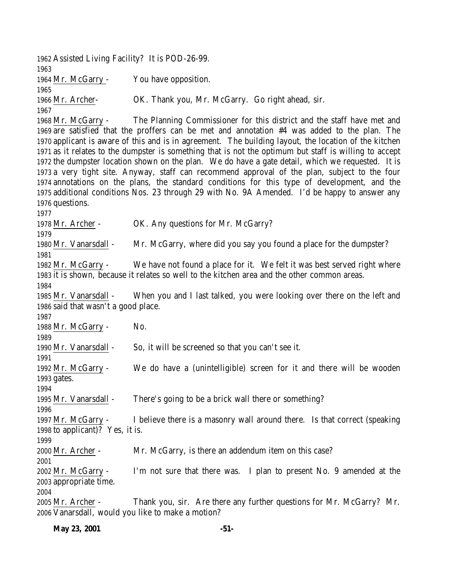Assisted Living Facility? It is POD-26-99. Mr. McGarry - You have opposition. Mr. Archer- OK. Thank you, Mr. McGarry. Go right ahead, sir. Mr. McGarry - The Planning Commissioner for this district and the staff have met and are satisfied that the proffers can be met and annotation #4 was added to the plan. The applicant is aware of this and is in agreement. The building layout, the location of the kitchen as it relates to the dumpster is something that is not the optimum but staff is willing to accept the dumpster location shown on the plan. We do have a gate detail, which we requested. It is a very tight site. Anyway, staff can recommend approval of the plan, subject to the four annotations on the plans, the standard conditions for this type of development, and the additional conditions Nos. 23 through 29 with No. 9A Amended. I'd be happy to answer any questions. Mr. Archer - OK. Any questions for Mr. McGarry? Mr. Vanarsdall - Mr. McGarry, where did you say you found a place for the dumpster? Mr. McGarry - We have not found a place for it. We felt it was best served right where it is shown, because it relates so well to the kitchen area and the other common areas. Mr. Vanarsdall - When you and I last talked, you were looking over there on the left and said that wasn't a good place. 1988 Mr. McGarry - No. Mr. Vanarsdall - So, it will be screened so that you can't see it. Mr. McGarry - We do have a (unintelligible) screen for it and there will be wooden gates. Mr. Vanarsdall - There's going to be a brick wall there or something? Mr. McGarry - I believe there is a masonry wall around there. Is that correct (speaking to applicant)? Yes, it is. Mr. Archer - Mr. McGarry, is there an addendum item on this case? Mr. McGarry - I'm not sure that there was. I plan to present No. 9 amended at the appropriate time. Mr. Archer - Thank you, sir. Are there any further questions for Mr. McGarry? Mr. Vanarsdall, would you like to make a motion?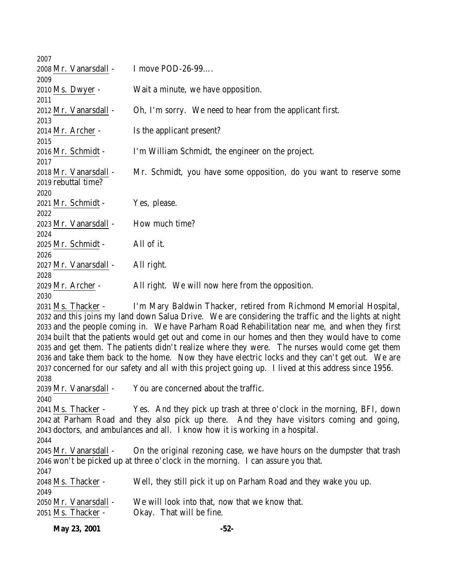| May 23, 2001                                | $-52-$                                                                                                                                                     |
|---------------------------------------------|------------------------------------------------------------------------------------------------------------------------------------------------------------|
| 2050 Mr. Vanarsdall -<br>2051 Ms. Thacker - | We will look into that, now that we know that.<br>Okay. That will be fine.                                                                                 |
| 2049                                        |                                                                                                                                                            |
| 2048 Ms. Thacker -                          | Well, they still pick it up on Parham Road and they wake you up.                                                                                           |
| 2047                                        |                                                                                                                                                            |
| 2045 Mr. Vanarsdall -                       | On the original rezoning case, we have hours on the dumpster that trash<br>2046 won't be picked up at three o'clock in the morning. I can assure you that. |
| 2044                                        |                                                                                                                                                            |
|                                             | 2043 doctors, and ambulances and all. I know how it is working in a hospital.                                                                              |
|                                             | 2042 at Parham Road and they also pick up there. And they have visitors coming and going,                                                                  |
| 2041 Ms. Thacker -                          | Yes. And they pick up trash at three o'clock in the morning, BFI, down                                                                                     |
| 2040                                        |                                                                                                                                                            |
| 2039 Mr. Vanarsdall -                       | You are concerned about the traffic.                                                                                                                       |
| 2038                                        |                                                                                                                                                            |
|                                             | 2037 concerned for our safety and all with this project going up. I lived at this address since 1956.                                                      |
|                                             | 2036 and take them back to the home. Now they have electric locks and they can't get out. We are                                                           |
|                                             | 2035 and get them. The patients didn't realize where they were. The nurses would come get them                                                             |
|                                             | 2034 built that the patients would get out and come in our homes and then they would have to come                                                          |
|                                             | 2033 and the people coming in. We have Parham Road Rehabilitation near me, and when they first                                                             |
|                                             | 2032 and this joins my land down Salua Drive. We are considering the traffic and the lights at night                                                       |
| 2031 Ms. Thacker -                          | I'm Mary Baldwin Thacker, retired from Richmond Memorial Hospital,                                                                                         |
| 2030                                        |                                                                                                                                                            |
| 2029 Mr. Archer -                           | All right. We will now here from the opposition.                                                                                                           |
| 2028                                        |                                                                                                                                                            |
| 2026<br>2027 Mr. Vanarsdall -               | All right.                                                                                                                                                 |
| 2025 Mr. Schmidt -                          | All of it.                                                                                                                                                 |
| 2024                                        |                                                                                                                                                            |
| 2023 Mr. Vanarsdall -                       | How much time?                                                                                                                                             |
| 2022                                        |                                                                                                                                                            |
| 2021 Mr. Schmidt -                          | Yes, please.                                                                                                                                               |
| 2020                                        |                                                                                                                                                            |
| 2019 rebuttal time?                         |                                                                                                                                                            |
| 2018 Mr. Vanarsdall -                       | Mr. Schmidt, you have some opposition, do you want to reserve some                                                                                         |
| 2017                                        |                                                                                                                                                            |
| 2016 Mr. Schmidt -                          | I'm William Schmidt, the engineer on the project.                                                                                                          |
| 2015                                        |                                                                                                                                                            |
| 2014 Mr. Archer -                           | Is the applicant present?                                                                                                                                  |
| 2013                                        |                                                                                                                                                            |
| 2012 Mr. Vanarsdall -                       | Oh, I'm sorry. We need to hear from the applicant first.                                                                                                   |
| 2010 Ms. Dwyer -<br>2011                    | Wait a minute, we have opposition.                                                                                                                         |
| 2009                                        |                                                                                                                                                            |
| 2008 Mr. Vanarsdall -                       | I move POD-26-99                                                                                                                                           |
| 2007                                        |                                                                                                                                                            |
|                                             |                                                                                                                                                            |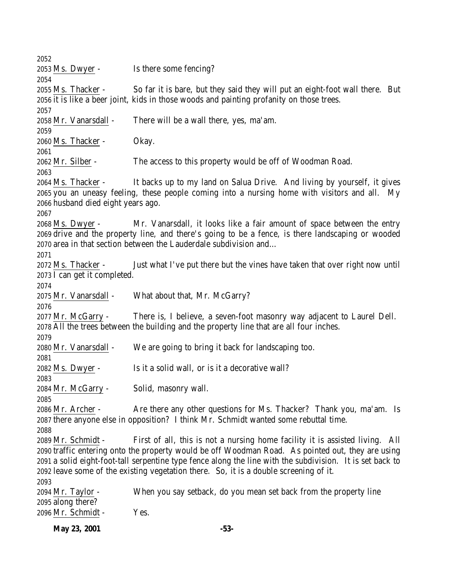Ms. Dwyer - Is there some fencing? Ms. Thacker - So far it is bare, but they said they will put an eight-foot wall there. But it is like a beer joint, kids in those woods and painting profanity on those trees. Mr. Vanarsdall - There will be a wall there, yes, ma'am. Ms. Thacker - Okay. Mr. Silber - The access to this property would be off of Woodman Road. Ms. Thacker - It backs up to my land on Salua Drive. And living by yourself, it gives you an uneasy feeling, these people coming into a nursing home with visitors and all. My husband died eight years ago. Ms. Dwyer - Mr. Vanarsdall, it looks like a fair amount of space between the entry drive and the property line, and there's going to be a fence, is there landscaping or wooded area in that section between the Lauderdale subdivision and… Ms. Thacker - Just what I've put there but the vines have taken that over right now until I can get it completed. Mr. Vanarsdall - What about that, Mr. McGarry? Mr. McGarry - There is, I believe, a seven-foot masonry way adjacent to Laurel Dell. All the trees between the building and the property line that are all four inches. Mr. Vanarsdall - We are going to bring it back for landscaping too. Ms. Dwyer - Is it a solid wall, or is it a decorative wall? Mr. McGarry - Solid, masonry wall. Mr. Archer - Are there any other questions for Ms. Thacker? Thank you, ma'am. Is there anyone else in opposition? I think Mr. Schmidt wanted some rebuttal time. Mr. Schmidt - First of all, this is not a nursing home facility it is assisted living. All traffic entering onto the property would be off Woodman Road. As pointed out, they are using a solid eight-foot-tall serpentine type fence along the line with the subdivision. It is set back to leave some of the existing vegetation there. So, it is a double screening of it. Mr. Taylor - When you say setback, do you mean set back from the property line along there? Mr. Schmidt - Yes.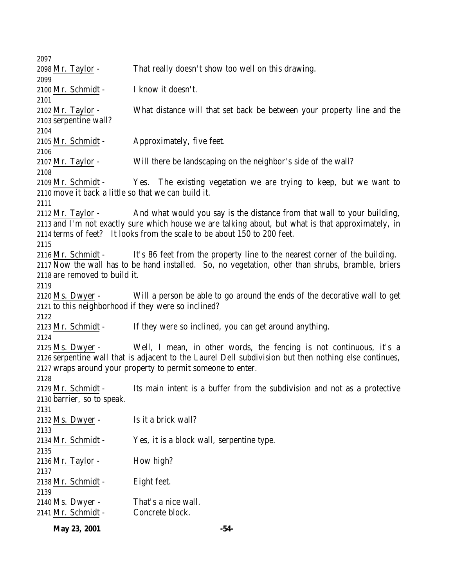| 2097                                                |                                                                                                       |
|-----------------------------------------------------|-------------------------------------------------------------------------------------------------------|
| 2098 <u>Mr. Taylor</u> -                            | That really doesn't show too well on this drawing.                                                    |
| 2099                                                |                                                                                                       |
| 2100 Mr. Schmidt -                                  | I know it doesn't.                                                                                    |
| 2101                                                |                                                                                                       |
| 2102 Mr. Taylor -                                   | What distance will that set back be between your property line and the                                |
| 2103 serpentine wall?                               |                                                                                                       |
| 2104                                                |                                                                                                       |
| 2105 Mr. Schmidt -                                  | Approximately, five feet.                                                                             |
| 2106<br>2107 Mr. Taylor -                           | Will there be landscaping on the neighbor's side of the wall?                                         |
| 2108                                                |                                                                                                       |
| 2109 Mr. Schmidt -                                  | Yes. The existing vegetation we are trying to keep, but we want to                                    |
| 2110 move it back a little so that we can build it. |                                                                                                       |
| 2111                                                |                                                                                                       |
| $2112$ Mr. Taylor -                                 | And what would you say is the distance from that wall to your building,                               |
|                                                     | 2113 and I'm not exactly sure which house we are talking about, but what is that approximately, in    |
|                                                     | 2114 terms of feet? It looks from the scale to be about 150 to 200 feet.                              |
| 2115                                                |                                                                                                       |
| 2116 Mr. Schmidt -                                  | It's 86 feet from the property line to the nearest corner of the building.                            |
|                                                     | 2117 Now the wall has to be hand installed. So, no vegetation, other than shrubs, bramble, briers     |
| 2118 are removed to build it.                       |                                                                                                       |
| 2119                                                |                                                                                                       |
| $2120$ Ms. Dwyer -                                  | Will a person be able to go around the ends of the decorative wall to get                             |
| 2121 to this neighborhood if they were so inclined? |                                                                                                       |
| 2122                                                |                                                                                                       |
| 2123 Mr. Schmidt -                                  | If they were so inclined, you can get around anything.                                                |
| 2124                                                |                                                                                                       |
| 2125 Ms. Dwyer -                                    | Well, I mean, in other words, the fencing is not continuous, it's a                                   |
|                                                     | 2126 serpentine wall that is adjacent to the Laurel Dell subdivision but then nothing else continues, |
|                                                     | 2127 wraps around your property to permit someone to enter.                                           |
| 2128                                                |                                                                                                       |
| 2129 Mr. Schmidt -                                  | Its main intent is a buffer from the subdivision and not as a protective                              |
| 2130 barrier, so to speak.                          |                                                                                                       |
| 2131                                                |                                                                                                       |
| 2132 Ms. Dwyer -                                    | Is it a brick wall?                                                                                   |
| 2133                                                |                                                                                                       |
| 2134 Mr. Schmidt -                                  | Yes, it is a block wall, serpentine type.                                                             |
| 2135                                                |                                                                                                       |
| 2136 Mr. Taylor -                                   | How high?                                                                                             |
| 2137                                                |                                                                                                       |
| 2138 Mr. Schmidt -                                  | Eight feet.                                                                                           |
| 2139                                                |                                                                                                       |
| 2140 Ms. Dwyer -                                    | That's a nice wall.                                                                                   |
| 2141 Mr. Schmidt -                                  | Concrete block.                                                                                       |
|                                                     |                                                                                                       |

**May 23, 2001 -54-**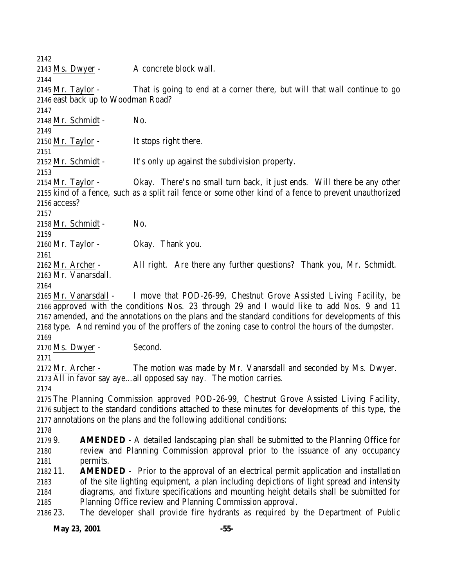Ms. Dwyer - A concrete block wall. Mr. Taylor - That is going to end at a corner there, but will that wall continue to go east back up to Woodman Road? Mr. Schmidt - No. 2150 Mr. Taylor - It stops right there. Mr. Schmidt - It's only up against the subdivision property. Mr. Taylor - Okay. There's no small turn back, it just ends. Will there be any other kind of a fence, such as a split rail fence or some other kind of a fence to prevent unauthorized access? Mr. Schmidt - No. Mr. Taylor - Okay. Thank you. Mr. Archer - All right. Are there any further questions? Thank you, Mr. Schmidt. Mr. Vanarsdall. Mr. Vanarsdall - I move that POD-26-99, Chestnut Grove Assisted Living Facility, be approved with the conditions Nos. 23 through 29 and I would like to add Nos. 9 and 11 amended, and the annotations on the plans and the standard conditions for developments of this type. And remind you of the proffers of the zoning case to control the hours of the dumpster. Ms. Dwyer - Second. Mr. Archer - The motion was made by Mr. Vanarsdall and seconded by Ms. Dwyer. All in favor say aye…all opposed say nay. The motion carries. The Planning Commission approved POD-26-99, Chestnut Grove Assisted Living Facility, subject to the standard conditions attached to these minutes for developments of this type, the annotations on the plans and the following additional conditions: 9. **AMENDED** - A detailed landscaping plan shall be submitted to the Planning Office for review and Planning Commission approval prior to the issuance of any occupancy permits. 11. **AMENDED** - Prior to the approval of an electrical permit application and installation of the site lighting equipment, a plan including depictions of light spread and intensity diagrams, and fixture specifications and mounting height details shall be submitted for Planning Office review and Planning Commission approval. 23. The developer shall provide fire hydrants as required by the Department of Public

**May 23, 2001 -55-**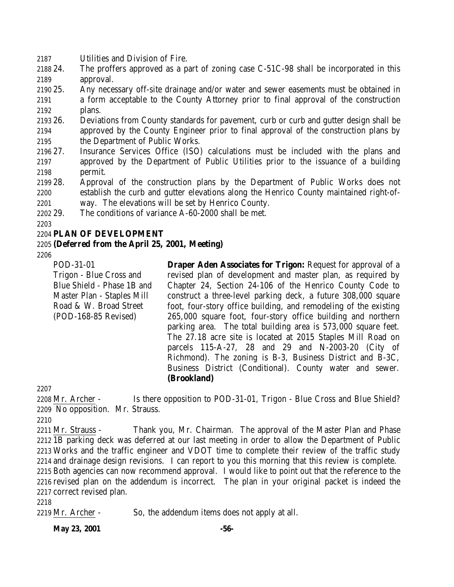- 2187 Utilities and Division of Fire.
- 2188 24. The proffers approved as a part of zoning case C-51C-98 shall be incorporated in this 2189 approval.
- 2190 25. Any necessary off-site drainage and/or water and sewer easements must be obtained in 2191 a form acceptable to the County Attorney prior to final approval of the construction 2192 plans.
- 2193 26. Deviations from County standards for pavement, curb or curb and gutter design shall be 2194 approved by the County Engineer prior to final approval of the construction plans by 2195 the Department of Public Works.
- 2196 27. Insurance Services Office (ISO) calculations must be included with the plans and 2197 approved by the Department of Public Utilities prior to the issuance of a building 2198 permit.
- 2199 28. Approval of the construction plans by the Department of Public Works does not 2200 establish the curb and gutter elevations along the Henrico County maintained right-of-2201 way. The elevations will be set by Henrico County.
- 
- 2202 29. The conditions of variance A-60-2000 shall be met.

2203

## 2204 **PLAN OF DEVELOPMENT**

## 2205 **(Deferred from the April 25, 2001, Meeting)**

2206

POD-31-01 Trigon - Blue Cross and Blue Shield - Phase 1B and Master Plan - Staples Mill Road & W. Broad Street (POD-168-85 Revised)

**Draper Aden Associates for Trigon: Request for approval of a** revised plan of development and master plan, as required by Chapter 24, Section 24-106 of the Henrico County Code to construct a three-level parking deck, a future 308,000 square foot, four-story office building, and remodeling of the existing 265,000 square foot, four-story office building and northern parking area. The total building area is 573,000 square feet. The 27.18 acre site is located at 2015 Staples Mill Road on parcels 115-A-27, 28 and 29 and N-2003-20 (City of Richmond). The zoning is B-3, Business District and B-3C, Business District (Conditional). County water and sewer. **(Brookland)**

2207

2208 Mr. Archer - Is there opposition to POD-31-01, Trigon - Blue Cross and Blue Shield? 2209 No opposition. Mr. Strauss.

2210

2211 Mr. Strauss - Thank you, Mr. Chairman. The approval of the Master Plan and Phase 1B parking deck was deferred at our last meeting in order to allow the Department of Public Works and the traffic engineer and VDOT time to complete their review of the traffic study and drainage design revisions. I can report to you this morning that this review is complete.

2215 Both agencies can now recommend approval. I would like to point out that the reference to the 2216 revised plan on the addendum is incorrect. The plan in your original packet is indeed the 2217 correct revised plan.

2218

2219 Mr. Archer - So, the addendum items does not apply at all.

**May 23, 2001 -56-**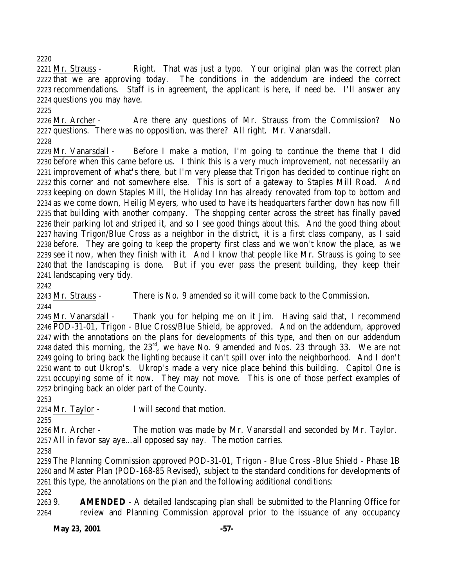2221 Mr. Strauss - Right. That was just a typo. Your original plan was the correct plan that we are approving today. The conditions in the addendum are indeed the correct recommendations. Staff is in agreement, the applicant is here, if need be. I'll answer any questions you may have.

2226 Mr. Archer - Are there any questions of Mr. Strauss from the Commission? No questions. There was no opposition, was there? All right. Mr. Vanarsdall.

 Mr. Vanarsdall - Before I make a motion, I'm going to continue the theme that I did before when this came before us. I think this is a very much improvement, not necessarily an improvement of what's there, but I'm very please that Trigon has decided to continue right on this corner and not somewhere else. This is sort of a gateway to Staples Mill Road. And keeping on down Staples Mill, the Holiday Inn has already renovated from top to bottom and as we come down, Heilig Meyers, who used to have its headquarters farther down has now fill that building with another company. The shopping center across the street has finally paved their parking lot and striped it, and so I see good things about this. And the good thing about having Trigon/Blue Cross as a neighbor in the district, it is a first class company, as I said before. They are going to keep the property first class and we won't know the place, as we see it now, when they finish with it. And I know that people like Mr. Strauss is going to see that the landscaping is done. But if you ever pass the present building, they keep their landscaping very tidy.

 Mr. Strauss - There is No. 9 amended so it will come back to the Commission. 

 Mr. Vanarsdall - Thank you for helping me on it Jim. Having said that, I recommend POD-31-01, Trigon - Blue Cross/Blue Shield, be approved. And on the addendum, approved with the annotations on the plans for developments of this type, and then on our addendum 2248 dated this morning, the  $23<sup>rd</sup>$ , we have No. 9 amended and Nos. 23 through 33. We are not going to bring back the lighting because it can't spill over into the neighborhood. And I don't want to out Ukrop's. Ukrop's made a very nice place behind this building. Capitol One is occupying some of it now. They may not move. This is one of those perfect examples of bringing back an older part of the County.

Mr. Taylor - I will second that motion.

 Mr. Archer - The motion was made by Mr. Vanarsdall and seconded by Mr. Taylor. All in favor say aye…all opposed say nay. The motion carries.

 The Planning Commission approved POD-31-01, Trigon - Blue Cross -Blue Shield - Phase 1B and Master Plan (POD-168-85 Revised), subject to the standard conditions for developments of this type, the annotations on the plan and the following additional conditions:

 9. **AMENDED** - A detailed landscaping plan shall be submitted to the Planning Office for review and Planning Commission approval prior to the issuance of any occupancy

**May 23, 2001 -57-**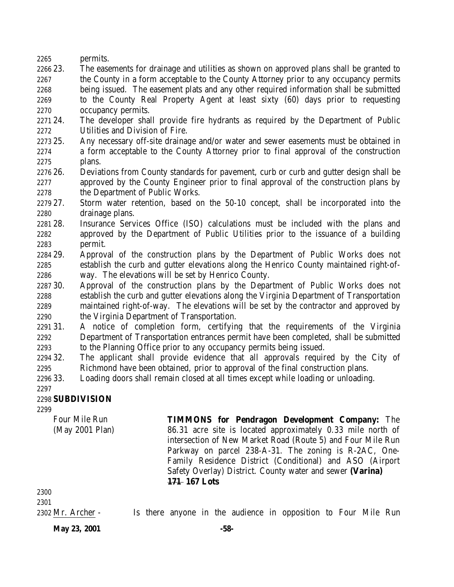permits.

 23. The easements for drainage and utilities as shown on approved plans shall be granted to the County in a form acceptable to the County Attorney prior to any occupancy permits being issued. The easement plats and any other required information shall be submitted to the County Real Property Agent at least sixty (60) days prior to requesting occupancy permits.

 24. The developer shall provide fire hydrants as required by the Department of Public Utilities and Division of Fire.

- 25. Any necessary off-site drainage and/or water and sewer easements must be obtained in a form acceptable to the County Attorney prior to final approval of the construction plans.
- 26. Deviations from County standards for pavement, curb or curb and gutter design shall be approved by the County Engineer prior to final approval of the construction plans by the Department of Public Works.
- 27. Storm water retention, based on the 50-10 concept, shall be incorporated into the drainage plans.
- 28. Insurance Services Office (ISO) calculations must be included with the plans and approved by the Department of Public Utilities prior to the issuance of a building permit.
- 29. Approval of the construction plans by the Department of Public Works does not establish the curb and gutter elevations along the Henrico County maintained right-of-way. The elevations will be set by Henrico County.
- 30. Approval of the construction plans by the Department of Public Works does not establish the curb and gutter elevations along the Virginia Department of Transportation maintained right-of-way. The elevations will be set by the contractor and approved by the Virginia Department of Transportation.
- 31. A notice of completion form, certifying that the requirements of the Virginia Department of Transportation entrances permit have been completed, shall be submitted to the Planning Office prior to any occupancy permits being issued.
- 32. The applicant shall provide evidence that all approvals required by the City of Richmond have been obtained, prior to approval of the final construction plans.
- 33. Loading doors shall remain closed at all times except while loading or unloading.

## 

## **SUBDIVISION**

Four Mile Run (May 2001 Plan) **TIMMONS for Pendragon Development Company:** The 86.31 acre site is located approximately 0.33 mile north of intersection of New Market Road (Route 5) and Four Mile Run Parkway on parcel 238-A-31. The zoning is R-2AC, One-Family Residence District (Conditional) and ASO (Airport Safety Overlay) District. County water and sewer **(Varina) 171 167 Lots**

 

Mr. Archer - Is there anyone in the audience in opposition to Four Mile Run

**May 23, 2001 -58-**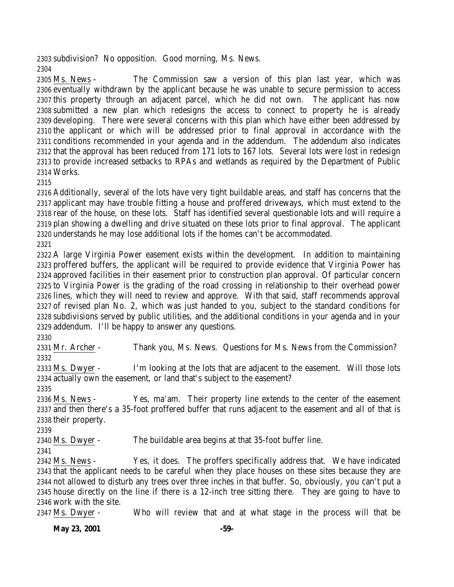subdivision? No opposition. Good morning, Ms. News. 

 Ms. News - The Commission saw a version of this plan last year, which was eventually withdrawn by the applicant because he was unable to secure permission to access this property through an adjacent parcel, which he did not own. The applicant has now submitted a new plan which redesigns the access to connect to property he is already developing. There were several concerns with this plan which have either been addressed by the applicant or which will be addressed prior to final approval in accordance with the conditions recommended in your agenda and in the addendum. The addendum also indicates that the approval has been reduced from 171 lots to 167 lots. Several lots were lost in redesign to provide increased setbacks to RPAs and wetlands as required by the Department of Public Works.

 Additionally, several of the lots have very tight buildable areas, and staff has concerns that the applicant may have trouble fitting a house and proffered driveways, which must extend to the rear of the house, on these lots. Staff has identified several questionable lots and will require a plan showing a dwelling and drive situated on these lots prior to final approval. The applicant understands he may lose additional lots if the homes can't be accommodated. 

 A large Virginia Power easement exists within the development. In addition to maintaining proffered buffers, the applicant will be required to provide evidence that Virginia Power has approved facilities in their easement prior to construction plan approval. Of particular concern to Virginia Power is the grading of the road crossing in relationship to their overhead power lines, which they will need to review and approve. With that said, staff recommends approval of revised plan No. 2, which was just handed to you, subject to the standard conditions for subdivisions served by public utilities, and the additional conditions in your agenda and in your addendum. I'll be happy to answer any questions.

 Mr. Archer - Thank you, Ms. News. Questions for Ms. News from the Commission? 

 Ms. Dwyer - I'm looking at the lots that are adjacent to the easement. Will those lots actually own the easement, or land that's subject to the easement?

 Ms. News - Yes, ma'am. Their property line extends to the center of the easement and then there's a 35-foot proffered buffer that runs adjacent to the easement and all of that is their property.

Ms. Dwyer - The buildable area begins at that 35-foot buffer line.

 Ms. News - Yes, it does. The proffers specifically address that. We have indicated that the applicant needs to be careful when they place houses on these sites because they are not allowed to disturb any trees over three inches in that buffer. So, obviously, you can't put a house directly on the line if there is a 12-inch tree sitting there. They are going to have to work with the site.

Ms. Dwyer - Who will review that and at what stage in the process will that be

**May 23, 2001 -59-**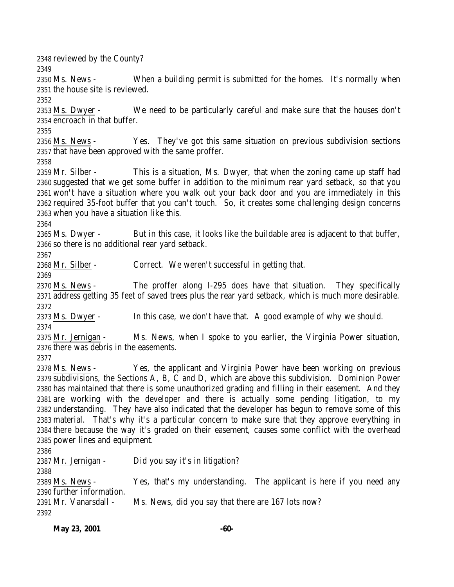reviewed by the County? Ms. News - When a building permit is submitted for the homes. It's normally when the house site is reviewed. Ms. Dwyer - We need to be particularly careful and make sure that the houses don't encroach in that buffer. Ms. News - Yes. They've got this same situation on previous subdivision sections that have been approved with the same proffer. Mr. Silber - This is a situation, Ms. Dwyer, that when the zoning came up staff had suggested that we get some buffer in addition to the minimum rear yard setback, so that you won't have a situation where you walk out your back door and you are immediately in this required 35-foot buffer that you can't touch. So, it creates some challenging design concerns when you have a situation like this. Ms. Dwyer - But in this case, it looks like the buildable area is adjacent to that buffer, so there is no additional rear yard setback. Mr. Silber - Correct. We weren't successful in getting that. Ms. News - The proffer along I-295 does have that situation. They specifically address getting 35 feet of saved trees plus the rear yard setback, which is much more desirable. Ms. Dwyer - In this case, we don't have that. A good example of why we should. Mr. Jernigan - Ms. News, when I spoke to you earlier, the Virginia Power situation, there was debris in the easements. Ms. News - Yes, the applicant and Virginia Power have been working on previous subdivisions, the Sections A, B, C and D, which are above this subdivision. Dominion Power has maintained that there is some unauthorized grading and filling in their easement. And they are working with the developer and there is actually some pending litigation, to my understanding. They have also indicated that the developer has begun to remove some of this material. That's why it's a particular concern to make sure that they approve everything in there because the way it's graded on their easement, causes some conflict with the overhead power lines and equipment. 2387 Mr. Jernigan - Did you say it's in litigation? Ms. News - Yes, that's my understanding. The applicant is here if you need any further information. Mr. Vanarsdall - Ms. News, did you say that there are 167 lots now?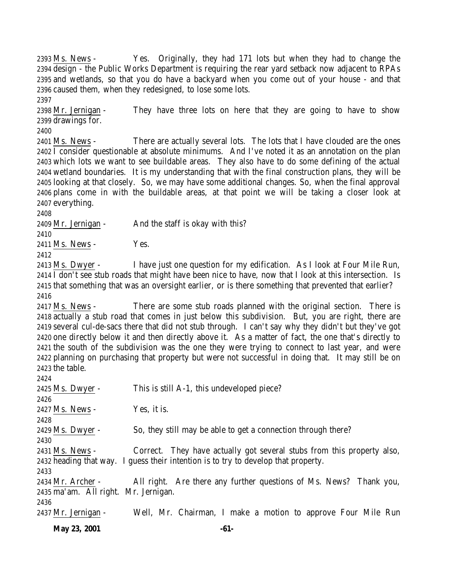Ms. News - Yes. Originally, they had 171 lots but when they had to change the design - the Public Works Department is requiring the rear yard setback now adjacent to RPAs and wetlands, so that you do have a backyard when you come out of your house - and that caused them, when they redesigned, to lose some lots.

 Mr. Jernigan - They have three lots on here that they are going to have to show drawings for.

2401 Ms. News - There are actually several lots. The lots that I have clouded are the ones I consider questionable at absolute minimums. And I've noted it as an annotation on the plan which lots we want to see buildable areas. They also have to do some defining of the actual wetland boundaries. It is my understanding that with the final construction plans, they will be looking at that closely. So, we may have some additional changes. So, when the final approval plans come in with the buildable areas, at that point we will be taking a closer look at everything.

Mr. Jernigan - And the staff is okay with this?

2411 Ms. News - Yes.

 Ms. Dwyer - I have just one question for my edification. As I look at Four Mile Run, I don't see stub roads that might have been nice to have, now that I look at this intersection. Is that something that was an oversight earlier, or is there something that prevented that earlier? 

 Ms. News - There are some stub roads planned with the original section. There is actually a stub road that comes in just below this subdivision. But, you are right, there are several cul-de-sacs there that did not stub through. I can't say why they didn't but they've got one directly below it and then directly above it. As a matter of fact, the one that's directly to the south of the subdivision was the one they were trying to connect to last year, and were planning on purchasing that property but were not successful in doing that. It may still be on the table.

| 2424                                 |                                                                                    |
|--------------------------------------|------------------------------------------------------------------------------------|
| 2425 Ms. Dwyer -                     | This is still A-1, this undeveloped piece?                                         |
| 2426                                 |                                                                                    |
| 2427 Ms. News -                      | Yes, it is.                                                                        |
| 2428                                 |                                                                                    |
| 2429 Ms. Dwyer -                     | So, they still may be able to get a connection through there?                      |
| 2430                                 |                                                                                    |
| 2431 Ms. News -                      | Correct. They have actually got several stubs from this property also,             |
|                                      | 2432 heading that way. I guess their intention is to try to develop that property. |
| 2433                                 |                                                                                    |
| 2434 Mr. Archer -                    | All right. Are there any further questions of Ms. News? Thank you,                 |
| 2435 ma'am. All right. Mr. Jernigan. |                                                                                    |
| 2436                                 |                                                                                    |
| 2437 Mr. Jernigan -                  | Well, Mr. Chairman, I make a motion to approve Four Mile Run                       |
|                                      |                                                                                    |

**May 23, 2001 -61-**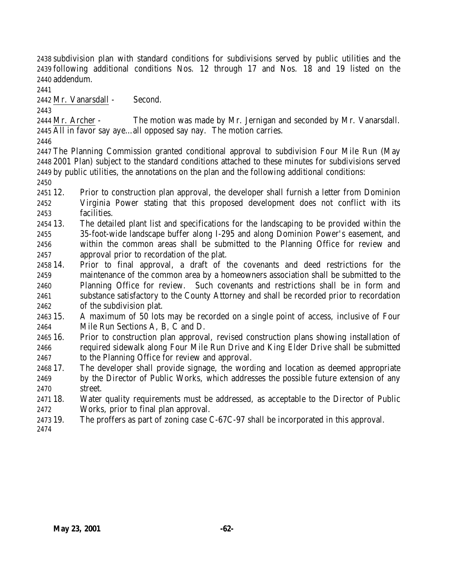subdivision plan with standard conditions for subdivisions served by public utilities and the following additional conditions Nos. 12 through 17 and Nos. 18 and 19 listed on the addendum.

Mr. Vanarsdall - Second.

 Mr. Archer - The motion was made by Mr. Jernigan and seconded by Mr. Vanarsdall. All in favor say aye…all opposed say nay. The motion carries.

 The Planning Commission granted conditional approval to subdivision Four Mile Run (May 2001 Plan) subject to the standard conditions attached to these minutes for subdivisions served by public utilities, the annotations on the plan and the following additional conditions:

 12. Prior to construction plan approval, the developer shall furnish a letter from Dominion Virginia Power stating that this proposed development does not conflict with its facilities.

 13. The detailed plant list and specifications for the landscaping to be provided within the 35-foot-wide landscape buffer along I-295 and along Dominion Power's easement, and within the common areas shall be submitted to the Planning Office for review and approval prior to recordation of the plat.

 14. Prior to final approval, a draft of the covenants and deed restrictions for the maintenance of the common area by a homeowners association shall be submitted to the Planning Office for review. Such covenants and restrictions shall be in form and substance satisfactory to the County Attorney and shall be recorded prior to recordation of the subdivision plat.

 15. A maximum of 50 lots may be recorded on a single point of access, inclusive of Four Mile Run Sections A, B, C and D.

- 16. Prior to construction plan approval, revised construction plans showing installation of required sidewalk along Four Mile Run Drive and King Elder Drive shall be submitted to the Planning Office for review and approval.
- 17. The developer shall provide signage, the wording and location as deemed appropriate by the Director of Public Works, which addresses the possible future extension of any street.

 18. Water quality requirements must be addressed, as acceptable to the Director of Public Works, prior to final plan approval.

19. The proffers as part of zoning case C-67C-97 shall be incorporated in this approval.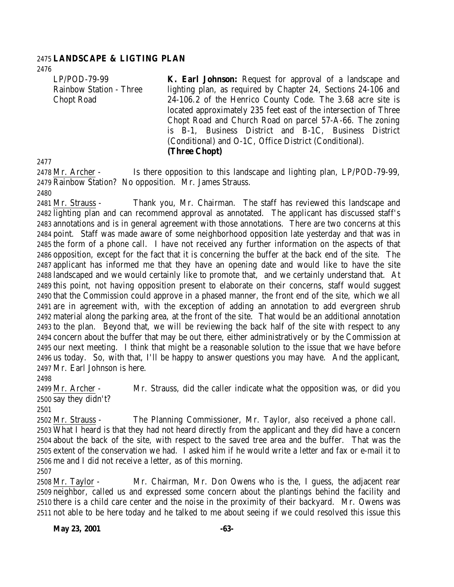### **LANDSCAPE & LIGTING PLAN**

LP/POD-79-99 Rainbow Station - Three Chopt Road

**K. Earl Johnson:** Request for approval of a landscape and lighting plan, as required by Chapter 24, Sections 24-106 and 24-106.2 of the Henrico County Code. The 3.68 acre site is located approximately 235 feet east of the intersection of Three Chopt Road and Church Road on parcel 57-A-66. The zoning is B-1, Business District and B-1C, Business District (Conditional) and O-1C, Office District (Conditional). **(Three Chopt)**

 Mr. Archer - Is there opposition to this landscape and lighting plan, LP/POD-79-99, Rainbow Station? No opposition. Mr. James Strauss.

2481 Mr. Strauss - Thank you, Mr. Chairman. The staff has reviewed this landscape and lighting plan and can recommend approval as annotated. The applicant has discussed staff's annotations and is in general agreement with those annotations. There are two concerns at this point. Staff was made aware of some neighborhood opposition late yesterday and that was in the form of a phone call. I have not received any further information on the aspects of that opposition, except for the fact that it is concerning the buffer at the back end of the site. The applicant has informed me that they have an opening date and would like to have the site landscaped and we would certainly like to promote that, and we certainly understand that. At this point, not having opposition present to elaborate on their concerns, staff would suggest that the Commission could approve in a phased manner, the front end of the site, which we all are in agreement with, with the exception of adding an annotation to add evergreen shrub material along the parking area, at the front of the site. That would be an additional annotation to the plan. Beyond that, we will be reviewing the back half of the site with respect to any concern about the buffer that may be out there, either administratively or by the Commission at our next meeting. I think that might be a reasonable solution to the issue that we have before us today. So, with that, I'll be happy to answer questions you may have. And the applicant, Mr. Earl Johnson is here.

 Mr. Archer - Mr. Strauss, did the caller indicate what the opposition was, or did you say they didn't?

 Mr. Strauss - The Planning Commissioner, Mr. Taylor, also received a phone call. What I heard is that they had not heard directly from the applicant and they did have a concern about the back of the site, with respect to the saved tree area and the buffer. That was the extent of the conservation we had. I asked him if he would write a letter and fax or e-mail it to me and I did not receive a letter, as of this morning.

 Mr. Taylor - Mr. Chairman, Mr. Don Owens who is the, I guess, the adjacent rear neighbor, called us and expressed some concern about the plantings behind the facility and there is a child care center and the noise in the proximity of their backyard. Mr. Owens was not able to be here today and he talked to me about seeing if we could resolved this issue this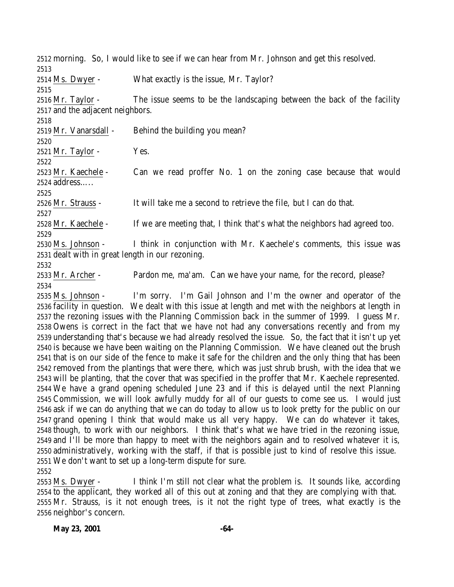morning. So, I would like to see if we can hear from Mr. Johnson and get this resolved. Ms. Dwyer - What exactly is the issue, Mr. Taylor? Mr. Taylor - The issue seems to be the landscaping between the back of the facility and the adjacent neighbors. Mr. Vanarsdall - Behind the building you mean? Mr. Taylor - Yes. Mr. Kaechele - Can we read proffer No. 1 on the zoning case because that would address….. Mr. Strauss - It will take me a second to retrieve the file, but I can do that. Mr. Kaechele - If we are meeting that, I think that's what the neighbors had agreed too. Ms. Johnson - I think in conjunction with Mr. Kaechele's comments, this issue was dealt with in great length in our rezoning. Mr. Archer - Pardon me, ma'am. Can we have your name, for the record, please? Ms. Johnson - I'm sorry. I'm Gail Johnson and I'm the owner and operator of the facility in question. We dealt with this issue at length and met with the neighbors at length in the rezoning issues with the Planning Commission back in the summer of 1999. I guess Mr.

 Owens is correct in the fact that we have not had any conversations recently and from my understanding that's because we had already resolved the issue. So, the fact that it isn't up yet is because we have been waiting on the Planning Commission. We have cleaned out the brush that is on our side of the fence to make it safe for the children and the only thing that has been removed from the plantings that were there, which was just shrub brush, with the idea that we will be planting, that the cover that was specified in the proffer that Mr. Kaechele represented. We have a grand opening scheduled June 23 and if this is delayed until the next Planning Commission, we will look awfully muddy for all of our guests to come see us. I would just ask if we can do anything that we can do today to allow us to look pretty for the public on our grand opening I think that would make us all very happy. We can do whatever it takes, though, to work with our neighbors. I think that's what we have tried in the rezoning issue, and I'll be more than happy to meet with the neighbors again and to resolved whatever it is, administratively, working with the staff, if that is possible just to kind of resolve this issue. We don't want to set up a long-term dispute for sure. 

 Ms. Dwyer - I think I'm still not clear what the problem is. It sounds like, according to the applicant, they worked all of this out at zoning and that they are complying with that. Mr. Strauss, is it not enough trees, is it not the right type of trees, what exactly is the neighbor's concern.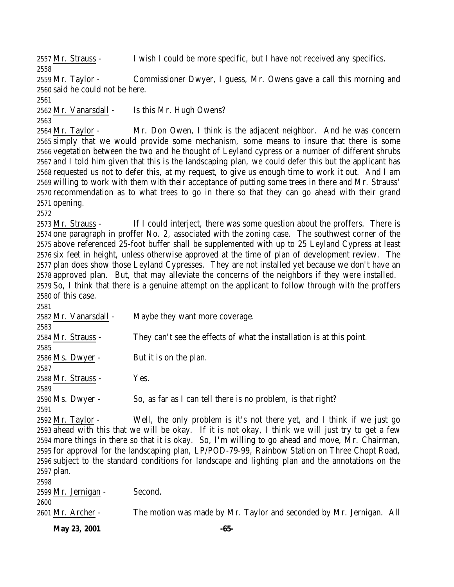Mr. Strauss - I wish I could be more specific, but I have not received any specifics. 

 Mr. Taylor - Commissioner Dwyer, I guess, Mr. Owens gave a call this morning and said he could not be here.

2562 Mr. Vanarsdall - Is this Mr. Hugh Owens?

 Mr. Taylor - Mr. Don Owen, I think is the adjacent neighbor. And he was concern simply that we would provide some mechanism, some means to insure that there is some vegetation between the two and he thought of Leyland cypress or a number of different shrubs and I told him given that this is the landscaping plan, we could defer this but the applicant has requested us not to defer this, at my request, to give us enough time to work it out. And I am willing to work with them with their acceptance of putting some trees in there and Mr. Strauss' recommendation as to what trees to go in there so that they can go ahead with their grand opening.

 Mr. Strauss - If I could interject, there was some question about the proffers. There is one paragraph in proffer No. 2, associated with the zoning case. The southwest corner of the above referenced 25-foot buffer shall be supplemented with up to 25 Leyland Cypress at least six feet in height, unless otherwise approved at the time of plan of development review. The plan does show those Leyland Cypresses. They are not installed yet because we don't have an approved plan. But, that may alleviate the concerns of the neighbors if they were installed. So, I think that there is a genuine attempt on the applicant to follow through with the proffers of this case.

| 2581                  |                                                                         |
|-----------------------|-------------------------------------------------------------------------|
| 2582 Mr. Vanarsdall - | Maybe they want more coverage.                                          |
| 2583                  |                                                                         |
| 2584 Mr. Strauss -    | They can't see the effects of what the installation is at this point.   |
| 2585                  |                                                                         |
| 2586 Ms. Dwyer -      | But it is on the plan.                                                  |
| 2587                  |                                                                         |
| 2588 Mr. Strauss -    | Yes.                                                                    |
| 2589                  |                                                                         |
| 2590 Ms. Dwyer -      | So, as far as I can tell there is no problem, is that right?            |
| 2591                  |                                                                         |
| 2592 Mr. Taylor -     | Well, the only problem is it's not there yet, and I think if we just go |
| .                     |                                                                         |

 ahead with this that we will be okay. If it is not okay, I think we will just try to get a few more things in there so that it is okay. So, I'm willing to go ahead and move, Mr. Chairman, for approval for the landscaping plan, LP/POD-79-99, Rainbow Station on Three Chopt Road, subject to the standard conditions for landscape and lighting plan and the annotations on the plan.

 Mr. Jernigan - Second. Mr. Archer - The motion was made by Mr. Taylor and seconded by Mr. Jernigan. All

**May 23, 2001 -65-**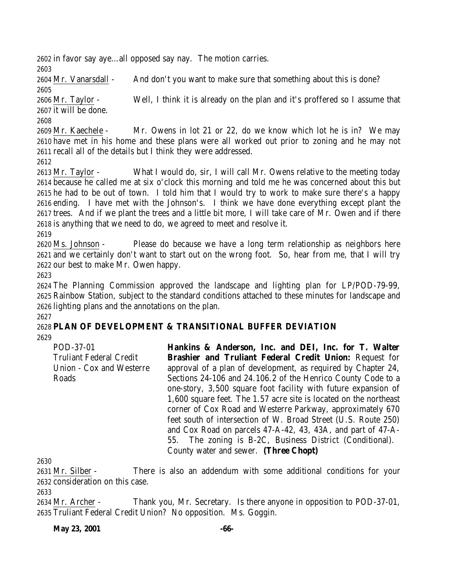in favor say aye…all opposed say nay. The motion carries.

Mr. Vanarsdall - And don't you want to make sure that something about this is done?

 Mr. Taylor - Well, I think it is already on the plan and it's proffered so I assume that it will be done.

 Mr. Kaechele - Mr. Owens in lot 21 or 22, do we know which lot he is in? We may have met in his home and these plans were all worked out prior to zoning and he may not recall all of the details but I think they were addressed.

 Mr. Taylor - What I would do, sir, I will call Mr. Owens relative to the meeting today because he called me at six o'clock this morning and told me he was concerned about this but he had to be out of town. I told him that I would try to work to make sure there's a happy ending. I have met with the Johnson's. I think we have done everything except plant the trees. And if we plant the trees and a little bit more, I will take care of Mr. Owen and if there is anything that we need to do, we agreed to meet and resolve it.

 Ms. Johnson - Please do because we have a long term relationship as neighbors here and we certainly don't want to start out on the wrong foot. So, hear from me, that I will try our best to make Mr. Owen happy.

 The Planning Commission approved the landscape and lighting plan for LP/POD-79-99, Rainbow Station, subject to the standard conditions attached to these minutes for landscape and lighting plans and the annotations on the plan. 

# **PLAN OF DEVELOPMENT & TRANSITIONAL BUFFER DEVIATION**

POD-37-01 Truliant Federal Credit Union - Cox and Westerre Roads

**Hankins & Anderson, Inc. and DEI, Inc. for T. Walter Brashier and Truliant Federal Credit Union:** Request for approval of a plan of development, as required by Chapter 24, Sections 24-106 and 24.106.2 of the Henrico County Code to a one-story, 3,500 square foot facility with future expansion of 1,600 square feet. The 1.57 acre site is located on the northeast corner of Cox Road and Westerre Parkway, approximately 670 feet south of intersection of W. Broad Street (U.S. Route 250) and Cox Road on parcels 47-A-42, 43, 43A, and part of 47-A-55. The zoning is B-2C, Business District (Conditional). County water and sewer. **(Three Chopt)**

 Mr. Silber - There is also an addendum with some additional conditions for your consideration on this case.

 Mr. Archer - Thank you, Mr. Secretary. Is there anyone in opposition to POD-37-01, Truliant Federal Credit Union? No opposition. Ms. Goggin.

**May 23, 2001 -66-**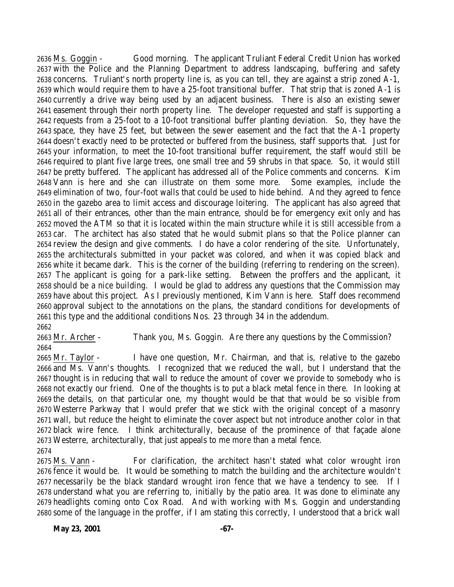Ms. Goggin - Good morning. The applicant Truliant Federal Credit Union has worked with the Police and the Planning Department to address landscaping, buffering and safety concerns. Truliant's north property line is, as you can tell, they are against a strip zoned A-1, which would require them to have a 25-foot transitional buffer. That strip that is zoned A-1 is currently a drive way being used by an adjacent business. There is also an existing sewer easement through their north property line. The developer requested and staff is supporting a requests from a 25-foot to a 10-foot transitional buffer planting deviation. So, they have the space, they have 25 feet, but between the sewer easement and the fact that the A-1 property doesn't exactly need to be protected or buffered from the business, staff supports that. Just for your information, to meet the 10-foot transitional buffer requirement, the staff would still be required to plant five large trees, one small tree and 59 shrubs in that space. So, it would still be pretty buffered. The applicant has addressed all of the Police comments and concerns. Kim Vann is here and she can illustrate on them some more. Some examples, include the elimination of two, four-foot walls that could be used to hide behind. And they agreed to fence in the gazebo area to limit access and discourage loitering. The applicant has also agreed that all of their entrances, other than the main entrance, should be for emergency exit only and has moved the ATM so that it is located within the main structure while it is still accessible from a car. The architect has also stated that he would submit plans so that the Police planner can review the design and give comments. I do have a color rendering of the site. Unfortunately, the architecturals submitted in your packet was colored, and when it was copied black and white it became dark. This is the corner of the building (referring to rendering on the screen). The applicant is going for a park-like setting. Between the proffers and the applicant, it should be a nice building. I would be glad to address any questions that the Commission may have about this project. As I previously mentioned, Kim Vann is here. Staff does recommend approval subject to the annotations on the plans, the standard conditions for developments of this type and the additional conditions Nos. 23 through 34 in the addendum. 

 Mr. Archer - Thank you, Ms. Goggin. Are there any questions by the Commission? 

 Mr. Taylor - I have one question, Mr. Chairman, and that is, relative to the gazebo and Ms. Vann's thoughts. I recognized that we reduced the wall, but I understand that the thought is in reducing that wall to reduce the amount of cover we provide to somebody who is not exactly our friend. One of the thoughts is to put a black metal fence in there. In looking at the details, on that particular one, my thought would be that that would be so visible from Westerre Parkway that I would prefer that we stick with the original concept of a masonry wall, but reduce the height to eliminate the cover aspect but not introduce another color in that black wire fence. I think architecturally, because of the prominence of that façade alone Westerre, architecturally, that just appeals to me more than a metal fence. 

 Ms. Vann - For clarification, the architect hasn't stated what color wrought iron fence it would be. It would be something to match the building and the architecture wouldn't necessarily be the black standard wrought iron fence that we have a tendency to see. If I understand what you are referring to, initially by the patio area. It was done to eliminate any headlights coming onto Cox Road. And with working with Ms. Goggin and understanding some of the language in the proffer, if I am stating this correctly, I understood that a brick wall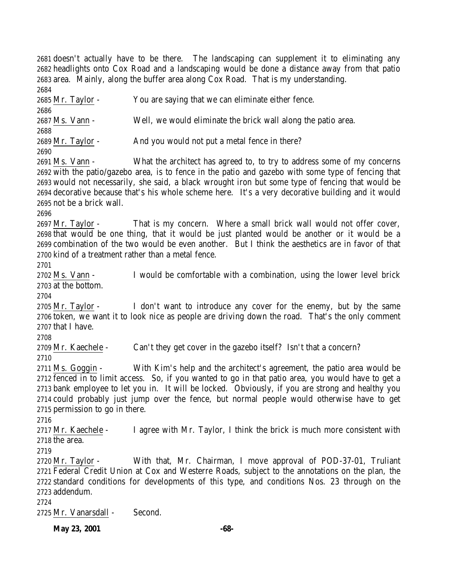doesn't actually have to be there. The landscaping can supplement it to eliminating any headlights onto Cox Road and a landscaping would be done a distance away from that patio area. Mainly, along the buffer area along Cox Road. That is my understanding. 

 Mr. Taylor - You are saying that we can eliminate either fence. Ms. Vann - Well, we would eliminate the brick wall along the patio area. Mr. Taylor - And you would not put a metal fence in there? Ms. Vann - What the architect has agreed to, to try to address some of my concerns with the patio/gazebo area, is to fence in the patio and gazebo with some type of fencing that would not necessarily, she said, a black wrought iron but some type of fencing that would be decorative because that's his whole scheme here. It's a very decorative building and it would not be a brick wall. Mr. Taylor - That is my concern. Where a small brick wall would not offer cover, that would be one thing, that it would be just planted would be another or it would be a combination of the two would be even another. But I think the aesthetics are in favor of that kind of a treatment rather than a metal fence. Ms. Vann - I would be comfortable with a combination, using the lower level brick at the bottom. Mr. Taylor - I don't want to introduce any cover for the enemy, but by the same token, we want it to look nice as people are driving down the road. That's the only comment that I have. Mr. Kaechele - Can't they get cover in the gazebo itself? Isn't that a concern? Ms. Goggin - With Kim's help and the architect's agreement, the patio area would be fenced in to limit access. So, if you wanted to go in that patio area, you would have to get a bank employee to let you in. It will be locked. Obviously, if you are strong and healthy you could probably just jump over the fence, but normal people would otherwise have to get permission to go in there. 2717 Mr. Kaechele - I agree with Mr. Taylor, I think the brick is much more consistent with the area. Mr. Taylor - With that, Mr. Chairman, I move approval of POD-37-01, Truliant Federal Credit Union at Cox and Westerre Roads, subject to the annotations on the plan, the standard conditions for developments of this type, and conditions Nos. 23 through on the addendum. Mr. Vanarsdall - Second.

**May 23, 2001 -68-**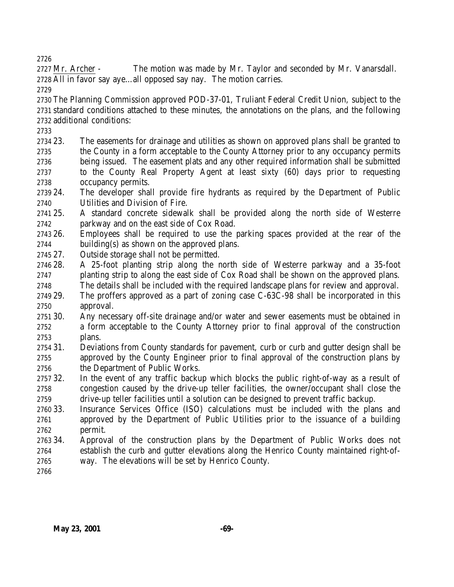2727 Mr. Archer - The motion was made by Mr. Taylor and seconded by Mr. Vanarsdall. All in favor say aye…all opposed say nay. The motion carries.

 The Planning Commission approved POD-37-01, Truliant Federal Credit Union, subject to the standard conditions attached to these minutes, the annotations on the plans, and the following additional conditions:

- 23. The easements for drainage and utilities as shown on approved plans shall be granted to the County in a form acceptable to the County Attorney prior to any occupancy permits being issued. The easement plats and any other required information shall be submitted to the County Real Property Agent at least sixty (60) days prior to requesting occupancy permits.
- 24. The developer shall provide fire hydrants as required by the Department of Public Utilities and Division of Fire.
- 25. A standard concrete sidewalk shall be provided along the north side of Westerre parkway and on the east side of Cox Road.
- 26. Employees shall be required to use the parking spaces provided at the rear of the building(s) as shown on the approved plans.
- 27. Outside storage shall not be permitted.
- 28. A 25-foot planting strip along the north side of Westerre parkway and a 35-foot planting strip to along the east side of Cox Road shall be shown on the approved plans.
- The details shall be included with the required landscape plans for review and approval.
- 29. The proffers approved as a part of zoning case C-63C-98 shall be incorporated in this approval.
- 30. Any necessary off-site drainage and/or water and sewer easements must be obtained in a form acceptable to the County Attorney prior to final approval of the construction plans.
- 31. Deviations from County standards for pavement, curb or curb and gutter design shall be approved by the County Engineer prior to final approval of the construction plans by the Department of Public Works.
- 32. In the event of any traffic backup which blocks the public right-of-way as a result of congestion caused by the drive-up teller facilities, the owner/occupant shall close the drive-up teller facilities until a solution can be designed to prevent traffic backup.
- 33. Insurance Services Office (ISO) calculations must be included with the plans and approved by the Department of Public Utilities prior to the issuance of a building permit.
- 34. Approval of the construction plans by the Department of Public Works does not establish the curb and gutter elevations along the Henrico County maintained right-of-way. The elevations will be set by Henrico County.
-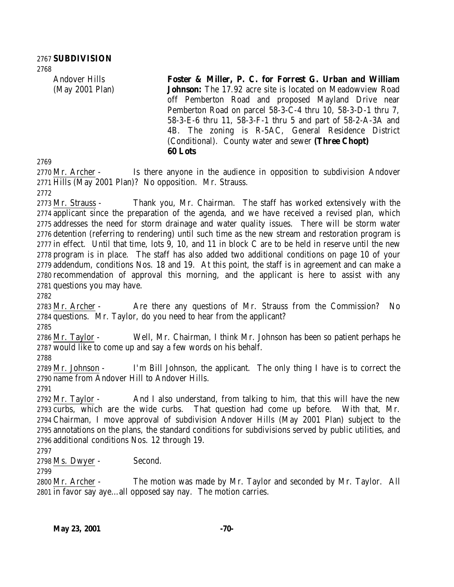Andover Hills (May 2001 Plan)

**Foster & Miller, P. C. for Forrest G. Urban and William Johnson:** The 17.92 acre site is located on Meadowview Road off Pemberton Road and proposed Mayland Drive near Pemberton Road on parcel 58-3-C-4 thru 10, 58-3-D-1 thru 7, 58-3-E-6 thru 11, 58-3-F-1 thru 5 and part of 58-2-A-3A and 4B. The zoning is R-5AC, General Residence District (Conditional). County water and sewer **(Three Chopt) 60 Lots**

2770 Mr. Archer - Is there anyone in the audience in opposition to subdivision Andover Hills (May 2001 Plan)? No opposition. Mr. Strauss.

 Mr. Strauss - Thank you, Mr. Chairman. The staff has worked extensively with the applicant since the preparation of the agenda, and we have received a revised plan, which addresses the need for storm drainage and water quality issues. There will be storm water detention (referring to rendering) until such time as the new stream and restoration program is in effect. Until that time, lots 9, 10, and 11 in block C are to be held in reserve until the new program is in place. The staff has also added two additional conditions on page 10 of your addendum, conditions Nos. 18 and 19. At this point, the staff is in agreement and can make a recommendation of approval this morning, and the applicant is here to assist with any questions you may have.

2783 Mr. Archer - Are there any questions of Mr. Strauss from the Commission? No questions. Mr. Taylor, do you need to hear from the applicant?

 Mr. Taylor - Well, Mr. Chairman, I think Mr. Johnson has been so patient perhaps he would like to come up and say a few words on his behalf.

 Mr. Johnson - I'm Bill Johnson, the applicant. The only thing I have is to correct the name from Andover Hill to Andover Hills.

2792 Mr. Taylor - And I also understand, from talking to him, that this will have the new curbs, which are the wide curbs. That question had come up before. With that, Mr. Chairman, I move approval of subdivision Andover Hills (May 2001 Plan) subject to the annotations on the plans, the standard conditions for subdivisions served by public utilities, and additional conditions Nos. 12 through 19.

Ms. Dwyer - Second.

 Mr. Archer - The motion was made by Mr. Taylor and seconded by Mr. Taylor. All in favor say aye…all opposed say nay. The motion carries.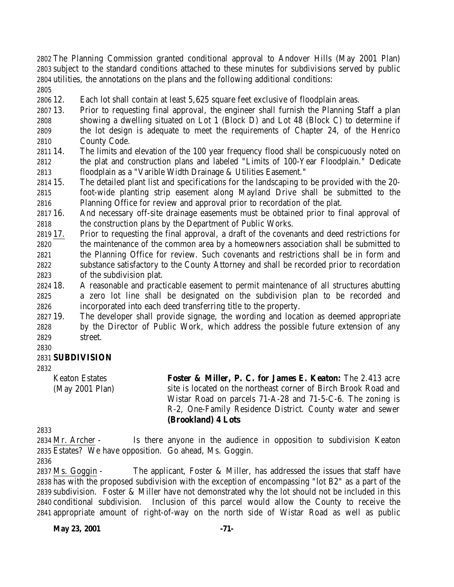The Planning Commission granted conditional approval to Andover Hills (May 2001 Plan) subject to the standard conditions attached to these minutes for subdivisions served by public utilities, the annotations on the plans and the following additional conditions:

12. Each lot shall contain at least 5,625 square feet exclusive of floodplain areas.

- 13. Prior to requesting final approval, the engineer shall furnish the Planning Staff a plan showing a dwelling situated on Lot 1 (Block D) and Lot 48 (Block C) to determine if the lot design is adequate to meet the requirements of Chapter 24, of the Henrico County Code.
- 14. The limits and elevation of the 100 year frequency flood shall be conspicuously noted on the plat and construction plans and labeled "Limits of 100-Year Floodplain." Dedicate floodplain as a "Varible Width Drainage & Utilities Easement."
- 15. The detailed plant list and specifications for the landscaping to be provided with the 20- foot-wide planting strip easement along Mayland Drive shall be submitted to the Planning Office for review and approval prior to recordation of the plat.
- 16. And necessary off-site drainage easements must be obtained prior to final approval of the construction plans by the Department of Public Works.
- 17. Prior to requesting the final approval, a draft of the covenants and deed restrictions for the maintenance of the common area by a homeowners association shall be submitted to the Planning Office for review. Such covenants and restrictions shall be in form and substance satisfactory to the County Attorney and shall be recorded prior to recordation of the subdivision plat.
- 18. A reasonable and practicable easement to permit maintenance of all structures abutting a zero lot line shall be designated on the subdivision plan to be recorded and incorporated into each deed transferring title to the property.
- 19. The developer shall provide signage, the wording and location as deemed appropriate by the Director of Public Work, which address the possible future extension of any street.
- 

## **SUBDIVISION**

Keaton Estates (May 2001 Plan) **Foster & Miller, P. C. for James E. Keaton:** The 2.413 acre site is located on the northeast corner of Birch Brook Road and Wistar Road on parcels 71-A-28 and 71-5-C-6. The zoning is R-2, One-Family Residence District. County water and sewer **(Brookland) 4 Lots**

 Mr. Archer - Is there anyone in the audience in opposition to subdivision Keaton Estates? We have opposition. Go ahead, Ms. Goggin.

 Ms. Goggin - The applicant, Foster & Miller, has addressed the issues that staff have has with the proposed subdivision with the exception of encompassing "lot B2" as a part of the subdivision. Foster & Miller have not demonstrated why the lot should not be included in this conditional subdivision. Inclusion of this parcel would allow the County to receive the appropriate amount of right-of-way on the north side of Wistar Road as well as public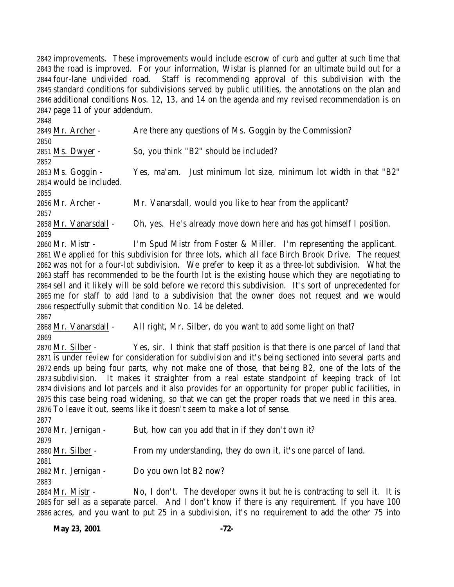improvements. These improvements would include escrow of curb and gutter at such time that the road is improved. For your information, Wistar is planned for an ultimate build out for a four-lane undivided road. Staff is recommending approval of this subdivision with the standard conditions for subdivisions served by public utilities, the annotations on the plan and additional conditions Nos. 12, 13, and 14 on the agenda and my revised recommendation is on page 11 of your addendum.

| 2849 Mr. Archer -       | Are there any questions of Ms. Goggin by the Commission?             |
|-------------------------|----------------------------------------------------------------------|
| 2850                    |                                                                      |
| 2851 Ms. Dwyer -        | So, you think "B2" should be included?                               |
| 2852                    |                                                                      |
| 2853 Ms. Goggin -       | Yes, ma'am. Just minimum lot size, minimum lot width in that "B2"    |
| 2854 would be included. |                                                                      |
| 2855                    |                                                                      |
| 2856 Mr. Archer -       | Mr. Vanarsdall, would you like to hear from the applicant?           |
| 2857                    |                                                                      |
| 2858 Mr. Vanarsdall -   | Oh, yes. He's already move down here and has got himself I position. |
| 2859                    |                                                                      |
| 2860 Mr. Mistr -        | I'm Spud Mistr from Foster & Miller. I'm representing the applicant. |
| $- - -$                 | $\blacksquare$                                                       |

 We applied for this subdivision for three lots, which all face Birch Brook Drive. The request was not for a four-lot subdivision. We prefer to keep it as a three-lot subdivision. What the staff has recommended to be the fourth lot is the existing house which they are negotiating to sell and it likely will be sold before we record this subdivision. It's sort of unprecedented for me for staff to add land to a subdivision that the owner does not request and we would respectfully submit that condition No. 14 be deleted.

 Mr. Vanarsdall - All right, Mr. Silber, do you want to add some light on that? 

 Mr. Silber - Yes, sir. I think that staff position is that there is one parcel of land that is under review for consideration for subdivision and it's being sectioned into several parts and ends up being four parts, why not make one of those, that being B2, one of the lots of the subdivision. It makes it straighter from a real estate standpoint of keeping track of lot divisions and lot parcels and it also provides for an opportunity for proper public facilities, in this case being road widening, so that we can get the proper roads that we need in this area. To leave it out, seems like it doesn't seem to make a lot of sense.

| 2877                |                                                                 |
|---------------------|-----------------------------------------------------------------|
| 2878 Mr. Jernigan - | But, how can you add that in if they don't own it?              |
| 2879                |                                                                 |
| 2880 Mr. Silber -   | From my understanding, they do own it, it's one parcel of land. |
| 2881                |                                                                 |
| 2882 Mr. Jernigan - | Do you own lot B2 now?                                          |
| 2883                |                                                                 |
|                     | <b>NITI</b> II TO THE T                                         |

 Mr. Mistr - No, I don't. The developer owns it but he is contracting to sell it. It is for sell as a separate parcel. And I don't know if there is any requirement. If you have 100 acres, and you want to put 25 in a subdivision, it's no requirement to add the other 75 into

**May 23, 2001 -72-**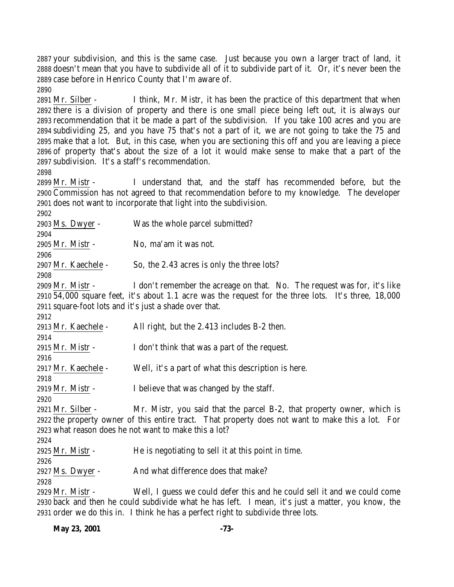your subdivision, and this is the same case. Just because you own a larger tract of land, it doesn't mean that you have to subdivide all of it to subdivide part of it. Or, it's never been the case before in Henrico County that I'm aware of. 

 Mr. Silber - I think, Mr. Mistr, it has been the practice of this department that when there is a division of property and there is one small piece being left out, it is always our recommendation that it be made a part of the subdivision. If you take 100 acres and you are subdividing 25, and you have 75 that's not a part of it, we are not going to take the 75 and make that a lot. But, in this case, when you are sectioning this off and you are leaving a piece of property that's about the size of a lot it would make sense to make that a part of the subdivision. It's a staff's recommendation.

 Mr. Mistr - I understand that, and the staff has recommended before, but the Commission has not agreed to that recommendation before to my knowledge. The developer does not want to incorporate that light into the subdivision.

 Ms. Dwyer - Was the whole parcel submitted? Mr. Mistr - No, ma'am it was not. Mr. Kaechele - So, the 2.43 acres is only the three lots? Mr. Mistr - I don't remember the acreage on that. No. The request was for, it's like 54,000 square feet, it's about 1.1 acre was the request for the three lots. It's three, 18,000 square-foot lots and it's just a shade over that. Mr. Kaechele - All right, but the 2.413 includes B-2 then. Mr. Mistr - I don't think that was a part of the request. Mr. Kaechele - Well, it's a part of what this description is here. Mr. Mistr - I believe that was changed by the staff. Mr. Silber - Mr. Mistr, you said that the parcel B-2, that property owner, which is the property owner of this entire tract. That property does not want to make this a lot. For what reason does he not want to make this a lot? Mr. Mistr - He is negotiating to sell it at this point in time. 2927 Ms. Dwyer - And what difference does that make? Mr. Mistr - Well, I guess we could defer this and he could sell it and we could come back and then he could subdivide what he has left. I mean, it's just a matter, you know, the

order we do this in. I think he has a perfect right to subdivide three lots.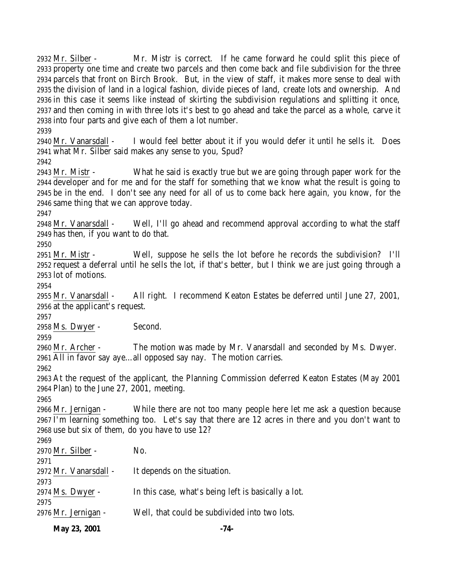Mr. Silber - Mr. Mistr is correct. If he came forward he could split this piece of property one time and create two parcels and then come back and file subdivision for the three parcels that front on Birch Brook. But, in the view of staff, it makes more sense to deal with the division of land in a logical fashion, divide pieces of land, create lots and ownership. And in this case it seems like instead of skirting the subdivision regulations and splitting it once, and then coming in with three lots it's best to go ahead and take the parcel as a whole, carve it into four parts and give each of them a lot number. 

 Mr. Vanarsdall - I would feel better about it if you would defer it until he sells it. Does what Mr. Silber said makes any sense to you, Spud? 

 Mr. Mistr - What he said is exactly true but we are going through paper work for the developer and for me and for the staff for something that we know what the result is going to be in the end. I don't see any need for all of us to come back here again, you know, for the same thing that we can approve today.

 Mr. Vanarsdall - Well, I'll go ahead and recommend approval according to what the staff has then, if you want to do that.

 Mr. Mistr - Well, suppose he sells the lot before he records the subdivision? I'll request a deferral until he sells the lot, if that's better, but I think we are just going through a lot of motions.

 Mr. Vanarsdall - All right. I recommend Keaton Estates be deferred until June 27, 2001, at the applicant's request.

Ms. Dwyer - Second.

 Mr. Archer - The motion was made by Mr. Vanarsdall and seconded by Ms. Dwyer. All in favor say aye…all opposed say nay. The motion carries.

 At the request of the applicant, the Planning Commission deferred Keaton Estates (May 2001 Plan) to the June 27, 2001, meeting.

 Mr. Jernigan - While there are not too many people here let me ask a question because I'm learning something too. Let's say that there are 12 acres in there and you don't want to use but six of them, do you have to use 12?

| 2969                  |                                                     |
|-----------------------|-----------------------------------------------------|
| 2970 Mr. Silber -     | No.                                                 |
| 2971                  |                                                     |
| 2972 Mr. Vanarsdall - | It depends on the situation.                        |
| 2973                  |                                                     |
| 2974 Ms. Dwyer -      | In this case, what's being left is basically a lot. |
| 2975                  |                                                     |
| 2976 Mr. Jernigan -   | Well, that could be subdivided into two lots.       |
|                       |                                                     |

**May 23, 2001 -74-**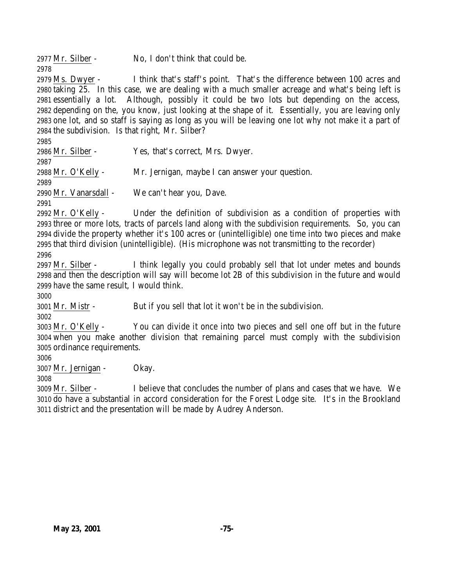Mr. Silber - No, I don't think that could be.

 Ms. Dwyer - I think that's staff's point. That's the difference between 100 acres and taking 25. In this case, we are dealing with a much smaller acreage and what's being left is essentially a lot. Although, possibly it could be two lots but depending on the access, depending on the, you know, just looking at the shape of it. Essentially, you are leaving only one lot, and so staff is saying as long as you will be leaving one lot why not make it a part of the subdivision. Is that right, Mr. Silber?

 Mr. Silber - Yes, that's correct, Mrs. Dwyer. Mr. O'Kelly - Mr. Jernigan, maybe I can answer your question. Mr. Vanarsdall - We can't hear you, Dave.

 Mr. O'Kelly - Under the definition of subdivision as a condition of properties with three or more lots, tracts of parcels land along with the subdivision requirements. So, you can divide the property whether it's 100 acres or (unintelligible) one time into two pieces and make that third division (unintelligible). (His microphone was not transmitting to the recorder)

 Mr. Silber - I think legally you could probably sell that lot under metes and bounds and then the description will say will become lot 2B of this subdivision in the future and would have the same result, I would think.

Mr. Mistr - But if you sell that lot it won't be in the subdivision.

 Mr. O'Kelly - You can divide it once into two pieces and sell one off but in the future when you make another division that remaining parcel must comply with the subdivision ordinance requirements.

Mr. Jernigan - Okay.

 Mr. Silber - I believe that concludes the number of plans and cases that we have. We do have a substantial in accord consideration for the Forest Lodge site. It's in the Brookland district and the presentation will be made by Audrey Anderson.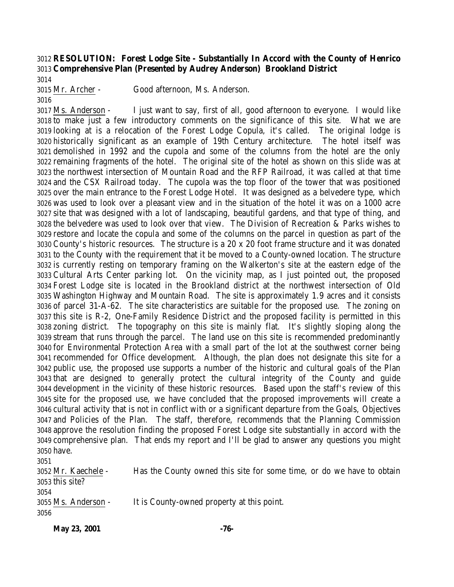## **RESOLUTION: Forest Lodge Site - Substantially In Accord with the County of Henrico Comprehensive Plan (Presented by Audrey Anderson) Brookland District**

Mr. Archer - Good afternoon, Ms. Anderson.

 Ms. Anderson - I just want to say, first of all, good afternoon to everyone. I would like to make just a few introductory comments on the significance of this site. What we are looking at is a relocation of the Forest Lodge Copula, it's called. The original lodge is historically significant as an example of 19th Century architecture. The hotel itself was demolished in 1992 and the cupola and some of the columns from the hotel are the only remaining fragments of the hotel. The original site of the hotel as shown on this slide was at the northwest intersection of Mountain Road and the RFP Railroad, it was called at that time and the CSX Railroad today. The cupola was the top floor of the tower that was positioned over the main entrance to the Forest Lodge Hotel. It was designed as a belvedere type, which was used to look over a pleasant view and in the situation of the hotel it was on a 1000 acre site that was designed with a lot of landscaping, beautiful gardens, and that type of thing, and the belvedere was used to look over that view. The Division of Recreation & Parks wishes to restore and locate the copula and some of the columns on the parcel in question as part of the County's historic resources. The structure is a 20 x 20 foot frame structure and it was donated to the County with the requirement that it be moved to a County-owned location. The structure is currently resting on temporary framing on the Walkerton's site at the eastern edge of the Cultural Arts Center parking lot. On the vicinity map, as I just pointed out, the proposed Forest Lodge site is located in the Brookland district at the northwest intersection of Old Washington Highway and Mountain Road. The site is approximately 1.9 acres and it consists of parcel 31-A-62. The site characteristics are suitable for the proposed use. The zoning on this site is R-2, One-Family Residence District and the proposed facility is permitted in this zoning district. The topography on this site is mainly flat. It's slightly sloping along the stream that runs through the parcel. The land use on this site is recommended predominantly for Environmental Protection Area with a small part of the lot at the southwest corner being recommended for Office development. Although, the plan does not designate this site for a public use, the proposed use supports a number of the historic and cultural goals of the Plan that are designed to generally protect the cultural integrity of the County and guide development in the vicinity of these historic resources. Based upon the staff's review of this site for the proposed use, we have concluded that the proposed improvements will create a cultural activity that is not in conflict with or a significant departure from the Goals, Objectives and Policies of the Plan. The staff, therefore, recommends that the Planning Commission approve the resolution finding the proposed Forest Lodge site substantially in accord with the comprehensive plan. That ends my report and I'll be glad to answer any questions you might have. Mr. Kaechele - Has the County owned this site for some time, or do we have to obtain

 this site? 

```
3055 Ms. Anderson - It is County-owned property at this point.
3056
```
**May 23, 2001 -76-**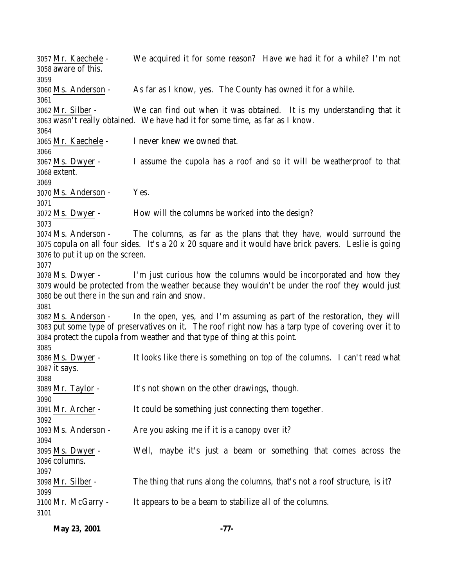Mr. Kaechele - We acquired it for some reason? Have we had it for a while? I'm not aware of this. Ms. Anderson - As far as I know, yes. The County has owned it for a while. Mr. Silber - We can find out when it was obtained. It is my understanding that it wasn't really obtained. We have had it for some time, as far as I know. Mr. Kaechele - I never knew we owned that. Ms. Dwyer - I assume the cupola has a roof and so it will be weatherproof to that extent. Ms. Anderson - Yes. Ms. Dwyer - How will the columns be worked into the design? Ms. Anderson - The columns, as far as the plans that they have, would surround the copula on all four sides. It's a 20 x 20 square and it would have brick pavers. Leslie is going to put it up on the screen. Ms. Dwyer - I'm just curious how the columns would be incorporated and how they would be protected from the weather because they wouldn't be under the roof they would just be out there in the sun and rain and snow. Ms. Anderson - In the open, yes, and I'm assuming as part of the restoration, they will put some type of preservatives on it. The roof right now has a tarp type of covering over it to protect the cupola from weather and that type of thing at this point. Ms. Dwyer - It looks like there is something on top of the columns. I can't read what it says. Mr. Taylor - It's not shown on the other drawings, though. Mr. Archer - It could be something just connecting them together. Ms. Anderson - Are you asking me if it is a canopy over it? Ms. Dwyer - Well, maybe it's just a beam or something that comes across the columns. Mr. Silber - The thing that runs along the columns, that's not a roof structure, is it? Mr. McGarry - It appears to be a beam to stabilize all of the columns. 

**May 23, 2001 -77-**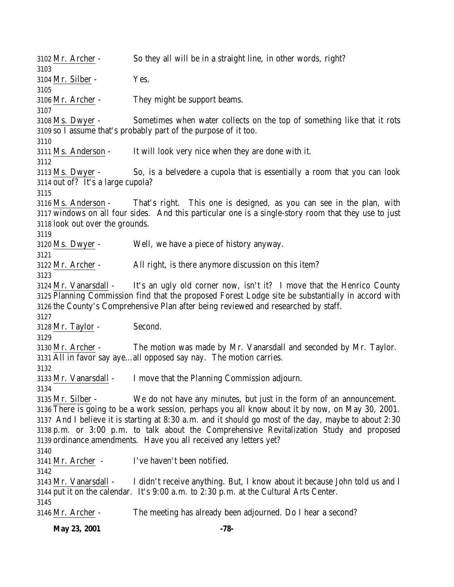Mr. Archer - So they all will be in a straight line, in other words, right? Mr. Silber - Yes. Mr. Archer - They might be support beams. Ms. Dwyer - Sometimes when water collects on the top of something like that it rots so I assume that's probably part of the purpose of it too. Ms. Anderson - It will look very nice when they are done with it. Ms. Dwyer - So, is a belvedere a cupola that is essentially a room that you can look out of? It's a large cupola? Ms. Anderson - That's right. This one is designed, as you can see in the plan, with windows on all four sides. And this particular one is a single-story room that they use to just look out over the grounds. Ms. Dwyer - Well, we have a piece of history anyway. Mr. Archer - All right, is there anymore discussion on this item? Mr. Vanarsdall - It's an ugly old corner now, isn't it? I move that the Henrico County Planning Commission find that the proposed Forest Lodge site be substantially in accord with the County's Comprehensive Plan after being reviewed and researched by staff. Mr. Taylor - Second. Mr. Archer - The motion was made by Mr. Vanarsdall and seconded by Mr. Taylor. All in favor say aye…all opposed say nay. The motion carries. Mr. Vanarsdall - I move that the Planning Commission adjourn. Mr. Silber - We do not have any minutes, but just in the form of an announcement. There is going to be a work session, perhaps you all know about it by now, on May 30, 2001. And I believe it is starting at 8:30 a.m. and it should go most of the day, maybe to about 2:30 p.m. or 3:00 p.m. to talk about the Comprehensive Revitalization Study and proposed ordinance amendments. Have you all received any letters yet? Mr. Archer - I've haven't been notified. Mr. Vanarsdall - I didn't receive anything. But, I know about it because John told us and I put it on the calendar. It's 9:00 a.m. to 2:30 p.m. at the Cultural Arts Center. Mr. Archer - The meeting has already been adjourned. Do I hear a second?

**May 23, 2001 -78-**